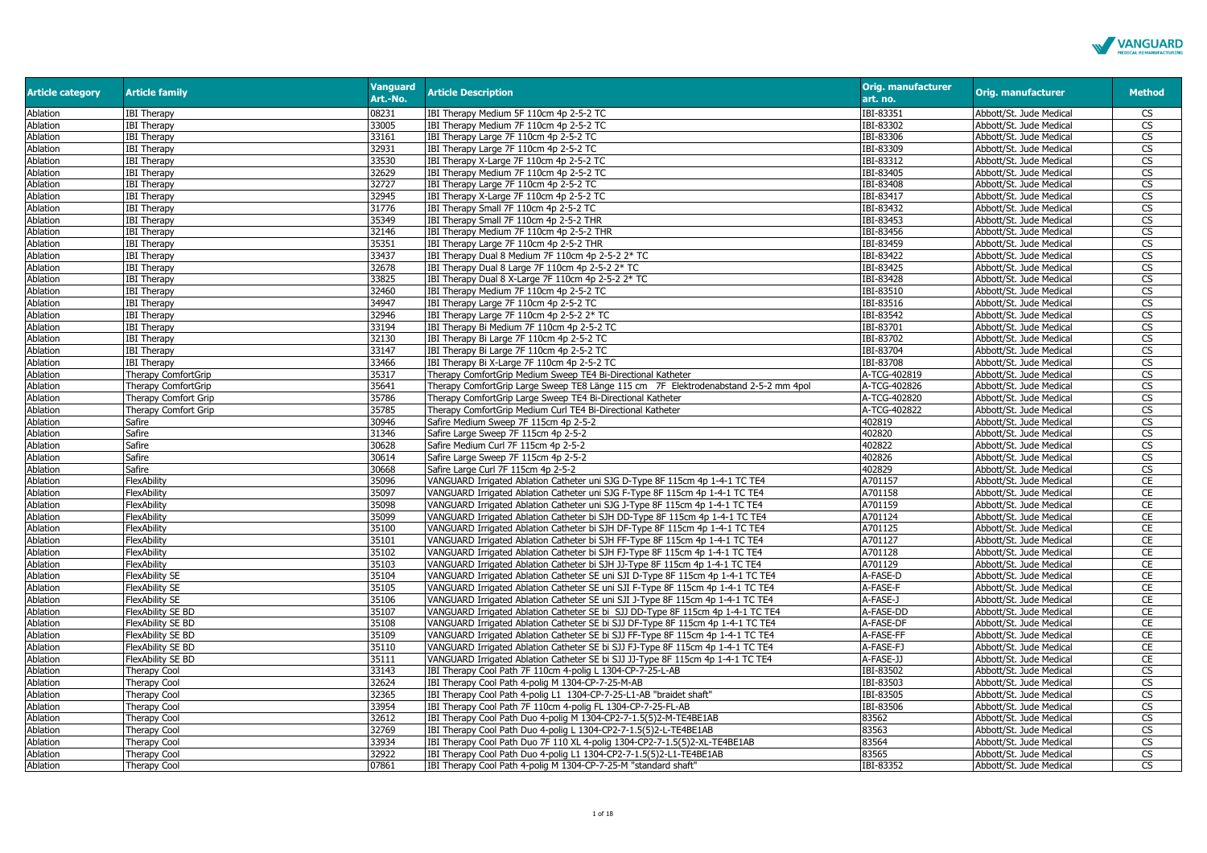

| <b>Article category</b> | <b>Article family</b>    | <b>Vanguard</b><br>Art.-No. | <b>Article Description</b>                                                          | <b>Orig. manufacturer</b><br>art. no. | Orig. manufacturer      | <b>Method</b>          |
|-------------------------|--------------------------|-----------------------------|-------------------------------------------------------------------------------------|---------------------------------------|-------------------------|------------------------|
| Ablation                | <b>IBI Therapy</b>       | 08231                       | IBI Therapy Medium 5F 110cm 4p 2-5-2 TC                                             | IBI-83351                             | Abbott/St. Jude Medical | <b>CS</b>              |
| Ablation                | <b>IBI Therapy</b>       | 33005                       | IBI Therapy Medium 7F 110cm 4p 2-5-2 TC                                             | IBI-83302                             | Abbott/St. Jude Medical | <b>CS</b>              |
| Ablation                | <b>IBI Therapy</b>       | 33161                       | IBI Therapy Large 7F 110cm 4p 2-5-2 TC                                              | IBI-83306                             | Abbott/St. Jude Medical | <b>CS</b>              |
| Ablation                | <b>IBI Therapy</b>       | 32931                       | IBI Therapy Large 7F 110cm 4p 2-5-2 TC                                              | IBI-83309                             | Abbott/St. Jude Medical | <b>CS</b>              |
| Ablation                | <b>IBI Therapy</b>       | 33530                       | IBI Therapy X-Large 7F 110cm 4p 2-5-2 TC                                            | IBI-83312                             | Abbott/St. Jude Medical | CS                     |
| Ablation                | <b>IBI Therapy</b>       | 32629                       | IBI Therapy Medium 7F 110cm 4p 2-5-2 TC                                             | IBI-83405                             | Abbott/St. Jude Medical | $\overline{\text{CS}}$ |
| Ablation                | <b>IBI Therapy</b>       | 32727                       | IBI Therapy Large 7F 110cm 4p 2-5-2 TC                                              | IBI-83408                             | Abbott/St. Jude Medical | $\overline{\text{CS}}$ |
| Ablation                | <b>IBI Therapy</b>       | 32945                       | IBI Therapy X-Large 7F 110cm 4p 2-5-2 TC                                            | IBI-83417                             | Abbott/St. Jude Medical | CS                     |
| <b>Ablation</b>         | <b>IBI Therapy</b>       | 31776                       | IBI Therapy Small 7F 110cm 4p 2-5-2 TC                                              | IBI-83432                             | Abbott/St. Jude Medical | <b>CS</b>              |
| Ablation                | <b>IBI Therapy</b>       | 35349                       | IBI Therapy Small 7F 110cm 4p 2-5-2 THR                                             | IBI-83453                             | Abbott/St. Jude Medical | $\overline{\text{CS}}$ |
| Ablation                | <b>IBI Therapy</b>       | 32146                       | IBI Therapy Medium 7F 110cm 4p 2-5-2 THR                                            | IBI-83456                             | Abbott/St. Jude Medical | <b>CS</b>              |
| Ablation                | <b>IBI Therapy</b>       | 35351                       | IBI Therapy Large 7F 110cm 4p 2-5-2 THR                                             | IBI-83459                             | Abbott/St. Jude Medical | CS                     |
| Ablation                | <b>IBI Therapy</b>       | 33437                       | IBI Therapy Dual 8 Medium 7F 110cm 4p 2-5-2 2* TC                                   | IBI-83422                             | Abbott/St. Jude Medical | <b>CS</b>              |
| Ablation                | <b>IBI Therapy</b>       | 32678                       | IBI Therapy Dual 8 Large 7F 110cm 4p 2-5-2 2* TC                                    | IBI-83425                             | Abbott/St. Jude Medical | <b>CS</b>              |
| <b>Ablation</b>         | <b>IBI Therapy</b>       | 33825                       | IBI Therapy Dual 8 X-Large 7F 110cm 4p 2-5-2 2* TC                                  | IBI-83428                             | Abbott/St. Jude Medical | CS                     |
| Ablation                | <b>IBI Therapy</b>       | 32460                       | IBI Therapy Medium 7F 110cm 4p 2-5-2 TC                                             | IBI-83510                             | Abbott/St. Jude Medical | $\overline{\text{CS}}$ |
| Ablation                | <b>IBI Therapy</b>       | 34947                       | IBI Therapy Large 7F 110cm 4p 2-5-2 TC                                              | IBI-83516                             | Abbott/St. Jude Medical | $\overline{\text{cs}}$ |
| Ablation                | <b>IBI Therapy</b>       | 32946                       | IBI Therapy Large 7F 110cm 4p 2-5-2 2* TC                                           | IBI-83542                             | Abbott/St. Jude Medical | $\overline{\text{CS}}$ |
| Ablation                | <b>IBI Therapy</b>       | 33194                       | IBI Therapy Bi Medium 7F 110cm 4p 2-5-2 TC                                          | IBI-83701                             | Abbott/St. Jude Medical | $\overline{\text{CS}}$ |
| Ablation                | <b>IBI Therapy</b>       | 32130                       | IBI Therapy Bi Large 7F 110cm 4p 2-5-2 TC                                           | IBI-83702                             | Abbott/St. Jude Medical | $\overline{\text{CS}}$ |
| Ablation                | <b>IBI Therapy</b>       | 33147                       | IBI Therapy Bi Large 7F 110cm 4p 2-5-2 TC                                           | IBI-83704                             | Abbott/St. Jude Medical | CS                     |
| Ablation                | <b>IBI Therapy</b>       | 33466                       | IBI Therapy Bi X-Large 7F 110cm 4p 2-5-2 TC                                         | IBI-83708                             | Abbott/St. Jude Medical | CS                     |
| Ablation                | Therapy ComfortGrip      | 35317                       | Therapy ComfortGrip Medium Sweep TE4 Bi-Directional Katheter                        | A-TCG-402819                          | Abbott/St. Jude Medical | CS                     |
| Ablation                | Therapy ComfortGrip      | 35641                       | Therapy ComfortGrip Large Sweep TE8 Länge 115 cm 7F Elektrodenabstand 2-5-2 mm 4pol | A-TCG-402826                          | Abbott/St. Jude Medical | <b>CS</b>              |
| Ablation                | Therapy Comfort Grip     | 35786                       | Therapy ComfortGrip Large Sweep TE4 Bi-Directional Katheter                         | A-TCG-402820                          | Abbott/St. Jude Medical | <b>CS</b>              |
| Ablation                | Therapy Comfort Grip     | 35785                       | Therapy ComfortGrip Medium Curl TE4 Bi-Directional Katheter                         | A-TCG-402822                          | Abbott/St. Jude Medical | $\overline{\text{CS}}$ |
| Ablation                | Safire                   | 30946                       | Safire Medium Sweep 7F 115cm 4p 2-5-2                                               | 402819                                | Abbott/St. Jude Medical | $\overline{\text{CS}}$ |
| Ablation                | Safire                   | 31346                       | Safire Large Sweep 7F 115cm 4p 2-5-2                                                | 402820                                | Abbott/St. Jude Medical | CS                     |
| Ablation                | Safire                   | 30628                       | Safire Medium Curl 7F 115cm 4p 2-5-2                                                | 402822                                | Abbott/St. Jude Medical | $\overline{\text{CS}}$ |
| Ablation                | Safire                   | 30614                       | Safire Large Sweep 7F 115cm 4p 2-5-2                                                | 402826                                | Abbott/St. Jude Medical | CS                     |
| <b>Ablation</b>         | Safire                   | 30668                       | Safire Large Curl 7F 115cm 4p 2-5-2                                                 | 402829                                | Abbott/St. Jude Medical | CS                     |
| Ablation                | FlexAbility              | 35096                       | VANGUARD Irrigated Ablation Catheter uni SJG D-Type 8F 115cm 4p 1-4-1 TC TE4        | A701157                               | Abbott/St. Jude Medical | CE                     |
| Ablation                | FlexAbility              | 35097                       | VANGUARD Irrigated Ablation Catheter uni SJG F-Type 8F 115cm 4p 1-4-1 TC TE4        | A701158                               | Abbott/St. Jude Medical | CE                     |
| Ablation                | FlexAbility              | 35098                       | VANGUARD Irrigated Ablation Catheter uni SJG J-Type 8F 115cm 4p 1-4-1 TC TE4        | A701159                               | Abbott/St. Jude Medical | CE                     |
| Ablation                | FlexAbility              | 35099                       | VANGUARD Irrigated Ablation Catheter bi SJH DD-Type 8F 115cm 4p 1-4-1 TC TE4        | A701124                               | Abbott/St. Jude Medical | CE                     |
| Ablation                | FlexAbility              | 35100                       | VANGUARD Irrigated Ablation Catheter bi SJH DF-Type 8F 115cm 4p 1-4-1 TC TE4        | A701125                               | Abbott/St. Jude Medical | CE                     |
| <b>Ablation</b>         | FlexAbility              | 35101                       | VANGUARD Irrigated Ablation Catheter bi SJH FF-Type 8F 115cm 4p 1-4-1 TC TE4        | A701127                               | Abbott/St. Jude Medical | CE                     |
| Ablation                | FlexAbility              | 35102                       | VANGUARD Irrigated Ablation Catheter bi SJH FJ-Type 8F 115cm 4p 1-4-1 TC TE4        | A701128                               | Abbott/St. Jude Medical | CE                     |
| Ablation                | FlexAbility              | 35103                       | VANGUARD Irrigated Ablation Catheter bi SJH JJ-Type 8F 115cm 4p 1-4-1 TC TE4        | A701129                               | Abbott/St. Jude Medical | CE                     |
| Ablation                | <b>FlexAbility SE</b>    | 35104                       | VANGUARD Irrigated Ablation Catheter SE uni SJI D-Type 8F 115cm 4p 1-4-1 TC TE4     | A-FASE-D                              | Abbott/St. Jude Medical | CE                     |
| Ablation                | <b>FlexAbility SE</b>    | 35105                       | VANGUARD Irrigated Ablation Catheter SE uni SJI F-Type 8F 115cm 4p 1-4-1 TC TE4     | A-FASE-F                              | Abbott/St. Jude Medical | CE                     |
| Ablation                | <b>FlexAbility SE</b>    | 35106                       | VANGUARD Irrigated Ablation Catheter SE uni SJI J-Type 8F 115cm 4p 1-4-1 TC TE4     | A-FASE-J                              | Abbott/St. Jude Medical | CE                     |
| Ablation                | <b>FlexAbility SE BD</b> | 35107                       | VANGUARD Irrigated Ablation Catheter SE bi SJJ DD-Type 8F 115cm 4p 1-4-1 TC TE4     | A-FASE-DD                             | Abbott/St. Jude Medical | CE                     |
| Ablation                | FlexAbility SE BD        | 35108                       | VANGUARD Irrigated Ablation Catheter SE bi SJJ DF-Type 8F 115cm 4p 1-4-1 TC TE4     | A-FASE-DF                             | Abbott/St. Jude Medical | CE                     |
| Ablation                | <b>FlexAbility SE BD</b> | 35109                       | VANGUARD Irrigated Ablation Catheter SE bi SJJ FF-Type 8F 115cm 4p 1-4-1 TC TE4     | A-FASE-FF                             | Abbott/St. Jude Medical | CE                     |
| Ablation                | <b>FlexAbility SE BD</b> | 35110                       | VANGUARD Irrigated Ablation Catheter SE bi SJJ FJ-Type 8F 115cm 4p 1-4-1 TC TE4     | A-FASE-FJ                             | Abbott/St. Jude Medical | CE                     |
| Ablation                | FlexAbility SE BD        | 35111                       | VANGUARD Irrigated Ablation Catheter SE bi SJJ JJ-Type 8F 115cm 4p 1-4-1 TC TE4     | A-FASE-JJ                             | Abbott/St. Jude Medical | CE                     |
| Ablation                | Therapy Cool             | 33143                       | IBI Therapy Cool Path 7F 110cm 4-polig L 1304-CP-7-25-L-AB                          | IBI-83502                             | Abbott/St. Jude Medical | CS                     |
| Ablation                | Therapy Cool             | 32624                       | IBI Therapy Cool Path 4-polig M 1304-CP-7-25-M-AB                                   | IBI-83503                             | Abbott/St. Jude Medical | CS                     |
| Ablation                | Therapy Cool             | 32365                       | IBI Therapy Cool Path 4-polig L1 1304-CP-7-25-L1-AB "braidet shaft"                 | IBI-83505                             | Abbott/St. Jude Medical | CS                     |
| Ablation                | Therapy Cool             | 33954                       | IBI Therapy Cool Path 7F 110cm 4-polig FL 1304-CP-7-25-FL-AB                        | IBI-83506                             | Abbott/St. Jude Medical | $\overline{\text{cs}}$ |
| Ablation                | Therapy Cool             | 32612                       | IBI Therapy Cool Path Duo 4-polig M 1304-CP2-7-1.5(5)2-M-TE4BE1AB                   | 83562                                 | Abbott/St. Jude Medical | <b>CS</b>              |
| Ablation                | Therapy Cool             | 32769                       | IBI Therapy Cool Path Duo 4-polig L 1304-CP2-7-1.5(5)2-L-TE4BE1AB                   | 83563                                 | Abbott/St. Jude Medical | $\overline{\text{CS}}$ |
| Ablation                | <b>Therapy Cool</b>      | 33934                       | IBI Therapy Cool Path Duo 7F 110 XL 4-poliq 1304-CP2-7-1.5(5)2-XL-TE4BE1AB          | 83564                                 | Abbott/St. Jude Medical | <b>CS</b>              |
| <b>Ablation</b>         | Therapy Cool             | 32922                       | IBI Therapy Cool Path Duo 4-polig L1 1304-CP2-7-1.5(5)2-L1-TE4BE1AB                 | 83565                                 | Abbott/St. Jude Medical | CS                     |
| Ablation                | Therapy Cool             | 07861                       | IBI Therapy Cool Path 4-polig M 1304-CP-7-25-M "standard shaft"                     | IBI-83352                             | Abbott/St. Jude Medical | <b>CS</b>              |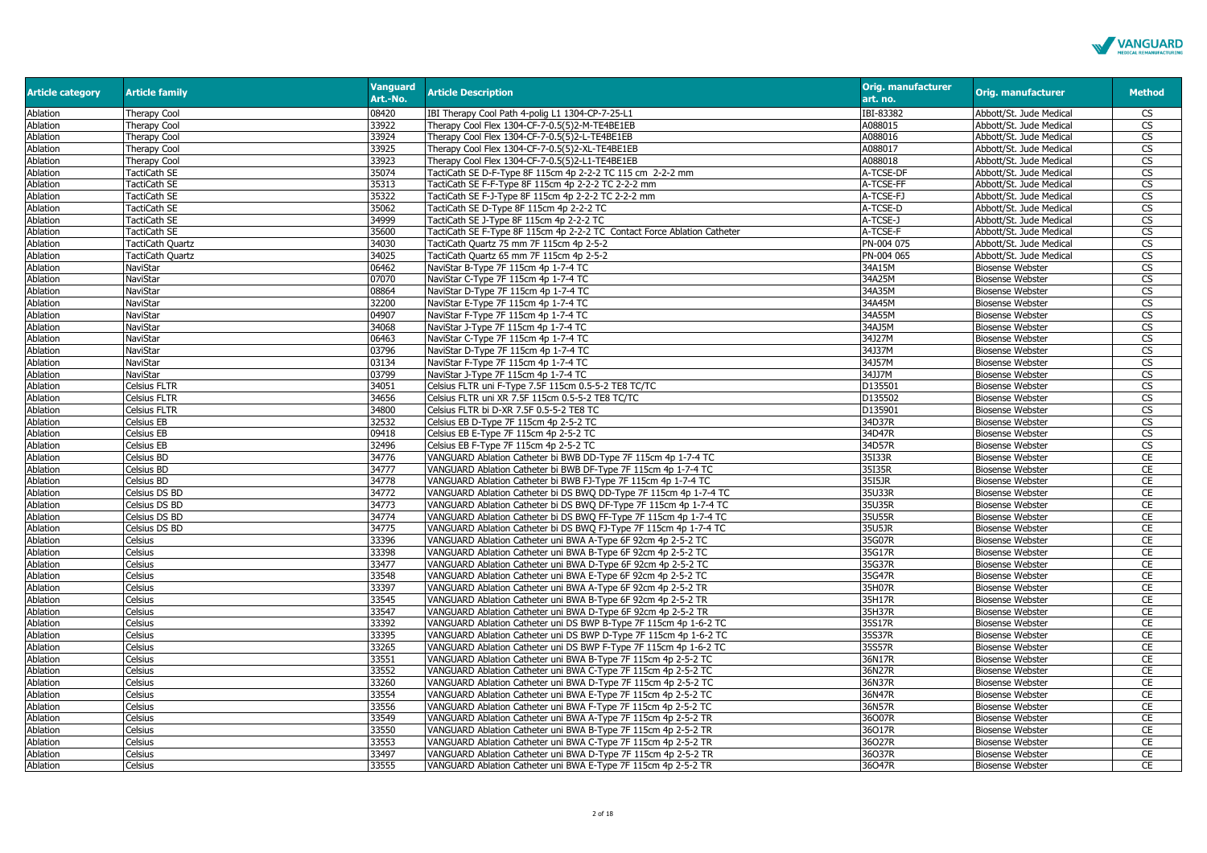

| <b>Article category</b> | <b>Article family</b> | <b>Vanguard</b><br>Art.-No. | <b>Article Description</b>                                               | <b>Orig. manufacturer</b><br>art. no. | <b>Orig. manufacturer</b> | <b>Method</b>          |
|-------------------------|-----------------------|-----------------------------|--------------------------------------------------------------------------|---------------------------------------|---------------------------|------------------------|
| Ablation                | Therapy Cool          | 08420                       | IBI Therapy Cool Path 4-polig L1 1304-CP-7-25-L1                         | IBI-83382                             | Abbott/St. Jude Medical   | CS                     |
| Ablation                | Therapy Cool          | 33922                       | Therapy Cool Flex 1304-CF-7-0.5(5)2-M-TE4BE1EB                           | A088015                               | Abbott/St. Jude Medical   | CS                     |
| Ablation                | <b>Therapy Cool</b>   | 33924                       | Therapy Cool Flex 1304-CF-7-0.5(5)2-L-TE4BE1EB                           | A088016                               | Abbott/St. Jude Medical   | <b>CS</b>              |
| Ablation                | Therapy Cool          | 33925                       | Therapy Cool Flex 1304-CF-7-0.5(5)2-XL-TE4BE1EB                          | A088017                               | Abbott/St. Jude Medical   | CS                     |
| Ablation                | Therapy Cool          | 33923                       | Therapy Cool Flex 1304-CF-7-0.5(5)2-L1-TE4BE1EB                          | A088018                               | Abbott/St. Jude Medical   | CS                     |
| Ablation                | TactiCath SE          | 35074                       | TactiCath SE D-F-Type 8F 115cm 4p 2-2-2 TC 115 cm 2-2-2 mm               | A-TCSE-DF                             | Abbott/St. Jude Medical   | <b>CS</b>              |
| Ablation                | TactiCath SE          | 35313                       | TactiCath SE F-F-Type 8F 115cm 4p 2-2-2 TC 2-2-2 mm                      | A-TCSE-FF                             | Abbott/St. Jude Medical   | <b>CS</b>              |
| Ablation                | TactiCath SE          | 35322                       | TactiCath SE F-J-Type 8F 115cm 4p 2-2-2 TC 2-2-2 mm                      | A-TCSE-FJ                             | Abbott/St. Jude Medical   | <b>CS</b>              |
| Ablation                | TactiCath SE          | 35062                       | TactiCath SE D-Type 8F 115cm 4p 2-2-2 TC                                 | A-TCSE-D                              | Abbott/St. Jude Medical   | <b>CS</b>              |
| Ablation                | TactiCath SE          | 34999                       | TactiCath SE J-Type 8F 115cm 4p 2-2-2 TC                                 | A-TCSE-J                              | Abbott/St. Jude Medical   | $\overline{\text{CS}}$ |
| Ablation                | TactiCath SE          | 35600                       | TactiCath SE F-Type 8F 115cm 4p 2-2-2 TC Contact Force Ablation Catheter | A-TCSE-F                              | Abbott/St. Jude Medical   | $\overline{\text{CS}}$ |
| Ablation                | TactiCath Quartz      | 34030                       | TactiCath Quartz 75 mm 7F 115cm 4p 2-5-2                                 | PN-004 075                            | Abbott/St. Jude Medical   | <b>CS</b>              |
| Ablation                | TactiCath Quartz      | 34025                       | TactiCath Quartz 65 mm 7F 115cm 4p 2-5-2                                 | PN-004 065                            | Abbott/St. Jude Medical   | <b>CS</b>              |
| Ablation                | NaviStar              | 06462                       | NaviStar B-Type 7F 115cm 4p 1-7-4 TC                                     | 34A15M                                | <b>Biosense Webster</b>   | CS                     |
| Ablation                | NaviStar              | )7070                       | NaviStar C-Type 7F 115cm 4p 1-7-4 TC                                     | 34A25M                                | <b>Biosense Webster</b>   | CS                     |
| Ablation                | NaviStar              | 08864                       | NaviStar D-Type 7F 115cm 4p 1-7-4 TC                                     | 34A35M                                | <b>Biosense Webster</b>   | <b>CS</b>              |
| Ablation                | NaviStar              | 32200                       | NaviStar E-Type 7F 115cm 4p 1-7-4 TC                                     | 34A45M                                | <b>Biosense Webster</b>   | CS                     |
| Ablation                | NaviStar              | 04907                       | NaviStar F-Type 7F 115cm 4p 1-7-4 TC                                     | 34A55M                                | <b>Biosense Webster</b>   | <b>CS</b>              |
| Ablation                | NaviStar              | 34068                       | NaviStar J-Type 7F 115cm 4p 1-7-4 TC                                     | 34AJ5M                                | <b>Biosense Webster</b>   | CS                     |
| <b>Ablation</b>         | NaviStar              | 06463                       | NaviStar C-Type 7F 115cm 4p 1-7-4 TC                                     | 34J27M                                | <b>Biosense Webster</b>   | $\overline{\text{CS}}$ |
| Ablation                | NaviStar              | 03796                       | NaviStar D-Type 7F 115cm 4p 1-7-4 TC                                     | 34J37M                                | <b>Biosense Webster</b>   | <b>CS</b>              |
| Ablation                | NaviStar              | 03134                       | NaviStar F-Type 7F 115cm 4p 1-7-4 TC                                     | 34J57M                                | <b>Biosense Webster</b>   | $\overline{\text{cs}}$ |
| Ablation                | NaviStar              | 03799                       | NaviStar J-Type 7F 115cm 4p 1-7-4 TC                                     | 34JJ7M                                | <b>Biosense Webster</b>   | CS                     |
| Ablation                | Celsius FLTR          | 34051                       | Celsius FLTR uni F-Type 7.5F 115cm 0.5-5-2 TE8 TC/TC                     | D135501                               | <b>Biosense Webster</b>   | <b>CS</b>              |
| Ablation                | Celsius FLTR          | 34656                       | Celsius FLTR uni XR 7.5F 115cm 0.5-5-2 TE8 TC/TC                         | D135502                               | <b>Biosense Webster</b>   | <b>CS</b>              |
| Ablation                | Celsius FLTR          | 34800                       | Celsius FLTR bi D-XR 7.5F 0.5-5-2 TE8 TC                                 | D135901                               | <b>Biosense Webster</b>   | $\overline{\text{cs}}$ |
| Ablation                | Celsius EB            | 32532                       | Celsius EB D-Type 7F 115cm 4p 2-5-2 TC                                   | 34D37R                                | <b>Biosense Webster</b>   | <b>CS</b>              |
| Ablation                | Celsius EB            | 09418                       | Celsius EB E-Type 7F 115cm 4p 2-5-2 TC                                   | 34D47R                                | <b>Biosense Webster</b>   | <b>CS</b>              |
| Ablation                | Celsius EB            | 32496                       | Celsius EB F-Type 7F 115cm 4p 2-5-2 TC                                   | 34D57R                                | <b>Biosense Webster</b>   | $\overline{\text{cs}}$ |
| Ablation                | Celsius BD            | 34776                       | VANGUARD Ablation Catheter bi BWB DD-Type 7F 115cm 4p 1-7-4 TC           | 35I33R                                | <b>Biosense Webster</b>   | CE                     |
| Ablation                | Celsius BD            | 34777                       | VANGUARD Ablation Catheter bi BWB DF-Type 7F 115cm 4p 1-7-4 TC           | 35I35R                                | <b>Biosense Webster</b>   | CE                     |
| Ablation                | Celsius BD            | 34778                       | VANGUARD Ablation Catheter bi BWB FJ-Type 7F 115cm 4p 1-7-4 TC           | 3515JR                                | <b>Biosense Webster</b>   | CE                     |
| Ablation                | Celsius DS BD         | 34772                       | VANGUARD Ablation Catheter bi DS BWQ DD-Type 7F 115cm 4p 1-7-4 TC        | 35U33R                                | <b>Biosense Webster</b>   | <b>CE</b>              |
| Ablation                | Celsius DS BD         | 34773                       | VANGUARD Ablation Catheter bi DS BWQ DF-Type 7F 115cm 4p 1-7-4 TC        | 35U35R                                | <b>Biosense Webster</b>   | CE                     |
| Ablation                | Celsius DS BD         | 34774                       | VANGUARD Ablation Catheter bi DS BWQ FF-Type 7F 115cm 4p 1-7-4 TC        | 35U55R                                | <b>Biosense Webster</b>   | CE                     |
| Ablation                | Celsius DS BD         | 34775                       | VANGUARD Ablation Catheter bi DS BWQ FJ-Type 7F 115cm 4p 1-7-4 TC        | 35U5JR                                | <b>Biosense Webster</b>   | <b>CE</b>              |
| Ablation                | Celsius               | 33396                       | VANGUARD Ablation Catheter uni BWA A-Type 6F 92cm 4p 2-5-2 TC            | 35G07R                                | <b>Biosense Webster</b>   | CE                     |
| Ablation                | Celsius               | 33398                       | VANGUARD Ablation Catheter uni BWA B-Type 6F 92cm 4p 2-5-2 TC            | 35G17R                                | <b>Biosense Webster</b>   | CE                     |
| Ablation                | Celsius               | 33477                       | VANGUARD Ablation Catheter uni BWA D-Type 6F 92cm 4p 2-5-2 TC            | 35G37R                                | <b>Biosense Webster</b>   | CE                     |
| Ablation                | Celsius               | 33548                       | VANGUARD Ablation Catheter uni BWA E-Type 6F 92cm 4p 2-5-2 TC            | 35G47R                                | <b>Biosense Webster</b>   | CE                     |
| Ablation                | Celsius               | 33397                       | VANGUARD Ablation Catheter uni BWA A-Type 6F 92cm 4p 2-5-2 TR            | 35H07R                                | <b>Biosense Webster</b>   | CE                     |
| Ablation                | Celsius               | 33545                       | VANGUARD Ablation Catheter uni BWA B-Type 6F 92cm 4p 2-5-2 TR            | 35H17R                                | <b>Biosense Webster</b>   | CE                     |
| Ablation                | Celsius               | 33547                       | VANGUARD Ablation Catheter uni BWA D-Type 6F 92cm 4p 2-5-2 TR            | 35H37R                                | <b>Biosense Webster</b>   | CE                     |
| Ablation                | Celsius               | 33392                       | VANGUARD Ablation Catheter uni DS BWP B-Type 7F 115cm 4p 1-6-2 TC        | 35S17R                                | <b>Biosense Webster</b>   | CE                     |
| Ablation                | Celsius               | 33395                       | VANGUARD Ablation Catheter uni DS BWP D-Type 7F 115cm 4p 1-6-2 TC        | 35S37R                                | <b>Biosense Webster</b>   | <b>CE</b>              |
| Ablation                | Celsius               | 33265                       | VANGUARD Ablation Catheter uni DS BWP F-Type 7F 115cm 4p 1-6-2 TC        | 35S57R                                | <b>Biosense Webster</b>   | CE                     |
| Ablation                | Celsius               | 33551                       | VANGUARD Ablation Catheter uni BWA B-Type 7F 115cm 4p 2-5-2 TC           | 36N17R                                | <b>Biosense Webster</b>   | CE                     |
| Ablation                | Celsius               | 33552                       | VANGUARD Ablation Catheter uni BWA C-Type 7F 115cm 4p 2-5-2 TC           | 36N27R                                | <b>Biosense Webster</b>   | CE                     |
| Ablation                | Celsius               | 33260                       | VANGUARD Ablation Catheter uni BWA D-Type 7F 115cm 4p 2-5-2 TC           | 36N37R                                | <b>Biosense Webster</b>   | CE                     |
| Ablation                | Celsius               | 33554                       | VANGUARD Ablation Catheter uni BWA E-Type 7F 115cm 4p 2-5-2 TC           | 36N47R                                | <b>Biosense Webster</b>   | CE                     |
| Ablation                | Celsius               | 33556                       | VANGUARD Ablation Catheter uni BWA F-Type 7F 115cm 4p 2-5-2 TC           | 36N57R                                | <b>Biosense Webster</b>   | <b>CE</b>              |
| Ablation                | Celsius               | 33549                       | VANGUARD Ablation Catheter uni BWA A-Type 7F 115cm 4p 2-5-2 TR           | 36O07R                                | <b>Biosense Webster</b>   | CE                     |
| Ablation                | Celsius               | 33550                       | VANGUARD Ablation Catheter uni BWA B-Type 7F 115cm 4p 2-5-2 TR           | 36017R                                | <b>Biosense Webster</b>   | CE                     |
| Ablation                | Celsius               | 33553                       | VANGUARD Ablation Catheter uni BWA C-Type 7F 115cm 4p 2-5-2 TR           | 36O27R                                | <b>Biosense Webster</b>   | <b>CE</b>              |
| Ablation                | Celsius               | 33497                       | VANGUARD Ablation Catheter uni BWA D-Type 7F 115cm 4p 2-5-2 TR           | 36O37R                                | <b>Biosense Webster</b>   | <b>CE</b>              |
| Ablation                | Celsius               | 33555                       | VANGUARD Ablation Catheter uni BWA E-Type 7F 115cm 4p 2-5-2 TR           | 36047R                                | <b>Biosense Webster</b>   | <b>CE</b>              |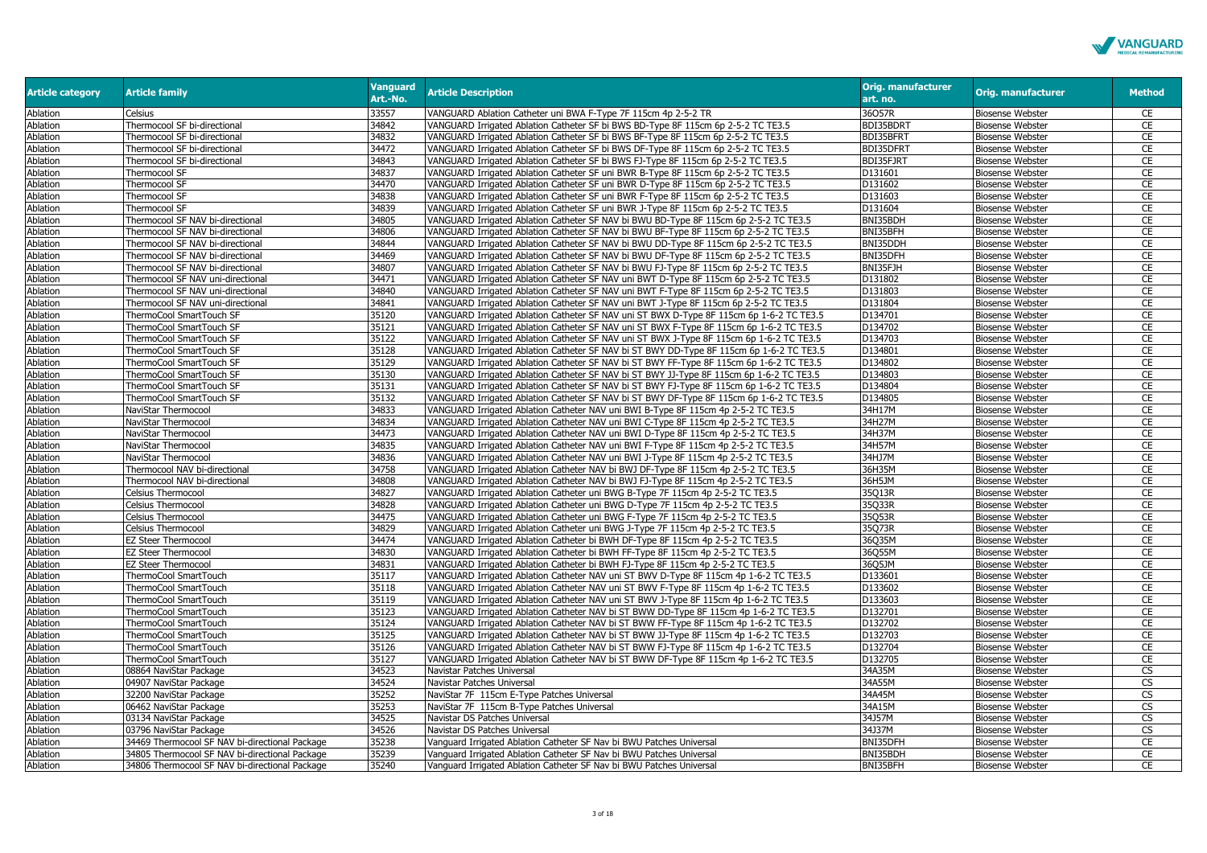

| <b>Article category</b> | <b>Article family</b>                          | <b>Vanguard</b><br>Art.-No. | <b>Article Description</b>                                                               | <b>Orig. manufacturer</b><br>art. no. | <b>Orig. manufacturer</b> | <b>Method</b> |
|-------------------------|------------------------------------------------|-----------------------------|------------------------------------------------------------------------------------------|---------------------------------------|---------------------------|---------------|
| Ablation                | Celsius                                        | 33557                       | VANGUARD Ablation Catheter uni BWA F-Type 7F 115cm 4p 2-5-2 TR                           | 36057R                                | <b>Biosense Webster</b>   | CE            |
| Ablation                | Thermocool SF bi-directional                   | 34842                       | VANGUARD Irrigated Ablation Catheter SF bi BWS BD-Type 8F 115cm 6p 2-5-2 TC TE3.5        | BDI35BDRT                             | <b>Biosense Webster</b>   | CE            |
| Ablation                | Thermocool SF bi-directional                   | 34832                       | VANGUARD Irrigated Ablation Catheter SF bi BWS BF-Type 8F 115cm 6p 2-5-2 TC TE3.5        | BDI35BFRT                             | <b>Biosense Webster</b>   | CE            |
| Ablation                | Thermocool SF bi-directional                   | 34472                       | VANGUARD Irrigated Ablation Catheter SF bi BWS DF-Type 8F 115cm 6p 2-5-2 TC TE3.5        | BDI35DFRT                             | <b>Biosense Webster</b>   | CE            |
| Ablation                | Thermocool SF bi-directional                   | 34843                       | VANGUARD Irrigated Ablation Catheter SF bi BWS FJ-Type 8F 115cm 6p 2-5-2 TC TE3.5        | BDI35FJRT                             | <b>Biosense Webster</b>   | CE            |
| Ablation                | Thermocool SF                                  | 34837                       | VANGUARD Irrigated Ablation Catheter SF uni BWR B-Type 8F 115cm 6p 2-5-2 TC TE3.5        | D131601                               | <b>Biosense Webster</b>   | <b>CE</b>     |
| Ablation                | Thermocool SF                                  | 34470                       | VANGUARD Irrigated Ablation Catheter SF uni BWR D-Type 8F 115cm 6p 2-5-2 TC TE3.5        | D131602                               | <b>Biosense Webster</b>   | CE            |
| Ablation                | Thermocool SF                                  | 34838                       | VANGUARD Irrigated Ablation Catheter SF uni BWR F-Type 8F 115cm 6p 2-5-2 TC TE3.5        | D131603                               | <b>Biosense Webster</b>   | CE            |
| Ablation                | Thermocool SF                                  | 34839                       | VANGUARD Irrigated Ablation Catheter SF uni BWR J-Type 8F 115cm 6p 2-5-2 TC TE3.5        | D131604                               | <b>Biosense Webster</b>   | CE            |
| Ablation                | Thermocool SF NAV bi-directional               | 34805                       | VANGUARD Irrigated Ablation Catheter SF NAV bi BWU BD-Type 8F 115cm 6p 2-5-2 TC TE3.5    | BNI35BDH                              | <b>Biosense Webster</b>   | CE            |
| Ablation                | Thermocool SF NAV bi-directional               | 34806                       | VANGUARD Irrigated Ablation Catheter SF NAV bi BWU BF-Type 8F 115cm 6p 2-5-2 TC TE3.5    | BNI35BFH                              | <b>Biosense Webster</b>   | CE            |
| Ablation                | Thermocool SF NAV bi-directional               | 34844                       | VANGUARD Irrigated Ablation Catheter SF NAV bi BWU DD-Type 8F 115cm 6p 2-5-2 TC TE3.5    | BNI35DDH                              | <b>Biosense Webster</b>   | <b>CE</b>     |
| Ablation                | Thermocool SF NAV bi-directional               | 34469                       | VANGUARD Irrigated Ablation Catheter SF NAV bi BWU DF-Type 8F 115cm 6p 2-5-2 TC TE3.5    | BNI35DFH                              | <b>Biosense Webster</b>   | CE            |
| Ablation                | Thermocool SF NAV bi-directional               | 34807                       | VANGUARD Irrigated Ablation Catheter SF NAV bi BWU FJ-Type 8F 115cm 6p 2-5-2 TC TE3.5    | BNI35FJH                              | <b>Biosense Webster</b>   | <b>CE</b>     |
| Ablation                | Thermocool SF NAV uni-directional              | 34471                       | VANGUARD Irrigated Ablation Catheter SF NAV uni BWT D-Type 8F 115cm 6p 2-5-2 TC TE3.5    | D131802                               | <b>Biosense Webster</b>   | <b>CE</b>     |
| Ablation                | Thermocool SF NAV uni-directional              | 34840                       | VANGUARD Irrigated Ablation Catheter SF NAV uni BWT F-Type 8F 115cm 6p 2-5-2 TC TE3.5    | D131803                               | <b>Biosense Webster</b>   | CE            |
| Ablation                | Thermocool SF NAV uni-directional              | 34841                       | VANGUARD Irrigated Ablation Catheter SF NAV uni BWT J-Type 8F 115cm 6p 2-5-2 TC TE3.5    | D131804                               | <b>Biosense Webster</b>   | CE            |
| Ablation                | ThermoCool SmartTouch SF                       | 35120                       | VANGUARD Irrigated Ablation Catheter SF NAV uni ST BWX D-Type 8F 115cm 6p 1-6-2 TC TE3.5 | D134701                               | <b>Biosense Webster</b>   | CE            |
| Ablation                | ThermoCool SmartTouch SF                       | 35121                       | VANGUARD Irrigated Ablation Catheter SF NAV uni ST BWX F-Type 8F 115cm 6p 1-6-2 TC TE3.5 | D134702                               | <b>Biosense Webster</b>   | CE            |
| Ablation                | ThermoCool SmartTouch SF                       | 35122                       | VANGUARD Irrigated Ablation Catheter SF NAV uni ST BWX J-Type 8F 115cm 6p 1-6-2 TC TE3.5 | D134703                               | <b>Biosense Webster</b>   | CE            |
| Ablation                | ThermoCool SmartTouch SF                       | 35128                       | VANGUARD Irrigated Ablation Catheter SF NAV bi ST BWY DD-Type 8F 115cm 6p 1-6-2 TC TE3.5 | D134801                               | <b>Biosense Webster</b>   | <b>CE</b>     |
| Ablation                | ThermoCool SmartTouch SF                       | 35129                       | VANGUARD Irrigated Ablation Catheter SF NAV bi ST BWY FF-Type 8F 115cm 6p 1-6-2 TC TE3.5 | D134802                               | <b>Biosense Webster</b>   | CE            |
| Ablation                | ThermoCool SmartTouch SF                       | 35130                       | VANGUARD Irrigated Ablation Catheter SF NAV bi ST BWY JJ-Type 8F 115cm 6p 1-6-2 TC TE3.5 | D134803                               | <b>Biosense Webster</b>   | <b>CE</b>     |
| Ablation                | ThermoCool SmartTouch SF                       | 35131                       | VANGUARD Irrigated Ablation Catheter SF NAV bi ST BWY FJ-Type 8F 115cm 6p 1-6-2 TC TE3.5 | D134804                               | <b>Biosense Webster</b>   | CE            |
| Ablation                | ThermoCool SmartTouch SF                       | 35132                       | VANGUARD Irrigated Ablation Catheter SF NAV bi ST BWY DF-Type 8F 115cm 6p 1-6-2 TC TE3.5 | D134805                               | <b>Biosense Webster</b>   | CE            |
| Ablation                | NaviStar Thermocool                            | 34833                       | VANGUARD Irrigated Ablation Catheter NAV uni BWI B-Type 8F 115cm 4p 2-5-2 TC TE3.5       | 34H17M                                | <b>Biosense Webster</b>   | <b>CE</b>     |
| Ablation                | NaviStar Thermocool                            | 34834                       | VANGUARD Irrigated Ablation Catheter NAV uni BWI C-Type 8F 115cm 4p 2-5-2 TC TE3.5       | 34H27M                                | <b>Biosense Webster</b>   | CE            |
| Ablation                | NaviStar Thermocool                            | 34473                       | VANGUARD Irrigated Ablation Catheter NAV uni BWI D-Type 8F 115cm 4p 2-5-2 TC TE3.5       | 34H37M                                | <b>Biosense Webster</b>   | CE            |
| Ablation                | NaviStar Thermocool                            | 34835                       | VANGUARD Irrigated Ablation Catheter NAV uni BWI F-Type 8F 115cm 4p 2-5-2 TC TE3.5       | 34H57M                                | <b>Biosense Webster</b>   | <b>CE</b>     |
| Ablation                | NaviStar Thermocool                            | 34836                       | VANGUARD Irrigated Ablation Catheter NAV uni BWI J-Type 8F 115cm 4p 2-5-2 TC TE3.5       | 34HJ7M                                | <b>Biosense Webster</b>   | CE            |
| Ablation                | Thermocool NAV bi-directional                  | 34758                       | VANGUARD Irrigated Ablation Catheter NAV bi BWJ DF-Type 8F 115cm 4p 2-5-2 TC TE3.5       | 36H35M                                | <b>Biosense Webster</b>   | CE            |
| Ablation                | Thermocool NAV bi-directional                  | 34808                       | VANGUARD Irrigated Ablation Catheter NAV bi BWJ FJ-Type 8F 115cm 4p 2-5-2 TC TE3.5       | 36H5JM                                | <b>Biosense Webster</b>   | <b>CE</b>     |
| Ablation                | Celsius Thermocool                             | 34827                       | VANGUARD Irrigated Ablation Catheter uni BWG B-Type 7F 115cm 4p 2-5-2 TC TE3.5           | 35Q13R                                | <b>Biosense Webster</b>   | CE            |
| Ablation                | Celsius Thermocool                             | 34828                       | VANGUARD Irrigated Ablation Catheter uni BWG D-Type 7F 115cm 4p 2-5-2 TC TE3.5           | 35Q33R                                | Biosense Webster          | CE            |
| Ablation                | <b>Celsius Thermocool</b>                      | 34475                       | VANGUARD Irrigated Ablation Catheter uni BWG F-Type 7F 115cm 4p 2-5-2 TC TE3.5           | 35Q53R                                | <b>Biosense Webster</b>   | CE            |
| Ablation                | Celsius Thermocool                             | 34829                       | VANGUARD Irrigated Ablation Catheter uni BWG J-Type 7F 115cm 4p 2-5-2 TC TE3.5           | 35Q73R                                | <b>Biosense Webster</b>   | <b>CE</b>     |
| Ablation                | <b>EZ Steer Thermocool</b>                     | 34474                       | VANGUARD Irrigated Ablation Catheter bi BWH DF-Type 8F 115cm 4p 2-5-2 TC TE3.5           | 36Q35M                                | <b>Biosense Webster</b>   | <b>CE</b>     |
| Ablation                | <b>EZ Steer Thermocool</b>                     | 34830                       | VANGUARD Irrigated Ablation Catheter bi BWH FF-Type 8F 115cm 4p 2-5-2 TC TE3.5           | 36Q55M                                | <b>Biosense Webster</b>   | CE            |
| Ablation                | <b>EZ Steer Thermocool</b>                     | 34831                       | VANGUARD Irrigated Ablation Catheter bi BWH FJ-Type 8F 115cm 4p 2-5-2 TC TE3.5           | 36Q5JM                                | <b>Biosense Webster</b>   | CE            |
| Ablation                | ThermoCool SmartTouch                          | 35117                       | VANGUARD Irrigated Ablation Catheter NAV uni ST BWV D-Type 8F 115cm 4p 1-6-2 TC TE3.5    | D133601                               | <b>Biosense Webster</b>   | <b>CE</b>     |
| Ablation                | ThermoCool SmartTouch                          | 35118                       | VANGUARD Irrigated Ablation Catheter NAV uni ST BWV F-Type 8F 115cm 4p 1-6-2 TC TE3.5    | D133602                               | <b>Biosense Webster</b>   | CE            |
| Ablation                | ThermoCool SmartTouch                          | 35119                       | VANGUARD Irrigated Ablation Catheter NAV uni ST BWV J-Type 8F 115cm 4p 1-6-2 TC TE3.5    | D133603                               | <b>Biosense Webster</b>   | CE            |
| Ablation                | ThermoCool SmartTouch                          | 35123                       | VANGUARD Irrigated Ablation Catheter NAV bi ST BWW DD-Type 8F 115cm 4p 1-6-2 TC TE3.5    | D132701                               | <b>Biosense Webster</b>   | <b>CE</b>     |
| Ablation                | ThermoCool SmartTouch                          | 35124                       | VANGUARD Irrigated Ablation Catheter NAV bi ST BWW FF-Type 8F 115cm 4p 1-6-2 TC TE3.5    | D132702                               | <b>Biosense Webster</b>   | CE            |
| Ablation                | ThermoCool SmartTouch                          | 35125                       | VANGUARD Irrigated Ablation Catheter NAV bi ST BWW JJ-Type 8F 115cm 4p 1-6-2 TC TE3.5    | D132703                               | <b>Biosense Webster</b>   | CE            |
| Ablation                | ThermoCool SmartTouch                          | 35126                       | VANGUARD Irrigated Ablation Catheter NAV bi ST BWW FJ-Type 8F 115cm 4p 1-6-2 TC TE3.5    | D132704                               | <b>Biosense Webster</b>   | CE            |
| Ablation                | ThermoCool SmartTouch                          | 35127                       | VANGUARD Irrigated Ablation Catheter NAV bi ST BWW DF-Type 8F 115cm 4p 1-6-2 TC TE3.5    | D132705                               | <b>Biosense Webster</b>   | CE            |
| Ablation                | 08864 NaviStar Package                         | 34523                       | Navistar Patches Universal                                                               | 34A35M                                | <b>Biosense Webster</b>   | CS            |
| Ablation                | 04907 NaviStar Package                         | 34524                       | Navistar Patches Universal                                                               | 34A55M                                | <b>Biosense Webster</b>   | <b>CS</b>     |
| Ablation                | 32200 NaviStar Package                         | 35252                       | NaviStar 7F 115cm E-Type Patches Universal                                               | 34A45M                                | <b>Biosense Webster</b>   | <b>CS</b>     |
| Ablation                | 06462 NaviStar Package                         | 35253                       | NaviStar 7F 115cm B-Type Patches Universal                                               | 34A15M                                | <b>Biosense Webster</b>   | <b>CS</b>     |
| Ablation                | 03134 NaviStar Package                         | 34525                       | Navistar DS Patches Universal                                                            | 34J57M                                | <b>Biosense Webster</b>   | <b>CS</b>     |
| Ablation                | 03796 NaviStar Package                         | 34526                       | Navistar DS Patches Universal                                                            | 34J37M                                | <b>Biosense Webster</b>   | <b>CS</b>     |
| Ablation                | 34469 Thermocool SF NAV bi-directional Package | 35238                       | Vanguard Irrigated Ablation Catheter SF Nav bi BWU Patches Universal                     | BNI35DFH                              | <b>Biosense Webster</b>   | CE            |
| Ablation                | 34805 Thermocool SF NAV bi-directional Package | 35239                       | Vanguard Irrigated Ablation Catheter SF Nav bi BWU Patches Universal                     | BNI35BDH                              | <b>Biosense Webster</b>   | CE            |
| Ablation                | 34806 Thermocool SF NAV bi-directional Package | 35240                       | Vanguard Irrigated Ablation Catheter SF Nav bi BWU Patches Universal                     | BNI35BFH                              | <b>Biosense Webster</b>   | CE            |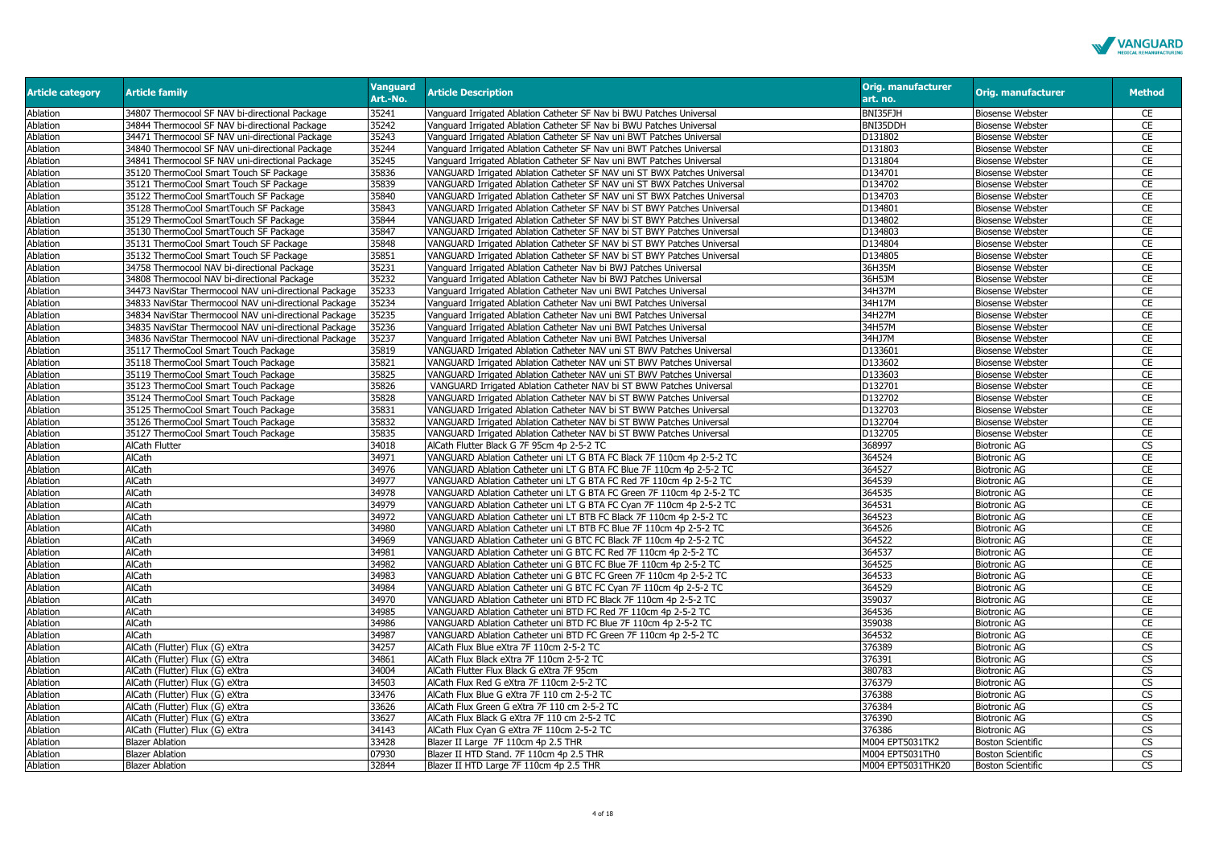

| BNI35FJH<br>34807 Thermocool SF NAV bi-directional Package<br>35241<br>Vanguard Irrigated Ablation Catheter SF Nav bi BWU Patches Universal<br>Ablation<br><b>Biosense Webster</b><br>CE<br>BNI35DDH<br>CE<br>Ablation<br>34844 Thermocool SF NAV bi-directional Package<br>35242<br>Vanguard Irrigated Ablation Catheter SF Nav bi BWU Patches Universal<br><b>Biosense Webster</b><br>Ablation<br>34471 Thermocool SF NAV uni-directional Package<br>35243<br>Vanguard Irrigated Ablation Catheter SF Nav uni BWT Patches Universal<br>D131802<br><b>Biosense Webster</b><br>CE<br>35244<br>D131803<br><b>Biosense Webster</b><br>CE<br>Ablation<br>34840 Thermocool SF NAV uni-directional Package<br>Vanguard Irrigated Ablation Catheter SF Nav uni BWT Patches Universal<br>CE<br>Ablation<br>34841 Thermocool SF NAV uni-directional Package<br>35245<br>Vanguard Irrigated Ablation Catheter SF Nav uni BWT Patches Universal<br>D131804<br><b>Biosense Webster</b><br>35120 ThermoCool Smart Touch SF Package<br>35836<br>VANGUARD Irrigated Ablation Catheter SF NAV uni ST BWX Patches Universal<br>D134701<br><b>Biosense Webster</b><br>CE<br>Ablation<br>CE<br>Ablation<br>35839<br>D134702<br><b>Biosense Webster</b><br>35121 ThermoCool Smart Touch SF Package<br>VANGUARD Irrigated Ablation Catheter SF NAV uni ST BWX Patches Universal<br>35840<br>D134703<br>CE<br><b>Biosense Webster</b><br>Ablation<br>35122 ThermoCool SmartTouch SF Package<br>VANGUARD Irrigated Ablation Catheter SF NAV uni ST BWX Patches Universal<br>CE<br>Ablation<br>35843<br>D134801<br><b>Biosense Webster</b><br>35128 ThermoCool SmartTouch SF Package<br>VANGUARD Irrigated Ablation Catheter SF NAV bi ST BWY Patches Universal<br>CE<br>Ablation<br>35844<br>VANGUARD Irrigated Ablation Catheter SF NAV bi ST BWY Patches Universal<br>D134802<br><b>Biosense Webster</b><br>35129 ThermoCool SmartTouch SF Package<br>CE<br>Ablation<br>35130 ThermoCool SmartTouch SF Package<br>35847<br>VANGUARD Irrigated Ablation Catheter SF NAV bi ST BWY Patches Universal<br>D134803<br><b>Biosense Webster</b><br>35848<br>D134804<br><b>Biosense Webster</b><br>CE<br>Ablation<br>35131 ThermoCool Smart Touch SF Package<br>VANGUARD Irrigated Ablation Catheter SF NAV bi ST BWY Patches Universal<br>Ablation<br>35132 ThermoCool Smart Touch SF Package<br>35851<br>VANGUARD Irrigated Ablation Catheter SF NAV bi ST BWY Patches Universal<br>D134805<br><b>Biosense Webster</b><br>CE<br>CE<br>Ablation<br>34758 Thermocool NAV bi-directional Package<br>35231<br>Vanguard Irrigated Ablation Catheter Nav bi BWJ Patches Universal<br>36H35M<br><b>Biosense Webster</b><br>35232<br>36H5JM<br>CE<br>Ablation<br>34808 Thermocool NAV bi-directional Package<br>Vanguard Irrigated Ablation Catheter Nav bi BWJ Patches Universal<br><b>Biosense Webster</b><br>35233<br>34H37M<br>CE<br>Ablation<br>34473 NaviStar Thermocool NAV uni-directional Package<br>Vanguard Irrigated Ablation Catheter Nav uni BWI Patches Universal<br><b>Biosense Webster</b><br>Ablation<br>34833 NaviStar Thermocool NAV uni-directional Package<br>35234<br>34H17M<br><b>Biosense Webster</b><br>CE<br>Vanguard Irrigated Ablation Catheter Nav uni BWI Patches Universal<br>CE<br>Ablation<br>35235<br>34H27M<br><b>Biosense Webster</b><br>34834 NaviStar Thermocool NAV uni-directional Package<br>Vanguard Irrigated Ablation Catheter Nav uni BWI Patches Universal<br>CE<br>35236<br>34H57M<br><b>Biosense Webster</b><br>Ablation<br>34835 NaviStar Thermocool NAV uni-directional Package<br>Vanguard Irrigated Ablation Catheter Nav uni BWI Patches Universal<br>Ablation<br>34836 NaviStar Thermocool NAV uni-directional Package<br>35237<br>Vanguard Irrigated Ablation Catheter Nav uni BWI Patches Universal<br>34HJ7M<br><b>Biosense Webster</b><br>CE<br>D133601<br>CE<br>Ablation<br>35117 ThermoCool Smart Touch Package<br>35819<br>VANGUARD Irrigated Ablation Catheter NAV uni ST BWV Patches Universal<br><b>Biosense Webster</b><br>35821<br>VANGUARD Irrigated Ablation Catheter NAV uni ST BWV Patches Universal<br>D133602<br><b>Biosense Webster</b><br>CE<br>Ablation<br>35118 ThermoCool Smart Touch Package<br>35825<br>D133603<br><b>Biosense Webster</b><br>CE<br>Ablation<br>35119 ThermoCool Smart Touch Package<br>VANGUARD Irrigated Ablation Catheter NAV uni ST BWV Patches Universal<br>CE<br>Ablation<br>35826<br>VANGUARD Irrigated Ablation Catheter NAV bi ST BWW Patches Universal<br>D132701<br><b>Biosense Webster</b><br>35123 ThermoCool Smart Touch Package<br>35828<br>D132702<br>CE<br>Ablation<br>VANGUARD Irrigated Ablation Catheter NAV bi ST BWW Patches Universal<br><b>Biosense Webster</b><br>35124 ThermoCool Smart Touch Package<br>CE<br>D132703<br>Ablation<br>35831<br>VANGUARD Irrigated Ablation Catheter NAV bi ST BWW Patches Universal<br><b>Biosense Webster</b><br>35125 ThermoCool Smart Touch Package<br>D132704<br>CE<br>Ablation<br>35832<br><b>Biosense Webster</b><br>35126 ThermoCool Smart Touch Package<br>VANGUARD Irrigated Ablation Catheter NAV bi ST BWW Patches Universal<br>D132705<br>CE<br>Ablation<br>35127 ThermoCool Smart Touch Package<br>35835<br>VANGUARD Irrigated Ablation Catheter NAV bi ST BWW Patches Universal<br><b>Biosense Webster</b><br>$\overline{\text{cs}}$<br>368997<br>Ablation<br>AlCath Flutter<br>34018<br>AlCath Flutter Black G 7F 95cm 4p 2-5-2 TC<br><b>Biotronic AG</b><br>AlCath<br>34971<br>VANGUARD Ablation Catheter uni LT G BTA FC Black 7F 110cm 4p 2-5-2 TC<br>364524<br><b>Biotronic AG</b><br>CE<br>Ablation<br>364527<br>CE<br>Ablation<br>AlCath<br>34976<br>VANGUARD Ablation Catheter uni LT G BTA FC Blue 7F 110cm 4p 2-5-2 TC<br><b>Biotronic AG</b><br>AlCath<br>34977<br>364539<br>CE<br>Ablation<br>VANGUARD Ablation Catheter uni LT G BTA FC Red 7F 110cm 4p 2-5-2 TC<br><b>Biotronic AG</b><br>CE<br>Ablation<br>AlCath<br>34978<br>364535<br><b>Biotronic AG</b><br>VANGUARD Ablation Catheter uni LT G BTA FC Green 7F 110cm 4p 2-5-2 TC<br>364531<br><b>Biotronic AG</b><br>CE<br>Ablation<br><b>AlCath</b><br>34979<br>VANGUARD Ablation Catheter uni LT G BTA FC Cyan 7F 110cm 4p 2-5-2 TC<br>CE<br>AlCath<br>34972<br>364523<br><b>Biotronic AG</b><br>Ablation<br>VANGUARD Ablation Catheter uni LT BTB FC Black 7F 110cm 4p 2-5-2 TC<br>CE<br>34980<br>364526<br>Ablation<br>AlCath<br>VANGUARD Ablation Catheter uni LT BTB FC Blue 7F 110cm 4p 2-5-2 TC<br><b>Biotronic AG</b><br>Ablation<br>AlCath<br>34969<br>VANGUARD Ablation Catheter uni G BTC FC Black 7F 110cm 4p 2-5-2 TC<br>364522<br><b>Biotronic AG</b><br>CE<br>AlCath<br>34981<br>364537<br><b>Biotronic AG</b><br>CE<br>Ablation<br>VANGUARD Ablation Catheter uni G BTC FC Red 7F 110cm 4p 2-5-2 TC<br>34982<br>364525<br>CE<br>Ablation<br>AlCath<br>VANGUARD Ablation Catheter uni G BTC FC Blue 7F 110cm 4p 2-5-2 TC<br><b>Biotronic AG</b><br>364533<br>CE<br>Ablation<br><b>AlCath</b><br>34983<br><b>Biotronic AG</b><br>VANGUARD Ablation Catheter uni G BTC FC Green 7F 110cm 4p 2-5-2 TC<br>Ablation<br>AlCath<br>34984<br>364529<br>CE<br>VANGUARD Ablation Catheter uni G BTC FC Cyan 7F 110cm 4p 2-5-2 TC<br><b>Biotronic AG</b><br>359037<br>CE<br>Ablation<br>AlCath<br>34970<br><b>Biotronic AG</b><br>VANGUARD Ablation Catheter uni BTD FC Black 7F 110cm 4p 2-5-2 TC<br>CE<br>Ablation<br>34985<br>364536<br>AlCath<br>VANGUARD Ablation Catheter uni BTD FC Red 7F 110cm 4p 2-5-2 TC<br><b>Biotronic AG</b><br>359038<br>CE<br>Ablation<br>AlCath<br>34986<br>VANGUARD Ablation Catheter uni BTD FC Blue 7F 110cm 4p 2-5-2 TC<br><b>Biotronic AG</b><br>364532<br>Ablation<br>AlCath<br>34987<br>VANGUARD Ablation Catheter uni BTD FC Green 7F 110cm 4p 2-5-2 TC<br><b>Biotronic AG</b><br>CE<br>Ablation<br>AlCath (Flutter) Flux (G) eXtra<br>34257<br>AlCath Flux Blue eXtra 7F 110cm 2-5-2 TC<br>376389<br><b>Biotronic AG</b><br><b>CS</b><br>376391<br>CS<br>Ablation<br>AlCath (Flutter) Flux (G) eXtra<br>34861<br>AlCath Flux Black eXtra 7F 110cm 2-5-2 TC<br><b>Biotronic AG</b><br><b>CS</b><br>Ablation<br>AlCath (Flutter) Flux (G) eXtra<br>34004<br>AlCath Flutter Flux Black G eXtra 7F 95cm<br>380783<br><b>Biotronic AG</b><br>AlCath Flux Red G eXtra 7F 110cm 2-5-2 TC<br>376379<br><b>CS</b><br>Ablation<br>AlCath (Flutter) Flux (G) eXtra<br>34503<br><b>Biotronic AG</b><br>33476<br>376388<br><b>CS</b><br>Ablation<br>AlCath (Flutter) Flux (G) eXtra<br>AlCath Flux Blue G eXtra 7F 110 cm 2-5-2 TC<br><b>Biotronic AG</b><br>CS<br>33626<br>376384<br><b>Biotronic AG</b><br>Ablation<br>AlCath (Flutter) Flux (G) eXtra<br>AlCath Flux Green G eXtra 7F 110 cm 2-5-2 TC<br>376390<br><b>Biotronic AG</b><br>CS<br>Ablation<br>AlCath (Flutter) Flux (G) eXtra<br>33627<br>AlCath Flux Black G eXtra 7F 110 cm 2-5-2 TC<br>$\overline{\text{CS}}$<br>34143<br>AlCath Flux Cyan G eXtra 7F 110cm 2-5-2 TC<br>376386<br><b>Biotronic AG</b><br>Ablation<br>AlCath (Flutter) Flux (G) eXtra<br>CS<br>Ablation<br><b>Blazer Ablation</b><br>33428<br>Blazer II Large 7F 110cm 4p 2.5 THR<br>M004 EPT5031TK2<br><b>Boston Scientific</b><br><b>CS</b><br>Ablation<br><b>Blazer Ablation</b><br>07930<br>Blazer II HTD Stand. 7F 110cm 4p 2.5 THR<br>M004 EPT5031TH0<br><b>Boston Scientific</b><br>32844<br><b>CS</b> | <b>Article category</b> | <b>Article family</b>  | <b>Vanguard</b><br>Art.-No. | <b>Article Description</b>              | <b>Orig. manufacturer</b><br>art. no. | <b>Orig. manufacturer</b> | <b>Method</b> |
|---------------------------------------------------------------------------------------------------------------------------------------------------------------------------------------------------------------------------------------------------------------------------------------------------------------------------------------------------------------------------------------------------------------------------------------------------------------------------------------------------------------------------------------------------------------------------------------------------------------------------------------------------------------------------------------------------------------------------------------------------------------------------------------------------------------------------------------------------------------------------------------------------------------------------------------------------------------------------------------------------------------------------------------------------------------------------------------------------------------------------------------------------------------------------------------------------------------------------------------------------------------------------------------------------------------------------------------------------------------------------------------------------------------------------------------------------------------------------------------------------------------------------------------------------------------------------------------------------------------------------------------------------------------------------------------------------------------------------------------------------------------------------------------------------------------------------------------------------------------------------------------------------------------------------------------------------------------------------------------------------------------------------------------------------------------------------------------------------------------------------------------------------------------------------------------------------------------------------------------------------------------------------------------------------------------------------------------------------------------------------------------------------------------------------------------------------------------------------------------------------------------------------------------------------------------------------------------------------------------------------------------------------------------------------------------------------------------------------------------------------------------------------------------------------------------------------------------------------------------------------------------------------------------------------------------------------------------------------------------------------------------------------------------------------------------------------------------------------------------------------------------------------------------------------------------------------------------------------------------------------------------------------------------------------------------------------------------------------------------------------------------------------------------------------------------------------------------------------------------------------------------------------------------------------------------------------------------------------------------------------------------------------------------------------------------------------------------------------------------------------------------------------------------------------------------------------------------------------------------------------------------------------------------------------------------------------------------------------------------------------------------------------------------------------------------------------------------------------------------------------------------------------------------------------------------------------------------------------------------------------------------------------------------------------------------------------------------------------------------------------------------------------------------------------------------------------------------------------------------------------------------------------------------------------------------------------------------------------------------------------------------------------------------------------------------------------------------------------------------------------------------------------------------------------------------------------------------------------------------------------------------------------------------------------------------------------------------------------------------------------------------------------------------------------------------------------------------------------------------------------------------------------------------------------------------------------------------------------------------------------------------------------------------------------------------------------------------------------------------------------------------------------------------------------------------------------------------------------------------------------------------------------------------------------------------------------------------------------------------------------------------------------------------------------------------------------------------------------------------------------------------------------------------------------------------------------------------------------------------------------------------------------------------------------------------------------------------------------------------------------------------------------------------------------------------------------------------------------------------------------------------------------------------------------------------------------------------------------------------------------------------------------------------------------------------------------------------------------------------------------------------------------------------------------------------------------------------------------------------------------------------------------------------------------------------------------------------------------------------------------------------------------------------------------------------------------------------------------------------------------------------------------------------------------------------------------------------------------------------------------------------------------------------------------------------------------------------------------------------------------------------------------------------------------------------------------------------------------------------------------------------------------------------------------------------------------------------------------------------------------------------------------------------------------------------------------------------------------------------------------------------------------------------------------------------------------------------------------------------------------------------------------------------------------------------------------------------------------------------------------------------------------------------------------------------------------------------------------------------------------------------------------------------------------------------------------------------------------------------------------------------------------------------------------------------------------------------------------------------------------------------------------------------------------------------------------------------------------------------------------------------------------------------------------------------------------------------------------------------------------------------------------------------------------------------------------------------------------------------------------------------------------------------------------------------------------------------------------------------------------------------------------------------------------------------------------------------------------------------------------------------------------------------------------------------------------------------------------------------------------------------------------------------------------------------------------------------------------------------------------------------------------------------------------------------------------------------------------------------------------------------------------------------------------------------------------------------------------------------------------------------------------------------------------------------------------------------------------------------------------------------------------------------------------------------------------------------------------------------------------------------------|-------------------------|------------------------|-----------------------------|-----------------------------------------|---------------------------------------|---------------------------|---------------|
|                                                                                                                                                                                                                                                                                                                                                                                                                                                                                                                                                                                                                                                                                                                                                                                                                                                                                                                                                                                                                                                                                                                                                                                                                                                                                                                                                                                                                                                                                                                                                                                                                                                                                                                                                                                                                                                                                                                                                                                                                                                                                                                                                                                                                                                                                                                                                                                                                                                                                                                                                                                                                                                                                                                                                                                                                                                                                                                                                                                                                                                                                                                                                                                                                                                                                                                                                                                                                                                                                                                                                                                                                                                                                                                                                                                                                                                                                                                                                                                                                                                                                                                                                                                                                                                                                                                                                                                                                                                                                                                                                                                                                                                                                                                                                                                                                                                                                                                                                                                                                                                                                                                                                                                                                                                                                                                                                                                                                                                                                                                                                                                                                                                                                                                                                                                                                                                                                                                                                                                                                                                                                                                                                                                                                                                                                                                                                                                                                                                                                                                                                                                                                                                                                                                                                                                                                                                                                                                                                                                                                                                                                                                                                                                                                                                                                                                                                                                                                                                                                                                                                                                                                                                                                                                                                                                                                                                                                                                                                                                                                                                                                                                                                                                                                                                                                                                                                                                                                                                                                                                                                                                                                                                                                                                                                                                                                                                                                                                                                                                                                                                                                                                                                                                                                                                                                                                                                                                             |                         |                        |                             |                                         |                                       |                           |               |
|                                                                                                                                                                                                                                                                                                                                                                                                                                                                                                                                                                                                                                                                                                                                                                                                                                                                                                                                                                                                                                                                                                                                                                                                                                                                                                                                                                                                                                                                                                                                                                                                                                                                                                                                                                                                                                                                                                                                                                                                                                                                                                                                                                                                                                                                                                                                                                                                                                                                                                                                                                                                                                                                                                                                                                                                                                                                                                                                                                                                                                                                                                                                                                                                                                                                                                                                                                                                                                                                                                                                                                                                                                                                                                                                                                                                                                                                                                                                                                                                                                                                                                                                                                                                                                                                                                                                                                                                                                                                                                                                                                                                                                                                                                                                                                                                                                                                                                                                                                                                                                                                                                                                                                                                                                                                                                                                                                                                                                                                                                                                                                                                                                                                                                                                                                                                                                                                                                                                                                                                                                                                                                                                                                                                                                                                                                                                                                                                                                                                                                                                                                                                                                                                                                                                                                                                                                                                                                                                                                                                                                                                                                                                                                                                                                                                                                                                                                                                                                                                                                                                                                                                                                                                                                                                                                                                                                                                                                                                                                                                                                                                                                                                                                                                                                                                                                                                                                                                                                                                                                                                                                                                                                                                                                                                                                                                                                                                                                                                                                                                                                                                                                                                                                                                                                                                                                                                                                                             |                         |                        |                             |                                         |                                       |                           |               |
|                                                                                                                                                                                                                                                                                                                                                                                                                                                                                                                                                                                                                                                                                                                                                                                                                                                                                                                                                                                                                                                                                                                                                                                                                                                                                                                                                                                                                                                                                                                                                                                                                                                                                                                                                                                                                                                                                                                                                                                                                                                                                                                                                                                                                                                                                                                                                                                                                                                                                                                                                                                                                                                                                                                                                                                                                                                                                                                                                                                                                                                                                                                                                                                                                                                                                                                                                                                                                                                                                                                                                                                                                                                                                                                                                                                                                                                                                                                                                                                                                                                                                                                                                                                                                                                                                                                                                                                                                                                                                                                                                                                                                                                                                                                                                                                                                                                                                                                                                                                                                                                                                                                                                                                                                                                                                                                                                                                                                                                                                                                                                                                                                                                                                                                                                                                                                                                                                                                                                                                                                                                                                                                                                                                                                                                                                                                                                                                                                                                                                                                                                                                                                                                                                                                                                                                                                                                                                                                                                                                                                                                                                                                                                                                                                                                                                                                                                                                                                                                                                                                                                                                                                                                                                                                                                                                                                                                                                                                                                                                                                                                                                                                                                                                                                                                                                                                                                                                                                                                                                                                                                                                                                                                                                                                                                                                                                                                                                                                                                                                                                                                                                                                                                                                                                                                                                                                                                                                             |                         |                        |                             |                                         |                                       |                           |               |
|                                                                                                                                                                                                                                                                                                                                                                                                                                                                                                                                                                                                                                                                                                                                                                                                                                                                                                                                                                                                                                                                                                                                                                                                                                                                                                                                                                                                                                                                                                                                                                                                                                                                                                                                                                                                                                                                                                                                                                                                                                                                                                                                                                                                                                                                                                                                                                                                                                                                                                                                                                                                                                                                                                                                                                                                                                                                                                                                                                                                                                                                                                                                                                                                                                                                                                                                                                                                                                                                                                                                                                                                                                                                                                                                                                                                                                                                                                                                                                                                                                                                                                                                                                                                                                                                                                                                                                                                                                                                                                                                                                                                                                                                                                                                                                                                                                                                                                                                                                                                                                                                                                                                                                                                                                                                                                                                                                                                                                                                                                                                                                                                                                                                                                                                                                                                                                                                                                                                                                                                                                                                                                                                                                                                                                                                                                                                                                                                                                                                                                                                                                                                                                                                                                                                                                                                                                                                                                                                                                                                                                                                                                                                                                                                                                                                                                                                                                                                                                                                                                                                                                                                                                                                                                                                                                                                                                                                                                                                                                                                                                                                                                                                                                                                                                                                                                                                                                                                                                                                                                                                                                                                                                                                                                                                                                                                                                                                                                                                                                                                                                                                                                                                                                                                                                                                                                                                                                                             |                         |                        |                             |                                         |                                       |                           |               |
|                                                                                                                                                                                                                                                                                                                                                                                                                                                                                                                                                                                                                                                                                                                                                                                                                                                                                                                                                                                                                                                                                                                                                                                                                                                                                                                                                                                                                                                                                                                                                                                                                                                                                                                                                                                                                                                                                                                                                                                                                                                                                                                                                                                                                                                                                                                                                                                                                                                                                                                                                                                                                                                                                                                                                                                                                                                                                                                                                                                                                                                                                                                                                                                                                                                                                                                                                                                                                                                                                                                                                                                                                                                                                                                                                                                                                                                                                                                                                                                                                                                                                                                                                                                                                                                                                                                                                                                                                                                                                                                                                                                                                                                                                                                                                                                                                                                                                                                                                                                                                                                                                                                                                                                                                                                                                                                                                                                                                                                                                                                                                                                                                                                                                                                                                                                                                                                                                                                                                                                                                                                                                                                                                                                                                                                                                                                                                                                                                                                                                                                                                                                                                                                                                                                                                                                                                                                                                                                                                                                                                                                                                                                                                                                                                                                                                                                                                                                                                                                                                                                                                                                                                                                                                                                                                                                                                                                                                                                                                                                                                                                                                                                                                                                                                                                                                                                                                                                                                                                                                                                                                                                                                                                                                                                                                                                                                                                                                                                                                                                                                                                                                                                                                                                                                                                                                                                                                                                             |                         |                        |                             |                                         |                                       |                           |               |
|                                                                                                                                                                                                                                                                                                                                                                                                                                                                                                                                                                                                                                                                                                                                                                                                                                                                                                                                                                                                                                                                                                                                                                                                                                                                                                                                                                                                                                                                                                                                                                                                                                                                                                                                                                                                                                                                                                                                                                                                                                                                                                                                                                                                                                                                                                                                                                                                                                                                                                                                                                                                                                                                                                                                                                                                                                                                                                                                                                                                                                                                                                                                                                                                                                                                                                                                                                                                                                                                                                                                                                                                                                                                                                                                                                                                                                                                                                                                                                                                                                                                                                                                                                                                                                                                                                                                                                                                                                                                                                                                                                                                                                                                                                                                                                                                                                                                                                                                                                                                                                                                                                                                                                                                                                                                                                                                                                                                                                                                                                                                                                                                                                                                                                                                                                                                                                                                                                                                                                                                                                                                                                                                                                                                                                                                                                                                                                                                                                                                                                                                                                                                                                                                                                                                                                                                                                                                                                                                                                                                                                                                                                                                                                                                                                                                                                                                                                                                                                                                                                                                                                                                                                                                                                                                                                                                                                                                                                                                                                                                                                                                                                                                                                                                                                                                                                                                                                                                                                                                                                                                                                                                                                                                                                                                                                                                                                                                                                                                                                                                                                                                                                                                                                                                                                                                                                                                                                                             |                         |                        |                             |                                         |                                       |                           |               |
|                                                                                                                                                                                                                                                                                                                                                                                                                                                                                                                                                                                                                                                                                                                                                                                                                                                                                                                                                                                                                                                                                                                                                                                                                                                                                                                                                                                                                                                                                                                                                                                                                                                                                                                                                                                                                                                                                                                                                                                                                                                                                                                                                                                                                                                                                                                                                                                                                                                                                                                                                                                                                                                                                                                                                                                                                                                                                                                                                                                                                                                                                                                                                                                                                                                                                                                                                                                                                                                                                                                                                                                                                                                                                                                                                                                                                                                                                                                                                                                                                                                                                                                                                                                                                                                                                                                                                                                                                                                                                                                                                                                                                                                                                                                                                                                                                                                                                                                                                                                                                                                                                                                                                                                                                                                                                                                                                                                                                                                                                                                                                                                                                                                                                                                                                                                                                                                                                                                                                                                                                                                                                                                                                                                                                                                                                                                                                                                                                                                                                                                                                                                                                                                                                                                                                                                                                                                                                                                                                                                                                                                                                                                                                                                                                                                                                                                                                                                                                                                                                                                                                                                                                                                                                                                                                                                                                                                                                                                                                                                                                                                                                                                                                                                                                                                                                                                                                                                                                                                                                                                                                                                                                                                                                                                                                                                                                                                                                                                                                                                                                                                                                                                                                                                                                                                                                                                                                                                             |                         |                        |                             |                                         |                                       |                           |               |
|                                                                                                                                                                                                                                                                                                                                                                                                                                                                                                                                                                                                                                                                                                                                                                                                                                                                                                                                                                                                                                                                                                                                                                                                                                                                                                                                                                                                                                                                                                                                                                                                                                                                                                                                                                                                                                                                                                                                                                                                                                                                                                                                                                                                                                                                                                                                                                                                                                                                                                                                                                                                                                                                                                                                                                                                                                                                                                                                                                                                                                                                                                                                                                                                                                                                                                                                                                                                                                                                                                                                                                                                                                                                                                                                                                                                                                                                                                                                                                                                                                                                                                                                                                                                                                                                                                                                                                                                                                                                                                                                                                                                                                                                                                                                                                                                                                                                                                                                                                                                                                                                                                                                                                                                                                                                                                                                                                                                                                                                                                                                                                                                                                                                                                                                                                                                                                                                                                                                                                                                                                                                                                                                                                                                                                                                                                                                                                                                                                                                                                                                                                                                                                                                                                                                                                                                                                                                                                                                                                                                                                                                                                                                                                                                                                                                                                                                                                                                                                                                                                                                                                                                                                                                                                                                                                                                                                                                                                                                                                                                                                                                                                                                                                                                                                                                                                                                                                                                                                                                                                                                                                                                                                                                                                                                                                                                                                                                                                                                                                                                                                                                                                                                                                                                                                                                                                                                                                                             |                         |                        |                             |                                         |                                       |                           |               |
|                                                                                                                                                                                                                                                                                                                                                                                                                                                                                                                                                                                                                                                                                                                                                                                                                                                                                                                                                                                                                                                                                                                                                                                                                                                                                                                                                                                                                                                                                                                                                                                                                                                                                                                                                                                                                                                                                                                                                                                                                                                                                                                                                                                                                                                                                                                                                                                                                                                                                                                                                                                                                                                                                                                                                                                                                                                                                                                                                                                                                                                                                                                                                                                                                                                                                                                                                                                                                                                                                                                                                                                                                                                                                                                                                                                                                                                                                                                                                                                                                                                                                                                                                                                                                                                                                                                                                                                                                                                                                                                                                                                                                                                                                                                                                                                                                                                                                                                                                                                                                                                                                                                                                                                                                                                                                                                                                                                                                                                                                                                                                                                                                                                                                                                                                                                                                                                                                                                                                                                                                                                                                                                                                                                                                                                                                                                                                                                                                                                                                                                                                                                                                                                                                                                                                                                                                                                                                                                                                                                                                                                                                                                                                                                                                                                                                                                                                                                                                                                                                                                                                                                                                                                                                                                                                                                                                                                                                                                                                                                                                                                                                                                                                                                                                                                                                                                                                                                                                                                                                                                                                                                                                                                                                                                                                                                                                                                                                                                                                                                                                                                                                                                                                                                                                                                                                                                                                                                             |                         |                        |                             |                                         |                                       |                           |               |
|                                                                                                                                                                                                                                                                                                                                                                                                                                                                                                                                                                                                                                                                                                                                                                                                                                                                                                                                                                                                                                                                                                                                                                                                                                                                                                                                                                                                                                                                                                                                                                                                                                                                                                                                                                                                                                                                                                                                                                                                                                                                                                                                                                                                                                                                                                                                                                                                                                                                                                                                                                                                                                                                                                                                                                                                                                                                                                                                                                                                                                                                                                                                                                                                                                                                                                                                                                                                                                                                                                                                                                                                                                                                                                                                                                                                                                                                                                                                                                                                                                                                                                                                                                                                                                                                                                                                                                                                                                                                                                                                                                                                                                                                                                                                                                                                                                                                                                                                                                                                                                                                                                                                                                                                                                                                                                                                                                                                                                                                                                                                                                                                                                                                                                                                                                                                                                                                                                                                                                                                                                                                                                                                                                                                                                                                                                                                                                                                                                                                                                                                                                                                                                                                                                                                                                                                                                                                                                                                                                                                                                                                                                                                                                                                                                                                                                                                                                                                                                                                                                                                                                                                                                                                                                                                                                                                                                                                                                                                                                                                                                                                                                                                                                                                                                                                                                                                                                                                                                                                                                                                                                                                                                                                                                                                                                                                                                                                                                                                                                                                                                                                                                                                                                                                                                                                                                                                                                                             |                         |                        |                             |                                         |                                       |                           |               |
|                                                                                                                                                                                                                                                                                                                                                                                                                                                                                                                                                                                                                                                                                                                                                                                                                                                                                                                                                                                                                                                                                                                                                                                                                                                                                                                                                                                                                                                                                                                                                                                                                                                                                                                                                                                                                                                                                                                                                                                                                                                                                                                                                                                                                                                                                                                                                                                                                                                                                                                                                                                                                                                                                                                                                                                                                                                                                                                                                                                                                                                                                                                                                                                                                                                                                                                                                                                                                                                                                                                                                                                                                                                                                                                                                                                                                                                                                                                                                                                                                                                                                                                                                                                                                                                                                                                                                                                                                                                                                                                                                                                                                                                                                                                                                                                                                                                                                                                                                                                                                                                                                                                                                                                                                                                                                                                                                                                                                                                                                                                                                                                                                                                                                                                                                                                                                                                                                                                                                                                                                                                                                                                                                                                                                                                                                                                                                                                                                                                                                                                                                                                                                                                                                                                                                                                                                                                                                                                                                                                                                                                                                                                                                                                                                                                                                                                                                                                                                                                                                                                                                                                                                                                                                                                                                                                                                                                                                                                                                                                                                                                                                                                                                                                                                                                                                                                                                                                                                                                                                                                                                                                                                                                                                                                                                                                                                                                                                                                                                                                                                                                                                                                                                                                                                                                                                                                                                                                             |                         |                        |                             |                                         |                                       |                           |               |
|                                                                                                                                                                                                                                                                                                                                                                                                                                                                                                                                                                                                                                                                                                                                                                                                                                                                                                                                                                                                                                                                                                                                                                                                                                                                                                                                                                                                                                                                                                                                                                                                                                                                                                                                                                                                                                                                                                                                                                                                                                                                                                                                                                                                                                                                                                                                                                                                                                                                                                                                                                                                                                                                                                                                                                                                                                                                                                                                                                                                                                                                                                                                                                                                                                                                                                                                                                                                                                                                                                                                                                                                                                                                                                                                                                                                                                                                                                                                                                                                                                                                                                                                                                                                                                                                                                                                                                                                                                                                                                                                                                                                                                                                                                                                                                                                                                                                                                                                                                                                                                                                                                                                                                                                                                                                                                                                                                                                                                                                                                                                                                                                                                                                                                                                                                                                                                                                                                                                                                                                                                                                                                                                                                                                                                                                                                                                                                                                                                                                                                                                                                                                                                                                                                                                                                                                                                                                                                                                                                                                                                                                                                                                                                                                                                                                                                                                                                                                                                                                                                                                                                                                                                                                                                                                                                                                                                                                                                                                                                                                                                                                                                                                                                                                                                                                                                                                                                                                                                                                                                                                                                                                                                                                                                                                                                                                                                                                                                                                                                                                                                                                                                                                                                                                                                                                                                                                                                                             |                         |                        |                             |                                         |                                       |                           |               |
|                                                                                                                                                                                                                                                                                                                                                                                                                                                                                                                                                                                                                                                                                                                                                                                                                                                                                                                                                                                                                                                                                                                                                                                                                                                                                                                                                                                                                                                                                                                                                                                                                                                                                                                                                                                                                                                                                                                                                                                                                                                                                                                                                                                                                                                                                                                                                                                                                                                                                                                                                                                                                                                                                                                                                                                                                                                                                                                                                                                                                                                                                                                                                                                                                                                                                                                                                                                                                                                                                                                                                                                                                                                                                                                                                                                                                                                                                                                                                                                                                                                                                                                                                                                                                                                                                                                                                                                                                                                                                                                                                                                                                                                                                                                                                                                                                                                                                                                                                                                                                                                                                                                                                                                                                                                                                                                                                                                                                                                                                                                                                                                                                                                                                                                                                                                                                                                                                                                                                                                                                                                                                                                                                                                                                                                                                                                                                                                                                                                                                                                                                                                                                                                                                                                                                                                                                                                                                                                                                                                                                                                                                                                                                                                                                                                                                                                                                                                                                                                                                                                                                                                                                                                                                                                                                                                                                                                                                                                                                                                                                                                                                                                                                                                                                                                                                                                                                                                                                                                                                                                                                                                                                                                                                                                                                                                                                                                                                                                                                                                                                                                                                                                                                                                                                                                                                                                                                                                             |                         |                        |                             |                                         |                                       |                           |               |
|                                                                                                                                                                                                                                                                                                                                                                                                                                                                                                                                                                                                                                                                                                                                                                                                                                                                                                                                                                                                                                                                                                                                                                                                                                                                                                                                                                                                                                                                                                                                                                                                                                                                                                                                                                                                                                                                                                                                                                                                                                                                                                                                                                                                                                                                                                                                                                                                                                                                                                                                                                                                                                                                                                                                                                                                                                                                                                                                                                                                                                                                                                                                                                                                                                                                                                                                                                                                                                                                                                                                                                                                                                                                                                                                                                                                                                                                                                                                                                                                                                                                                                                                                                                                                                                                                                                                                                                                                                                                                                                                                                                                                                                                                                                                                                                                                                                                                                                                                                                                                                                                                                                                                                                                                                                                                                                                                                                                                                                                                                                                                                                                                                                                                                                                                                                                                                                                                                                                                                                                                                                                                                                                                                                                                                                                                                                                                                                                                                                                                                                                                                                                                                                                                                                                                                                                                                                                                                                                                                                                                                                                                                                                                                                                                                                                                                                                                                                                                                                                                                                                                                                                                                                                                                                                                                                                                                                                                                                                                                                                                                                                                                                                                                                                                                                                                                                                                                                                                                                                                                                                                                                                                                                                                                                                                                                                                                                                                                                                                                                                                                                                                                                                                                                                                                                                                                                                                                                             |                         |                        |                             |                                         |                                       |                           |               |
|                                                                                                                                                                                                                                                                                                                                                                                                                                                                                                                                                                                                                                                                                                                                                                                                                                                                                                                                                                                                                                                                                                                                                                                                                                                                                                                                                                                                                                                                                                                                                                                                                                                                                                                                                                                                                                                                                                                                                                                                                                                                                                                                                                                                                                                                                                                                                                                                                                                                                                                                                                                                                                                                                                                                                                                                                                                                                                                                                                                                                                                                                                                                                                                                                                                                                                                                                                                                                                                                                                                                                                                                                                                                                                                                                                                                                                                                                                                                                                                                                                                                                                                                                                                                                                                                                                                                                                                                                                                                                                                                                                                                                                                                                                                                                                                                                                                                                                                                                                                                                                                                                                                                                                                                                                                                                                                                                                                                                                                                                                                                                                                                                                                                                                                                                                                                                                                                                                                                                                                                                                                                                                                                                                                                                                                                                                                                                                                                                                                                                                                                                                                                                                                                                                                                                                                                                                                                                                                                                                                                                                                                                                                                                                                                                                                                                                                                                                                                                                                                                                                                                                                                                                                                                                                                                                                                                                                                                                                                                                                                                                                                                                                                                                                                                                                                                                                                                                                                                                                                                                                                                                                                                                                                                                                                                                                                                                                                                                                                                                                                                                                                                                                                                                                                                                                                                                                                                                                             |                         |                        |                             |                                         |                                       |                           |               |
|                                                                                                                                                                                                                                                                                                                                                                                                                                                                                                                                                                                                                                                                                                                                                                                                                                                                                                                                                                                                                                                                                                                                                                                                                                                                                                                                                                                                                                                                                                                                                                                                                                                                                                                                                                                                                                                                                                                                                                                                                                                                                                                                                                                                                                                                                                                                                                                                                                                                                                                                                                                                                                                                                                                                                                                                                                                                                                                                                                                                                                                                                                                                                                                                                                                                                                                                                                                                                                                                                                                                                                                                                                                                                                                                                                                                                                                                                                                                                                                                                                                                                                                                                                                                                                                                                                                                                                                                                                                                                                                                                                                                                                                                                                                                                                                                                                                                                                                                                                                                                                                                                                                                                                                                                                                                                                                                                                                                                                                                                                                                                                                                                                                                                                                                                                                                                                                                                                                                                                                                                                                                                                                                                                                                                                                                                                                                                                                                                                                                                                                                                                                                                                                                                                                                                                                                                                                                                                                                                                                                                                                                                                                                                                                                                                                                                                                                                                                                                                                                                                                                                                                                                                                                                                                                                                                                                                                                                                                                                                                                                                                                                                                                                                                                                                                                                                                                                                                                                                                                                                                                                                                                                                                                                                                                                                                                                                                                                                                                                                                                                                                                                                                                                                                                                                                                                                                                                                                             |                         |                        |                             |                                         |                                       |                           |               |
|                                                                                                                                                                                                                                                                                                                                                                                                                                                                                                                                                                                                                                                                                                                                                                                                                                                                                                                                                                                                                                                                                                                                                                                                                                                                                                                                                                                                                                                                                                                                                                                                                                                                                                                                                                                                                                                                                                                                                                                                                                                                                                                                                                                                                                                                                                                                                                                                                                                                                                                                                                                                                                                                                                                                                                                                                                                                                                                                                                                                                                                                                                                                                                                                                                                                                                                                                                                                                                                                                                                                                                                                                                                                                                                                                                                                                                                                                                                                                                                                                                                                                                                                                                                                                                                                                                                                                                                                                                                                                                                                                                                                                                                                                                                                                                                                                                                                                                                                                                                                                                                                                                                                                                                                                                                                                                                                                                                                                                                                                                                                                                                                                                                                                                                                                                                                                                                                                                                                                                                                                                                                                                                                                                                                                                                                                                                                                                                                                                                                                                                                                                                                                                                                                                                                                                                                                                                                                                                                                                                                                                                                                                                                                                                                                                                                                                                                                                                                                                                                                                                                                                                                                                                                                                                                                                                                                                                                                                                                                                                                                                                                                                                                                                                                                                                                                                                                                                                                                                                                                                                                                                                                                                                                                                                                                                                                                                                                                                                                                                                                                                                                                                                                                                                                                                                                                                                                                                                             |                         |                        |                             |                                         |                                       |                           |               |
|                                                                                                                                                                                                                                                                                                                                                                                                                                                                                                                                                                                                                                                                                                                                                                                                                                                                                                                                                                                                                                                                                                                                                                                                                                                                                                                                                                                                                                                                                                                                                                                                                                                                                                                                                                                                                                                                                                                                                                                                                                                                                                                                                                                                                                                                                                                                                                                                                                                                                                                                                                                                                                                                                                                                                                                                                                                                                                                                                                                                                                                                                                                                                                                                                                                                                                                                                                                                                                                                                                                                                                                                                                                                                                                                                                                                                                                                                                                                                                                                                                                                                                                                                                                                                                                                                                                                                                                                                                                                                                                                                                                                                                                                                                                                                                                                                                                                                                                                                                                                                                                                                                                                                                                                                                                                                                                                                                                                                                                                                                                                                                                                                                                                                                                                                                                                                                                                                                                                                                                                                                                                                                                                                                                                                                                                                                                                                                                                                                                                                                                                                                                                                                                                                                                                                                                                                                                                                                                                                                                                                                                                                                                                                                                                                                                                                                                                                                                                                                                                                                                                                                                                                                                                                                                                                                                                                                                                                                                                                                                                                                                                                                                                                                                                                                                                                                                                                                                                                                                                                                                                                                                                                                                                                                                                                                                                                                                                                                                                                                                                                                                                                                                                                                                                                                                                                                                                                                                             |                         |                        |                             |                                         |                                       |                           |               |
|                                                                                                                                                                                                                                                                                                                                                                                                                                                                                                                                                                                                                                                                                                                                                                                                                                                                                                                                                                                                                                                                                                                                                                                                                                                                                                                                                                                                                                                                                                                                                                                                                                                                                                                                                                                                                                                                                                                                                                                                                                                                                                                                                                                                                                                                                                                                                                                                                                                                                                                                                                                                                                                                                                                                                                                                                                                                                                                                                                                                                                                                                                                                                                                                                                                                                                                                                                                                                                                                                                                                                                                                                                                                                                                                                                                                                                                                                                                                                                                                                                                                                                                                                                                                                                                                                                                                                                                                                                                                                                                                                                                                                                                                                                                                                                                                                                                                                                                                                                                                                                                                                                                                                                                                                                                                                                                                                                                                                                                                                                                                                                                                                                                                                                                                                                                                                                                                                                                                                                                                                                                                                                                                                                                                                                                                                                                                                                                                                                                                                                                                                                                                                                                                                                                                                                                                                                                                                                                                                                                                                                                                                                                                                                                                                                                                                                                                                                                                                                                                                                                                                                                                                                                                                                                                                                                                                                                                                                                                                                                                                                                                                                                                                                                                                                                                                                                                                                                                                                                                                                                                                                                                                                                                                                                                                                                                                                                                                                                                                                                                                                                                                                                                                                                                                                                                                                                                                                                             |                         |                        |                             |                                         |                                       |                           |               |
|                                                                                                                                                                                                                                                                                                                                                                                                                                                                                                                                                                                                                                                                                                                                                                                                                                                                                                                                                                                                                                                                                                                                                                                                                                                                                                                                                                                                                                                                                                                                                                                                                                                                                                                                                                                                                                                                                                                                                                                                                                                                                                                                                                                                                                                                                                                                                                                                                                                                                                                                                                                                                                                                                                                                                                                                                                                                                                                                                                                                                                                                                                                                                                                                                                                                                                                                                                                                                                                                                                                                                                                                                                                                                                                                                                                                                                                                                                                                                                                                                                                                                                                                                                                                                                                                                                                                                                                                                                                                                                                                                                                                                                                                                                                                                                                                                                                                                                                                                                                                                                                                                                                                                                                                                                                                                                                                                                                                                                                                                                                                                                                                                                                                                                                                                                                                                                                                                                                                                                                                                                                                                                                                                                                                                                                                                                                                                                                                                                                                                                                                                                                                                                                                                                                                                                                                                                                                                                                                                                                                                                                                                                                                                                                                                                                                                                                                                                                                                                                                                                                                                                                                                                                                                                                                                                                                                                                                                                                                                                                                                                                                                                                                                                                                                                                                                                                                                                                                                                                                                                                                                                                                                                                                                                                                                                                                                                                                                                                                                                                                                                                                                                                                                                                                                                                                                                                                                                                             |                         |                        |                             |                                         |                                       |                           |               |
|                                                                                                                                                                                                                                                                                                                                                                                                                                                                                                                                                                                                                                                                                                                                                                                                                                                                                                                                                                                                                                                                                                                                                                                                                                                                                                                                                                                                                                                                                                                                                                                                                                                                                                                                                                                                                                                                                                                                                                                                                                                                                                                                                                                                                                                                                                                                                                                                                                                                                                                                                                                                                                                                                                                                                                                                                                                                                                                                                                                                                                                                                                                                                                                                                                                                                                                                                                                                                                                                                                                                                                                                                                                                                                                                                                                                                                                                                                                                                                                                                                                                                                                                                                                                                                                                                                                                                                                                                                                                                                                                                                                                                                                                                                                                                                                                                                                                                                                                                                                                                                                                                                                                                                                                                                                                                                                                                                                                                                                                                                                                                                                                                                                                                                                                                                                                                                                                                                                                                                                                                                                                                                                                                                                                                                                                                                                                                                                                                                                                                                                                                                                                                                                                                                                                                                                                                                                                                                                                                                                                                                                                                                                                                                                                                                                                                                                                                                                                                                                                                                                                                                                                                                                                                                                                                                                                                                                                                                                                                                                                                                                                                                                                                                                                                                                                                                                                                                                                                                                                                                                                                                                                                                                                                                                                                                                                                                                                                                                                                                                                                                                                                                                                                                                                                                                                                                                                                                                             |                         |                        |                             |                                         |                                       |                           |               |
|                                                                                                                                                                                                                                                                                                                                                                                                                                                                                                                                                                                                                                                                                                                                                                                                                                                                                                                                                                                                                                                                                                                                                                                                                                                                                                                                                                                                                                                                                                                                                                                                                                                                                                                                                                                                                                                                                                                                                                                                                                                                                                                                                                                                                                                                                                                                                                                                                                                                                                                                                                                                                                                                                                                                                                                                                                                                                                                                                                                                                                                                                                                                                                                                                                                                                                                                                                                                                                                                                                                                                                                                                                                                                                                                                                                                                                                                                                                                                                                                                                                                                                                                                                                                                                                                                                                                                                                                                                                                                                                                                                                                                                                                                                                                                                                                                                                                                                                                                                                                                                                                                                                                                                                                                                                                                                                                                                                                                                                                                                                                                                                                                                                                                                                                                                                                                                                                                                                                                                                                                                                                                                                                                                                                                                                                                                                                                                                                                                                                                                                                                                                                                                                                                                                                                                                                                                                                                                                                                                                                                                                                                                                                                                                                                                                                                                                                                                                                                                                                                                                                                                                                                                                                                                                                                                                                                                                                                                                                                                                                                                                                                                                                                                                                                                                                                                                                                                                                                                                                                                                                                                                                                                                                                                                                                                                                                                                                                                                                                                                                                                                                                                                                                                                                                                                                                                                                                                                             |                         |                        |                             |                                         |                                       |                           |               |
|                                                                                                                                                                                                                                                                                                                                                                                                                                                                                                                                                                                                                                                                                                                                                                                                                                                                                                                                                                                                                                                                                                                                                                                                                                                                                                                                                                                                                                                                                                                                                                                                                                                                                                                                                                                                                                                                                                                                                                                                                                                                                                                                                                                                                                                                                                                                                                                                                                                                                                                                                                                                                                                                                                                                                                                                                                                                                                                                                                                                                                                                                                                                                                                                                                                                                                                                                                                                                                                                                                                                                                                                                                                                                                                                                                                                                                                                                                                                                                                                                                                                                                                                                                                                                                                                                                                                                                                                                                                                                                                                                                                                                                                                                                                                                                                                                                                                                                                                                                                                                                                                                                                                                                                                                                                                                                                                                                                                                                                                                                                                                                                                                                                                                                                                                                                                                                                                                                                                                                                                                                                                                                                                                                                                                                                                                                                                                                                                                                                                                                                                                                                                                                                                                                                                                                                                                                                                                                                                                                                                                                                                                                                                                                                                                                                                                                                                                                                                                                                                                                                                                                                                                                                                                                                                                                                                                                                                                                                                                                                                                                                                                                                                                                                                                                                                                                                                                                                                                                                                                                                                                                                                                                                                                                                                                                                                                                                                                                                                                                                                                                                                                                                                                                                                                                                                                                                                                                                             |                         |                        |                             |                                         |                                       |                           |               |
|                                                                                                                                                                                                                                                                                                                                                                                                                                                                                                                                                                                                                                                                                                                                                                                                                                                                                                                                                                                                                                                                                                                                                                                                                                                                                                                                                                                                                                                                                                                                                                                                                                                                                                                                                                                                                                                                                                                                                                                                                                                                                                                                                                                                                                                                                                                                                                                                                                                                                                                                                                                                                                                                                                                                                                                                                                                                                                                                                                                                                                                                                                                                                                                                                                                                                                                                                                                                                                                                                                                                                                                                                                                                                                                                                                                                                                                                                                                                                                                                                                                                                                                                                                                                                                                                                                                                                                                                                                                                                                                                                                                                                                                                                                                                                                                                                                                                                                                                                                                                                                                                                                                                                                                                                                                                                                                                                                                                                                                                                                                                                                                                                                                                                                                                                                                                                                                                                                                                                                                                                                                                                                                                                                                                                                                                                                                                                                                                                                                                                                                                                                                                                                                                                                                                                                                                                                                                                                                                                                                                                                                                                                                                                                                                                                                                                                                                                                                                                                                                                                                                                                                                                                                                                                                                                                                                                                                                                                                                                                                                                                                                                                                                                                                                                                                                                                                                                                                                                                                                                                                                                                                                                                                                                                                                                                                                                                                                                                                                                                                                                                                                                                                                                                                                                                                                                                                                                                                             |                         |                        |                             |                                         |                                       |                           |               |
|                                                                                                                                                                                                                                                                                                                                                                                                                                                                                                                                                                                                                                                                                                                                                                                                                                                                                                                                                                                                                                                                                                                                                                                                                                                                                                                                                                                                                                                                                                                                                                                                                                                                                                                                                                                                                                                                                                                                                                                                                                                                                                                                                                                                                                                                                                                                                                                                                                                                                                                                                                                                                                                                                                                                                                                                                                                                                                                                                                                                                                                                                                                                                                                                                                                                                                                                                                                                                                                                                                                                                                                                                                                                                                                                                                                                                                                                                                                                                                                                                                                                                                                                                                                                                                                                                                                                                                                                                                                                                                                                                                                                                                                                                                                                                                                                                                                                                                                                                                                                                                                                                                                                                                                                                                                                                                                                                                                                                                                                                                                                                                                                                                                                                                                                                                                                                                                                                                                                                                                                                                                                                                                                                                                                                                                                                                                                                                                                                                                                                                                                                                                                                                                                                                                                                                                                                                                                                                                                                                                                                                                                                                                                                                                                                                                                                                                                                                                                                                                                                                                                                                                                                                                                                                                                                                                                                                                                                                                                                                                                                                                                                                                                                                                                                                                                                                                                                                                                                                                                                                                                                                                                                                                                                                                                                                                                                                                                                                                                                                                                                                                                                                                                                                                                                                                                                                                                                                                             |                         |                        |                             |                                         |                                       |                           |               |
|                                                                                                                                                                                                                                                                                                                                                                                                                                                                                                                                                                                                                                                                                                                                                                                                                                                                                                                                                                                                                                                                                                                                                                                                                                                                                                                                                                                                                                                                                                                                                                                                                                                                                                                                                                                                                                                                                                                                                                                                                                                                                                                                                                                                                                                                                                                                                                                                                                                                                                                                                                                                                                                                                                                                                                                                                                                                                                                                                                                                                                                                                                                                                                                                                                                                                                                                                                                                                                                                                                                                                                                                                                                                                                                                                                                                                                                                                                                                                                                                                                                                                                                                                                                                                                                                                                                                                                                                                                                                                                                                                                                                                                                                                                                                                                                                                                                                                                                                                                                                                                                                                                                                                                                                                                                                                                                                                                                                                                                                                                                                                                                                                                                                                                                                                                                                                                                                                                                                                                                                                                                                                                                                                                                                                                                                                                                                                                                                                                                                                                                                                                                                                                                                                                                                                                                                                                                                                                                                                                                                                                                                                                                                                                                                                                                                                                                                                                                                                                                                                                                                                                                                                                                                                                                                                                                                                                                                                                                                                                                                                                                                                                                                                                                                                                                                                                                                                                                                                                                                                                                                                                                                                                                                                                                                                                                                                                                                                                                                                                                                                                                                                                                                                                                                                                                                                                                                                                                             |                         |                        |                             |                                         |                                       |                           |               |
|                                                                                                                                                                                                                                                                                                                                                                                                                                                                                                                                                                                                                                                                                                                                                                                                                                                                                                                                                                                                                                                                                                                                                                                                                                                                                                                                                                                                                                                                                                                                                                                                                                                                                                                                                                                                                                                                                                                                                                                                                                                                                                                                                                                                                                                                                                                                                                                                                                                                                                                                                                                                                                                                                                                                                                                                                                                                                                                                                                                                                                                                                                                                                                                                                                                                                                                                                                                                                                                                                                                                                                                                                                                                                                                                                                                                                                                                                                                                                                                                                                                                                                                                                                                                                                                                                                                                                                                                                                                                                                                                                                                                                                                                                                                                                                                                                                                                                                                                                                                                                                                                                                                                                                                                                                                                                                                                                                                                                                                                                                                                                                                                                                                                                                                                                                                                                                                                                                                                                                                                                                                                                                                                                                                                                                                                                                                                                                                                                                                                                                                                                                                                                                                                                                                                                                                                                                                                                                                                                                                                                                                                                                                                                                                                                                                                                                                                                                                                                                                                                                                                                                                                                                                                                                                                                                                                                                                                                                                                                                                                                                                                                                                                                                                                                                                                                                                                                                                                                                                                                                                                                                                                                                                                                                                                                                                                                                                                                                                                                                                                                                                                                                                                                                                                                                                                                                                                                                                             |                         |                        |                             |                                         |                                       |                           |               |
|                                                                                                                                                                                                                                                                                                                                                                                                                                                                                                                                                                                                                                                                                                                                                                                                                                                                                                                                                                                                                                                                                                                                                                                                                                                                                                                                                                                                                                                                                                                                                                                                                                                                                                                                                                                                                                                                                                                                                                                                                                                                                                                                                                                                                                                                                                                                                                                                                                                                                                                                                                                                                                                                                                                                                                                                                                                                                                                                                                                                                                                                                                                                                                                                                                                                                                                                                                                                                                                                                                                                                                                                                                                                                                                                                                                                                                                                                                                                                                                                                                                                                                                                                                                                                                                                                                                                                                                                                                                                                                                                                                                                                                                                                                                                                                                                                                                                                                                                                                                                                                                                                                                                                                                                                                                                                                                                                                                                                                                                                                                                                                                                                                                                                                                                                                                                                                                                                                                                                                                                                                                                                                                                                                                                                                                                                                                                                                                                                                                                                                                                                                                                                                                                                                                                                                                                                                                                                                                                                                                                                                                                                                                                                                                                                                                                                                                                                                                                                                                                                                                                                                                                                                                                                                                                                                                                                                                                                                                                                                                                                                                                                                                                                                                                                                                                                                                                                                                                                                                                                                                                                                                                                                                                                                                                                                                                                                                                                                                                                                                                                                                                                                                                                                                                                                                                                                                                                                                             |                         |                        |                             |                                         |                                       |                           |               |
|                                                                                                                                                                                                                                                                                                                                                                                                                                                                                                                                                                                                                                                                                                                                                                                                                                                                                                                                                                                                                                                                                                                                                                                                                                                                                                                                                                                                                                                                                                                                                                                                                                                                                                                                                                                                                                                                                                                                                                                                                                                                                                                                                                                                                                                                                                                                                                                                                                                                                                                                                                                                                                                                                                                                                                                                                                                                                                                                                                                                                                                                                                                                                                                                                                                                                                                                                                                                                                                                                                                                                                                                                                                                                                                                                                                                                                                                                                                                                                                                                                                                                                                                                                                                                                                                                                                                                                                                                                                                                                                                                                                                                                                                                                                                                                                                                                                                                                                                                                                                                                                                                                                                                                                                                                                                                                                                                                                                                                                                                                                                                                                                                                                                                                                                                                                                                                                                                                                                                                                                                                                                                                                                                                                                                                                                                                                                                                                                                                                                                                                                                                                                                                                                                                                                                                                                                                                                                                                                                                                                                                                                                                                                                                                                                                                                                                                                                                                                                                                                                                                                                                                                                                                                                                                                                                                                                                                                                                                                                                                                                                                                                                                                                                                                                                                                                                                                                                                                                                                                                                                                                                                                                                                                                                                                                                                                                                                                                                                                                                                                                                                                                                                                                                                                                                                                                                                                                                                             |                         |                        |                             |                                         |                                       |                           |               |
|                                                                                                                                                                                                                                                                                                                                                                                                                                                                                                                                                                                                                                                                                                                                                                                                                                                                                                                                                                                                                                                                                                                                                                                                                                                                                                                                                                                                                                                                                                                                                                                                                                                                                                                                                                                                                                                                                                                                                                                                                                                                                                                                                                                                                                                                                                                                                                                                                                                                                                                                                                                                                                                                                                                                                                                                                                                                                                                                                                                                                                                                                                                                                                                                                                                                                                                                                                                                                                                                                                                                                                                                                                                                                                                                                                                                                                                                                                                                                                                                                                                                                                                                                                                                                                                                                                                                                                                                                                                                                                                                                                                                                                                                                                                                                                                                                                                                                                                                                                                                                                                                                                                                                                                                                                                                                                                                                                                                                                                                                                                                                                                                                                                                                                                                                                                                                                                                                                                                                                                                                                                                                                                                                                                                                                                                                                                                                                                                                                                                                                                                                                                                                                                                                                                                                                                                                                                                                                                                                                                                                                                                                                                                                                                                                                                                                                                                                                                                                                                                                                                                                                                                                                                                                                                                                                                                                                                                                                                                                                                                                                                                                                                                                                                                                                                                                                                                                                                                                                                                                                                                                                                                                                                                                                                                                                                                                                                                                                                                                                                                                                                                                                                                                                                                                                                                                                                                                                                             |                         |                        |                             |                                         |                                       |                           |               |
|                                                                                                                                                                                                                                                                                                                                                                                                                                                                                                                                                                                                                                                                                                                                                                                                                                                                                                                                                                                                                                                                                                                                                                                                                                                                                                                                                                                                                                                                                                                                                                                                                                                                                                                                                                                                                                                                                                                                                                                                                                                                                                                                                                                                                                                                                                                                                                                                                                                                                                                                                                                                                                                                                                                                                                                                                                                                                                                                                                                                                                                                                                                                                                                                                                                                                                                                                                                                                                                                                                                                                                                                                                                                                                                                                                                                                                                                                                                                                                                                                                                                                                                                                                                                                                                                                                                                                                                                                                                                                                                                                                                                                                                                                                                                                                                                                                                                                                                                                                                                                                                                                                                                                                                                                                                                                                                                                                                                                                                                                                                                                                                                                                                                                                                                                                                                                                                                                                                                                                                                                                                                                                                                                                                                                                                                                                                                                                                                                                                                                                                                                                                                                                                                                                                                                                                                                                                                                                                                                                                                                                                                                                                                                                                                                                                                                                                                                                                                                                                                                                                                                                                                                                                                                                                                                                                                                                                                                                                                                                                                                                                                                                                                                                                                                                                                                                                                                                                                                                                                                                                                                                                                                                                                                                                                                                                                                                                                                                                                                                                                                                                                                                                                                                                                                                                                                                                                                                                             |                         |                        |                             |                                         |                                       |                           |               |
|                                                                                                                                                                                                                                                                                                                                                                                                                                                                                                                                                                                                                                                                                                                                                                                                                                                                                                                                                                                                                                                                                                                                                                                                                                                                                                                                                                                                                                                                                                                                                                                                                                                                                                                                                                                                                                                                                                                                                                                                                                                                                                                                                                                                                                                                                                                                                                                                                                                                                                                                                                                                                                                                                                                                                                                                                                                                                                                                                                                                                                                                                                                                                                                                                                                                                                                                                                                                                                                                                                                                                                                                                                                                                                                                                                                                                                                                                                                                                                                                                                                                                                                                                                                                                                                                                                                                                                                                                                                                                                                                                                                                                                                                                                                                                                                                                                                                                                                                                                                                                                                                                                                                                                                                                                                                                                                                                                                                                                                                                                                                                                                                                                                                                                                                                                                                                                                                                                                                                                                                                                                                                                                                                                                                                                                                                                                                                                                                                                                                                                                                                                                                                                                                                                                                                                                                                                                                                                                                                                                                                                                                                                                                                                                                                                                                                                                                                                                                                                                                                                                                                                                                                                                                                                                                                                                                                                                                                                                                                                                                                                                                                                                                                                                                                                                                                                                                                                                                                                                                                                                                                                                                                                                                                                                                                                                                                                                                                                                                                                                                                                                                                                                                                                                                                                                                                                                                                                                             |                         |                        |                             |                                         |                                       |                           |               |
|                                                                                                                                                                                                                                                                                                                                                                                                                                                                                                                                                                                                                                                                                                                                                                                                                                                                                                                                                                                                                                                                                                                                                                                                                                                                                                                                                                                                                                                                                                                                                                                                                                                                                                                                                                                                                                                                                                                                                                                                                                                                                                                                                                                                                                                                                                                                                                                                                                                                                                                                                                                                                                                                                                                                                                                                                                                                                                                                                                                                                                                                                                                                                                                                                                                                                                                                                                                                                                                                                                                                                                                                                                                                                                                                                                                                                                                                                                                                                                                                                                                                                                                                                                                                                                                                                                                                                                                                                                                                                                                                                                                                                                                                                                                                                                                                                                                                                                                                                                                                                                                                                                                                                                                                                                                                                                                                                                                                                                                                                                                                                                                                                                                                                                                                                                                                                                                                                                                                                                                                                                                                                                                                                                                                                                                                                                                                                                                                                                                                                                                                                                                                                                                                                                                                                                                                                                                                                                                                                                                                                                                                                                                                                                                                                                                                                                                                                                                                                                                                                                                                                                                                                                                                                                                                                                                                                                                                                                                                                                                                                                                                                                                                                                                                                                                                                                                                                                                                                                                                                                                                                                                                                                                                                                                                                                                                                                                                                                                                                                                                                                                                                                                                                                                                                                                                                                                                                                                             |                         |                        |                             |                                         |                                       |                           |               |
|                                                                                                                                                                                                                                                                                                                                                                                                                                                                                                                                                                                                                                                                                                                                                                                                                                                                                                                                                                                                                                                                                                                                                                                                                                                                                                                                                                                                                                                                                                                                                                                                                                                                                                                                                                                                                                                                                                                                                                                                                                                                                                                                                                                                                                                                                                                                                                                                                                                                                                                                                                                                                                                                                                                                                                                                                                                                                                                                                                                                                                                                                                                                                                                                                                                                                                                                                                                                                                                                                                                                                                                                                                                                                                                                                                                                                                                                                                                                                                                                                                                                                                                                                                                                                                                                                                                                                                                                                                                                                                                                                                                                                                                                                                                                                                                                                                                                                                                                                                                                                                                                                                                                                                                                                                                                                                                                                                                                                                                                                                                                                                                                                                                                                                                                                                                                                                                                                                                                                                                                                                                                                                                                                                                                                                                                                                                                                                                                                                                                                                                                                                                                                                                                                                                                                                                                                                                                                                                                                                                                                                                                                                                                                                                                                                                                                                                                                                                                                                                                                                                                                                                                                                                                                                                                                                                                                                                                                                                                                                                                                                                                                                                                                                                                                                                                                                                                                                                                                                                                                                                                                                                                                                                                                                                                                                                                                                                                                                                                                                                                                                                                                                                                                                                                                                                                                                                                                                                             |                         |                        |                             |                                         |                                       |                           |               |
|                                                                                                                                                                                                                                                                                                                                                                                                                                                                                                                                                                                                                                                                                                                                                                                                                                                                                                                                                                                                                                                                                                                                                                                                                                                                                                                                                                                                                                                                                                                                                                                                                                                                                                                                                                                                                                                                                                                                                                                                                                                                                                                                                                                                                                                                                                                                                                                                                                                                                                                                                                                                                                                                                                                                                                                                                                                                                                                                                                                                                                                                                                                                                                                                                                                                                                                                                                                                                                                                                                                                                                                                                                                                                                                                                                                                                                                                                                                                                                                                                                                                                                                                                                                                                                                                                                                                                                                                                                                                                                                                                                                                                                                                                                                                                                                                                                                                                                                                                                                                                                                                                                                                                                                                                                                                                                                                                                                                                                                                                                                                                                                                                                                                                                                                                                                                                                                                                                                                                                                                                                                                                                                                                                                                                                                                                                                                                                                                                                                                                                                                                                                                                                                                                                                                                                                                                                                                                                                                                                                                                                                                                                                                                                                                                                                                                                                                                                                                                                                                                                                                                                                                                                                                                                                                                                                                                                                                                                                                                                                                                                                                                                                                                                                                                                                                                                                                                                                                                                                                                                                                                                                                                                                                                                                                                                                                                                                                                                                                                                                                                                                                                                                                                                                                                                                                                                                                                                                             |                         |                        |                             |                                         |                                       |                           |               |
|                                                                                                                                                                                                                                                                                                                                                                                                                                                                                                                                                                                                                                                                                                                                                                                                                                                                                                                                                                                                                                                                                                                                                                                                                                                                                                                                                                                                                                                                                                                                                                                                                                                                                                                                                                                                                                                                                                                                                                                                                                                                                                                                                                                                                                                                                                                                                                                                                                                                                                                                                                                                                                                                                                                                                                                                                                                                                                                                                                                                                                                                                                                                                                                                                                                                                                                                                                                                                                                                                                                                                                                                                                                                                                                                                                                                                                                                                                                                                                                                                                                                                                                                                                                                                                                                                                                                                                                                                                                                                                                                                                                                                                                                                                                                                                                                                                                                                                                                                                                                                                                                                                                                                                                                                                                                                                                                                                                                                                                                                                                                                                                                                                                                                                                                                                                                                                                                                                                                                                                                                                                                                                                                                                                                                                                                                                                                                                                                                                                                                                                                                                                                                                                                                                                                                                                                                                                                                                                                                                                                                                                                                                                                                                                                                                                                                                                                                                                                                                                                                                                                                                                                                                                                                                                                                                                                                                                                                                                                                                                                                                                                                                                                                                                                                                                                                                                                                                                                                                                                                                                                                                                                                                                                                                                                                                                                                                                                                                                                                                                                                                                                                                                                                                                                                                                                                                                                                                                             |                         |                        |                             |                                         |                                       |                           |               |
|                                                                                                                                                                                                                                                                                                                                                                                                                                                                                                                                                                                                                                                                                                                                                                                                                                                                                                                                                                                                                                                                                                                                                                                                                                                                                                                                                                                                                                                                                                                                                                                                                                                                                                                                                                                                                                                                                                                                                                                                                                                                                                                                                                                                                                                                                                                                                                                                                                                                                                                                                                                                                                                                                                                                                                                                                                                                                                                                                                                                                                                                                                                                                                                                                                                                                                                                                                                                                                                                                                                                                                                                                                                                                                                                                                                                                                                                                                                                                                                                                                                                                                                                                                                                                                                                                                                                                                                                                                                                                                                                                                                                                                                                                                                                                                                                                                                                                                                                                                                                                                                                                                                                                                                                                                                                                                                                                                                                                                                                                                                                                                                                                                                                                                                                                                                                                                                                                                                                                                                                                                                                                                                                                                                                                                                                                                                                                                                                                                                                                                                                                                                                                                                                                                                                                                                                                                                                                                                                                                                                                                                                                                                                                                                                                                                                                                                                                                                                                                                                                                                                                                                                                                                                                                                                                                                                                                                                                                                                                                                                                                                                                                                                                                                                                                                                                                                                                                                                                                                                                                                                                                                                                                                                                                                                                                                                                                                                                                                                                                                                                                                                                                                                                                                                                                                                                                                                                                                             |                         |                        |                             |                                         |                                       |                           |               |
|                                                                                                                                                                                                                                                                                                                                                                                                                                                                                                                                                                                                                                                                                                                                                                                                                                                                                                                                                                                                                                                                                                                                                                                                                                                                                                                                                                                                                                                                                                                                                                                                                                                                                                                                                                                                                                                                                                                                                                                                                                                                                                                                                                                                                                                                                                                                                                                                                                                                                                                                                                                                                                                                                                                                                                                                                                                                                                                                                                                                                                                                                                                                                                                                                                                                                                                                                                                                                                                                                                                                                                                                                                                                                                                                                                                                                                                                                                                                                                                                                                                                                                                                                                                                                                                                                                                                                                                                                                                                                                                                                                                                                                                                                                                                                                                                                                                                                                                                                                                                                                                                                                                                                                                                                                                                                                                                                                                                                                                                                                                                                                                                                                                                                                                                                                                                                                                                                                                                                                                                                                                                                                                                                                                                                                                                                                                                                                                                                                                                                                                                                                                                                                                                                                                                                                                                                                                                                                                                                                                                                                                                                                                                                                                                                                                                                                                                                                                                                                                                                                                                                                                                                                                                                                                                                                                                                                                                                                                                                                                                                                                                                                                                                                                                                                                                                                                                                                                                                                                                                                                                                                                                                                                                                                                                                                                                                                                                                                                                                                                                                                                                                                                                                                                                                                                                                                                                                                                             |                         |                        |                             |                                         |                                       |                           |               |
|                                                                                                                                                                                                                                                                                                                                                                                                                                                                                                                                                                                                                                                                                                                                                                                                                                                                                                                                                                                                                                                                                                                                                                                                                                                                                                                                                                                                                                                                                                                                                                                                                                                                                                                                                                                                                                                                                                                                                                                                                                                                                                                                                                                                                                                                                                                                                                                                                                                                                                                                                                                                                                                                                                                                                                                                                                                                                                                                                                                                                                                                                                                                                                                                                                                                                                                                                                                                                                                                                                                                                                                                                                                                                                                                                                                                                                                                                                                                                                                                                                                                                                                                                                                                                                                                                                                                                                                                                                                                                                                                                                                                                                                                                                                                                                                                                                                                                                                                                                                                                                                                                                                                                                                                                                                                                                                                                                                                                                                                                                                                                                                                                                                                                                                                                                                                                                                                                                                                                                                                                                                                                                                                                                                                                                                                                                                                                                                                                                                                                                                                                                                                                                                                                                                                                                                                                                                                                                                                                                                                                                                                                                                                                                                                                                                                                                                                                                                                                                                                                                                                                                                                                                                                                                                                                                                                                                                                                                                                                                                                                                                                                                                                                                                                                                                                                                                                                                                                                                                                                                                                                                                                                                                                                                                                                                                                                                                                                                                                                                                                                                                                                                                                                                                                                                                                                                                                                                                             |                         |                        |                             |                                         |                                       |                           |               |
|                                                                                                                                                                                                                                                                                                                                                                                                                                                                                                                                                                                                                                                                                                                                                                                                                                                                                                                                                                                                                                                                                                                                                                                                                                                                                                                                                                                                                                                                                                                                                                                                                                                                                                                                                                                                                                                                                                                                                                                                                                                                                                                                                                                                                                                                                                                                                                                                                                                                                                                                                                                                                                                                                                                                                                                                                                                                                                                                                                                                                                                                                                                                                                                                                                                                                                                                                                                                                                                                                                                                                                                                                                                                                                                                                                                                                                                                                                                                                                                                                                                                                                                                                                                                                                                                                                                                                                                                                                                                                                                                                                                                                                                                                                                                                                                                                                                                                                                                                                                                                                                                                                                                                                                                                                                                                                                                                                                                                                                                                                                                                                                                                                                                                                                                                                                                                                                                                                                                                                                                                                                                                                                                                                                                                                                                                                                                                                                                                                                                                                                                                                                                                                                                                                                                                                                                                                                                                                                                                                                                                                                                                                                                                                                                                                                                                                                                                                                                                                                                                                                                                                                                                                                                                                                                                                                                                                                                                                                                                                                                                                                                                                                                                                                                                                                                                                                                                                                                                                                                                                                                                                                                                                                                                                                                                                                                                                                                                                                                                                                                                                                                                                                                                                                                                                                                                                                                                                                             |                         |                        |                             |                                         |                                       |                           |               |
|                                                                                                                                                                                                                                                                                                                                                                                                                                                                                                                                                                                                                                                                                                                                                                                                                                                                                                                                                                                                                                                                                                                                                                                                                                                                                                                                                                                                                                                                                                                                                                                                                                                                                                                                                                                                                                                                                                                                                                                                                                                                                                                                                                                                                                                                                                                                                                                                                                                                                                                                                                                                                                                                                                                                                                                                                                                                                                                                                                                                                                                                                                                                                                                                                                                                                                                                                                                                                                                                                                                                                                                                                                                                                                                                                                                                                                                                                                                                                                                                                                                                                                                                                                                                                                                                                                                                                                                                                                                                                                                                                                                                                                                                                                                                                                                                                                                                                                                                                                                                                                                                                                                                                                                                                                                                                                                                                                                                                                                                                                                                                                                                                                                                                                                                                                                                                                                                                                                                                                                                                                                                                                                                                                                                                                                                                                                                                                                                                                                                                                                                                                                                                                                                                                                                                                                                                                                                                                                                                                                                                                                                                                                                                                                                                                                                                                                                                                                                                                                                                                                                                                                                                                                                                                                                                                                                                                                                                                                                                                                                                                                                                                                                                                                                                                                                                                                                                                                                                                                                                                                                                                                                                                                                                                                                                                                                                                                                                                                                                                                                                                                                                                                                                                                                                                                                                                                                                                                             |                         |                        |                             |                                         |                                       |                           |               |
|                                                                                                                                                                                                                                                                                                                                                                                                                                                                                                                                                                                                                                                                                                                                                                                                                                                                                                                                                                                                                                                                                                                                                                                                                                                                                                                                                                                                                                                                                                                                                                                                                                                                                                                                                                                                                                                                                                                                                                                                                                                                                                                                                                                                                                                                                                                                                                                                                                                                                                                                                                                                                                                                                                                                                                                                                                                                                                                                                                                                                                                                                                                                                                                                                                                                                                                                                                                                                                                                                                                                                                                                                                                                                                                                                                                                                                                                                                                                                                                                                                                                                                                                                                                                                                                                                                                                                                                                                                                                                                                                                                                                                                                                                                                                                                                                                                                                                                                                                                                                                                                                                                                                                                                                                                                                                                                                                                                                                                                                                                                                                                                                                                                                                                                                                                                                                                                                                                                                                                                                                                                                                                                                                                                                                                                                                                                                                                                                                                                                                                                                                                                                                                                                                                                                                                                                                                                                                                                                                                                                                                                                                                                                                                                                                                                                                                                                                                                                                                                                                                                                                                                                                                                                                                                                                                                                                                                                                                                                                                                                                                                                                                                                                                                                                                                                                                                                                                                                                                                                                                                                                                                                                                                                                                                                                                                                                                                                                                                                                                                                                                                                                                                                                                                                                                                                                                                                                                                             |                         |                        |                             |                                         |                                       |                           |               |
|                                                                                                                                                                                                                                                                                                                                                                                                                                                                                                                                                                                                                                                                                                                                                                                                                                                                                                                                                                                                                                                                                                                                                                                                                                                                                                                                                                                                                                                                                                                                                                                                                                                                                                                                                                                                                                                                                                                                                                                                                                                                                                                                                                                                                                                                                                                                                                                                                                                                                                                                                                                                                                                                                                                                                                                                                                                                                                                                                                                                                                                                                                                                                                                                                                                                                                                                                                                                                                                                                                                                                                                                                                                                                                                                                                                                                                                                                                                                                                                                                                                                                                                                                                                                                                                                                                                                                                                                                                                                                                                                                                                                                                                                                                                                                                                                                                                                                                                                                                                                                                                                                                                                                                                                                                                                                                                                                                                                                                                                                                                                                                                                                                                                                                                                                                                                                                                                                                                                                                                                                                                                                                                                                                                                                                                                                                                                                                                                                                                                                                                                                                                                                                                                                                                                                                                                                                                                                                                                                                                                                                                                                                                                                                                                                                                                                                                                                                                                                                                                                                                                                                                                                                                                                                                                                                                                                                                                                                                                                                                                                                                                                                                                                                                                                                                                                                                                                                                                                                                                                                                                                                                                                                                                                                                                                                                                                                                                                                                                                                                                                                                                                                                                                                                                                                                                                                                                                                                             |                         |                        |                             |                                         |                                       |                           |               |
|                                                                                                                                                                                                                                                                                                                                                                                                                                                                                                                                                                                                                                                                                                                                                                                                                                                                                                                                                                                                                                                                                                                                                                                                                                                                                                                                                                                                                                                                                                                                                                                                                                                                                                                                                                                                                                                                                                                                                                                                                                                                                                                                                                                                                                                                                                                                                                                                                                                                                                                                                                                                                                                                                                                                                                                                                                                                                                                                                                                                                                                                                                                                                                                                                                                                                                                                                                                                                                                                                                                                                                                                                                                                                                                                                                                                                                                                                                                                                                                                                                                                                                                                                                                                                                                                                                                                                                                                                                                                                                                                                                                                                                                                                                                                                                                                                                                                                                                                                                                                                                                                                                                                                                                                                                                                                                                                                                                                                                                                                                                                                                                                                                                                                                                                                                                                                                                                                                                                                                                                                                                                                                                                                                                                                                                                                                                                                                                                                                                                                                                                                                                                                                                                                                                                                                                                                                                                                                                                                                                                                                                                                                                                                                                                                                                                                                                                                                                                                                                                                                                                                                                                                                                                                                                                                                                                                                                                                                                                                                                                                                                                                                                                                                                                                                                                                                                                                                                                                                                                                                                                                                                                                                                                                                                                                                                                                                                                                                                                                                                                                                                                                                                                                                                                                                                                                                                                                                                             |                         |                        |                             |                                         |                                       |                           |               |
|                                                                                                                                                                                                                                                                                                                                                                                                                                                                                                                                                                                                                                                                                                                                                                                                                                                                                                                                                                                                                                                                                                                                                                                                                                                                                                                                                                                                                                                                                                                                                                                                                                                                                                                                                                                                                                                                                                                                                                                                                                                                                                                                                                                                                                                                                                                                                                                                                                                                                                                                                                                                                                                                                                                                                                                                                                                                                                                                                                                                                                                                                                                                                                                                                                                                                                                                                                                                                                                                                                                                                                                                                                                                                                                                                                                                                                                                                                                                                                                                                                                                                                                                                                                                                                                                                                                                                                                                                                                                                                                                                                                                                                                                                                                                                                                                                                                                                                                                                                                                                                                                                                                                                                                                                                                                                                                                                                                                                                                                                                                                                                                                                                                                                                                                                                                                                                                                                                                                                                                                                                                                                                                                                                                                                                                                                                                                                                                                                                                                                                                                                                                                                                                                                                                                                                                                                                                                                                                                                                                                                                                                                                                                                                                                                                                                                                                                                                                                                                                                                                                                                                                                                                                                                                                                                                                                                                                                                                                                                                                                                                                                                                                                                                                                                                                                                                                                                                                                                                                                                                                                                                                                                                                                                                                                                                                                                                                                                                                                                                                                                                                                                                                                                                                                                                                                                                                                                                                             |                         |                        |                             |                                         |                                       |                           |               |
|                                                                                                                                                                                                                                                                                                                                                                                                                                                                                                                                                                                                                                                                                                                                                                                                                                                                                                                                                                                                                                                                                                                                                                                                                                                                                                                                                                                                                                                                                                                                                                                                                                                                                                                                                                                                                                                                                                                                                                                                                                                                                                                                                                                                                                                                                                                                                                                                                                                                                                                                                                                                                                                                                                                                                                                                                                                                                                                                                                                                                                                                                                                                                                                                                                                                                                                                                                                                                                                                                                                                                                                                                                                                                                                                                                                                                                                                                                                                                                                                                                                                                                                                                                                                                                                                                                                                                                                                                                                                                                                                                                                                                                                                                                                                                                                                                                                                                                                                                                                                                                                                                                                                                                                                                                                                                                                                                                                                                                                                                                                                                                                                                                                                                                                                                                                                                                                                                                                                                                                                                                                                                                                                                                                                                                                                                                                                                                                                                                                                                                                                                                                                                                                                                                                                                                                                                                                                                                                                                                                                                                                                                                                                                                                                                                                                                                                                                                                                                                                                                                                                                                                                                                                                                                                                                                                                                                                                                                                                                                                                                                                                                                                                                                                                                                                                                                                                                                                                                                                                                                                                                                                                                                                                                                                                                                                                                                                                                                                                                                                                                                                                                                                                                                                                                                                                                                                                                                                             |                         |                        |                             |                                         |                                       |                           |               |
|                                                                                                                                                                                                                                                                                                                                                                                                                                                                                                                                                                                                                                                                                                                                                                                                                                                                                                                                                                                                                                                                                                                                                                                                                                                                                                                                                                                                                                                                                                                                                                                                                                                                                                                                                                                                                                                                                                                                                                                                                                                                                                                                                                                                                                                                                                                                                                                                                                                                                                                                                                                                                                                                                                                                                                                                                                                                                                                                                                                                                                                                                                                                                                                                                                                                                                                                                                                                                                                                                                                                                                                                                                                                                                                                                                                                                                                                                                                                                                                                                                                                                                                                                                                                                                                                                                                                                                                                                                                                                                                                                                                                                                                                                                                                                                                                                                                                                                                                                                                                                                                                                                                                                                                                                                                                                                                                                                                                                                                                                                                                                                                                                                                                                                                                                                                                                                                                                                                                                                                                                                                                                                                                                                                                                                                                                                                                                                                                                                                                                                                                                                                                                                                                                                                                                                                                                                                                                                                                                                                                                                                                                                                                                                                                                                                                                                                                                                                                                                                                                                                                                                                                                                                                                                                                                                                                                                                                                                                                                                                                                                                                                                                                                                                                                                                                                                                                                                                                                                                                                                                                                                                                                                                                                                                                                                                                                                                                                                                                                                                                                                                                                                                                                                                                                                                                                                                                                                                             |                         |                        |                             |                                         |                                       |                           |               |
|                                                                                                                                                                                                                                                                                                                                                                                                                                                                                                                                                                                                                                                                                                                                                                                                                                                                                                                                                                                                                                                                                                                                                                                                                                                                                                                                                                                                                                                                                                                                                                                                                                                                                                                                                                                                                                                                                                                                                                                                                                                                                                                                                                                                                                                                                                                                                                                                                                                                                                                                                                                                                                                                                                                                                                                                                                                                                                                                                                                                                                                                                                                                                                                                                                                                                                                                                                                                                                                                                                                                                                                                                                                                                                                                                                                                                                                                                                                                                                                                                                                                                                                                                                                                                                                                                                                                                                                                                                                                                                                                                                                                                                                                                                                                                                                                                                                                                                                                                                                                                                                                                                                                                                                                                                                                                                                                                                                                                                                                                                                                                                                                                                                                                                                                                                                                                                                                                                                                                                                                                                                                                                                                                                                                                                                                                                                                                                                                                                                                                                                                                                                                                                                                                                                                                                                                                                                                                                                                                                                                                                                                                                                                                                                                                                                                                                                                                                                                                                                                                                                                                                                                                                                                                                                                                                                                                                                                                                                                                                                                                                                                                                                                                                                                                                                                                                                                                                                                                                                                                                                                                                                                                                                                                                                                                                                                                                                                                                                                                                                                                                                                                                                                                                                                                                                                                                                                                                                             |                         |                        |                             |                                         |                                       |                           |               |
|                                                                                                                                                                                                                                                                                                                                                                                                                                                                                                                                                                                                                                                                                                                                                                                                                                                                                                                                                                                                                                                                                                                                                                                                                                                                                                                                                                                                                                                                                                                                                                                                                                                                                                                                                                                                                                                                                                                                                                                                                                                                                                                                                                                                                                                                                                                                                                                                                                                                                                                                                                                                                                                                                                                                                                                                                                                                                                                                                                                                                                                                                                                                                                                                                                                                                                                                                                                                                                                                                                                                                                                                                                                                                                                                                                                                                                                                                                                                                                                                                                                                                                                                                                                                                                                                                                                                                                                                                                                                                                                                                                                                                                                                                                                                                                                                                                                                                                                                                                                                                                                                                                                                                                                                                                                                                                                                                                                                                                                                                                                                                                                                                                                                                                                                                                                                                                                                                                                                                                                                                                                                                                                                                                                                                                                                                                                                                                                                                                                                                                                                                                                                                                                                                                                                                                                                                                                                                                                                                                                                                                                                                                                                                                                                                                                                                                                                                                                                                                                                                                                                                                                                                                                                                                                                                                                                                                                                                                                                                                                                                                                                                                                                                                                                                                                                                                                                                                                                                                                                                                                                                                                                                                                                                                                                                                                                                                                                                                                                                                                                                                                                                                                                                                                                                                                                                                                                                                                             |                         |                        |                             |                                         |                                       |                           |               |
|                                                                                                                                                                                                                                                                                                                                                                                                                                                                                                                                                                                                                                                                                                                                                                                                                                                                                                                                                                                                                                                                                                                                                                                                                                                                                                                                                                                                                                                                                                                                                                                                                                                                                                                                                                                                                                                                                                                                                                                                                                                                                                                                                                                                                                                                                                                                                                                                                                                                                                                                                                                                                                                                                                                                                                                                                                                                                                                                                                                                                                                                                                                                                                                                                                                                                                                                                                                                                                                                                                                                                                                                                                                                                                                                                                                                                                                                                                                                                                                                                                                                                                                                                                                                                                                                                                                                                                                                                                                                                                                                                                                                                                                                                                                                                                                                                                                                                                                                                                                                                                                                                                                                                                                                                                                                                                                                                                                                                                                                                                                                                                                                                                                                                                                                                                                                                                                                                                                                                                                                                                                                                                                                                                                                                                                                                                                                                                                                                                                                                                                                                                                                                                                                                                                                                                                                                                                                                                                                                                                                                                                                                                                                                                                                                                                                                                                                                                                                                                                                                                                                                                                                                                                                                                                                                                                                                                                                                                                                                                                                                                                                                                                                                                                                                                                                                                                                                                                                                                                                                                                                                                                                                                                                                                                                                                                                                                                                                                                                                                                                                                                                                                                                                                                                                                                                                                                                                                                             |                         |                        |                             |                                         |                                       |                           |               |
|                                                                                                                                                                                                                                                                                                                                                                                                                                                                                                                                                                                                                                                                                                                                                                                                                                                                                                                                                                                                                                                                                                                                                                                                                                                                                                                                                                                                                                                                                                                                                                                                                                                                                                                                                                                                                                                                                                                                                                                                                                                                                                                                                                                                                                                                                                                                                                                                                                                                                                                                                                                                                                                                                                                                                                                                                                                                                                                                                                                                                                                                                                                                                                                                                                                                                                                                                                                                                                                                                                                                                                                                                                                                                                                                                                                                                                                                                                                                                                                                                                                                                                                                                                                                                                                                                                                                                                                                                                                                                                                                                                                                                                                                                                                                                                                                                                                                                                                                                                                                                                                                                                                                                                                                                                                                                                                                                                                                                                                                                                                                                                                                                                                                                                                                                                                                                                                                                                                                                                                                                                                                                                                                                                                                                                                                                                                                                                                                                                                                                                                                                                                                                                                                                                                                                                                                                                                                                                                                                                                                                                                                                                                                                                                                                                                                                                                                                                                                                                                                                                                                                                                                                                                                                                                                                                                                                                                                                                                                                                                                                                                                                                                                                                                                                                                                                                                                                                                                                                                                                                                                                                                                                                                                                                                                                                                                                                                                                                                                                                                                                                                                                                                                                                                                                                                                                                                                                                                             |                         |                        |                             |                                         |                                       |                           |               |
|                                                                                                                                                                                                                                                                                                                                                                                                                                                                                                                                                                                                                                                                                                                                                                                                                                                                                                                                                                                                                                                                                                                                                                                                                                                                                                                                                                                                                                                                                                                                                                                                                                                                                                                                                                                                                                                                                                                                                                                                                                                                                                                                                                                                                                                                                                                                                                                                                                                                                                                                                                                                                                                                                                                                                                                                                                                                                                                                                                                                                                                                                                                                                                                                                                                                                                                                                                                                                                                                                                                                                                                                                                                                                                                                                                                                                                                                                                                                                                                                                                                                                                                                                                                                                                                                                                                                                                                                                                                                                                                                                                                                                                                                                                                                                                                                                                                                                                                                                                                                                                                                                                                                                                                                                                                                                                                                                                                                                                                                                                                                                                                                                                                                                                                                                                                                                                                                                                                                                                                                                                                                                                                                                                                                                                                                                                                                                                                                                                                                                                                                                                                                                                                                                                                                                                                                                                                                                                                                                                                                                                                                                                                                                                                                                                                                                                                                                                                                                                                                                                                                                                                                                                                                                                                                                                                                                                                                                                                                                                                                                                                                                                                                                                                                                                                                                                                                                                                                                                                                                                                                                                                                                                                                                                                                                                                                                                                                                                                                                                                                                                                                                                                                                                                                                                                                                                                                                                                             |                         |                        |                             |                                         |                                       |                           |               |
|                                                                                                                                                                                                                                                                                                                                                                                                                                                                                                                                                                                                                                                                                                                                                                                                                                                                                                                                                                                                                                                                                                                                                                                                                                                                                                                                                                                                                                                                                                                                                                                                                                                                                                                                                                                                                                                                                                                                                                                                                                                                                                                                                                                                                                                                                                                                                                                                                                                                                                                                                                                                                                                                                                                                                                                                                                                                                                                                                                                                                                                                                                                                                                                                                                                                                                                                                                                                                                                                                                                                                                                                                                                                                                                                                                                                                                                                                                                                                                                                                                                                                                                                                                                                                                                                                                                                                                                                                                                                                                                                                                                                                                                                                                                                                                                                                                                                                                                                                                                                                                                                                                                                                                                                                                                                                                                                                                                                                                                                                                                                                                                                                                                                                                                                                                                                                                                                                                                                                                                                                                                                                                                                                                                                                                                                                                                                                                                                                                                                                                                                                                                                                                                                                                                                                                                                                                                                                                                                                                                                                                                                                                                                                                                                                                                                                                                                                                                                                                                                                                                                                                                                                                                                                                                                                                                                                                                                                                                                                                                                                                                                                                                                                                                                                                                                                                                                                                                                                                                                                                                                                                                                                                                                                                                                                                                                                                                                                                                                                                                                                                                                                                                                                                                                                                                                                                                                                                                             |                         |                        |                             |                                         |                                       |                           |               |
|                                                                                                                                                                                                                                                                                                                                                                                                                                                                                                                                                                                                                                                                                                                                                                                                                                                                                                                                                                                                                                                                                                                                                                                                                                                                                                                                                                                                                                                                                                                                                                                                                                                                                                                                                                                                                                                                                                                                                                                                                                                                                                                                                                                                                                                                                                                                                                                                                                                                                                                                                                                                                                                                                                                                                                                                                                                                                                                                                                                                                                                                                                                                                                                                                                                                                                                                                                                                                                                                                                                                                                                                                                                                                                                                                                                                                                                                                                                                                                                                                                                                                                                                                                                                                                                                                                                                                                                                                                                                                                                                                                                                                                                                                                                                                                                                                                                                                                                                                                                                                                                                                                                                                                                                                                                                                                                                                                                                                                                                                                                                                                                                                                                                                                                                                                                                                                                                                                                                                                                                                                                                                                                                                                                                                                                                                                                                                                                                                                                                                                                                                                                                                                                                                                                                                                                                                                                                                                                                                                                                                                                                                                                                                                                                                                                                                                                                                                                                                                                                                                                                                                                                                                                                                                                                                                                                                                                                                                                                                                                                                                                                                                                                                                                                                                                                                                                                                                                                                                                                                                                                                                                                                                                                                                                                                                                                                                                                                                                                                                                                                                                                                                                                                                                                                                                                                                                                                                                             |                         |                        |                             |                                         |                                       |                           |               |
|                                                                                                                                                                                                                                                                                                                                                                                                                                                                                                                                                                                                                                                                                                                                                                                                                                                                                                                                                                                                                                                                                                                                                                                                                                                                                                                                                                                                                                                                                                                                                                                                                                                                                                                                                                                                                                                                                                                                                                                                                                                                                                                                                                                                                                                                                                                                                                                                                                                                                                                                                                                                                                                                                                                                                                                                                                                                                                                                                                                                                                                                                                                                                                                                                                                                                                                                                                                                                                                                                                                                                                                                                                                                                                                                                                                                                                                                                                                                                                                                                                                                                                                                                                                                                                                                                                                                                                                                                                                                                                                                                                                                                                                                                                                                                                                                                                                                                                                                                                                                                                                                                                                                                                                                                                                                                                                                                                                                                                                                                                                                                                                                                                                                                                                                                                                                                                                                                                                                                                                                                                                                                                                                                                                                                                                                                                                                                                                                                                                                                                                                                                                                                                                                                                                                                                                                                                                                                                                                                                                                                                                                                                                                                                                                                                                                                                                                                                                                                                                                                                                                                                                                                                                                                                                                                                                                                                                                                                                                                                                                                                                                                                                                                                                                                                                                                                                                                                                                                                                                                                                                                                                                                                                                                                                                                                                                                                                                                                                                                                                                                                                                                                                                                                                                                                                                                                                                                                                             |                         |                        |                             |                                         |                                       |                           |               |
|                                                                                                                                                                                                                                                                                                                                                                                                                                                                                                                                                                                                                                                                                                                                                                                                                                                                                                                                                                                                                                                                                                                                                                                                                                                                                                                                                                                                                                                                                                                                                                                                                                                                                                                                                                                                                                                                                                                                                                                                                                                                                                                                                                                                                                                                                                                                                                                                                                                                                                                                                                                                                                                                                                                                                                                                                                                                                                                                                                                                                                                                                                                                                                                                                                                                                                                                                                                                                                                                                                                                                                                                                                                                                                                                                                                                                                                                                                                                                                                                                                                                                                                                                                                                                                                                                                                                                                                                                                                                                                                                                                                                                                                                                                                                                                                                                                                                                                                                                                                                                                                                                                                                                                                                                                                                                                                                                                                                                                                                                                                                                                                                                                                                                                                                                                                                                                                                                                                                                                                                                                                                                                                                                                                                                                                                                                                                                                                                                                                                                                                                                                                                                                                                                                                                                                                                                                                                                                                                                                                                                                                                                                                                                                                                                                                                                                                                                                                                                                                                                                                                                                                                                                                                                                                                                                                                                                                                                                                                                                                                                                                                                                                                                                                                                                                                                                                                                                                                                                                                                                                                                                                                                                                                                                                                                                                                                                                                                                                                                                                                                                                                                                                                                                                                                                                                                                                                                                                             | Ablation                | <b>Blazer Ablation</b> |                             | Blazer II HTD Large 7F 110cm 4p 2.5 THR | M004 EPT5031THK20                     | <b>Boston Scientific</b>  |               |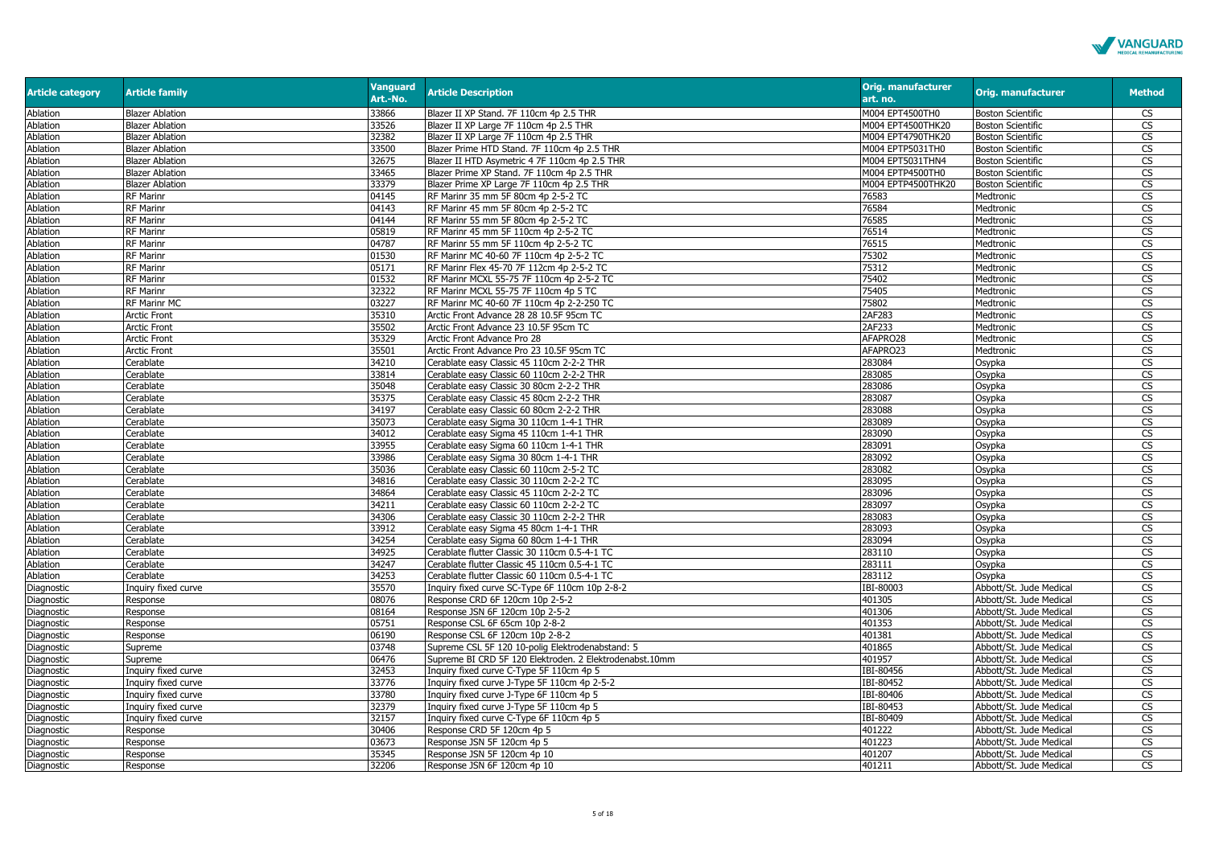

| <b>Article category</b> | <b>Article family</b>  | <b>Vanguard</b><br>Art.-No. | <b>Article Description</b>                              | <b>Orig. manufacturer</b><br>art. no. | <b>Orig. manufacturer</b> | <b>Method</b>           |
|-------------------------|------------------------|-----------------------------|---------------------------------------------------------|---------------------------------------|---------------------------|-------------------------|
| Ablation                | <b>Blazer Ablation</b> | 33866                       | Blazer II XP Stand. 7F 110cm 4p 2.5 THR                 | M004 EPT4500TH0                       | <b>Boston Scientific</b>  | CS                      |
| Ablation                | <b>Blazer Ablation</b> | 33526                       | Blazer II XP Large 7F 110cm 4p 2.5 THR                  | M004 EPT4500THK20                     | <b>Boston Scientific</b>  | CS                      |
| Ablation                | <b>Blazer Ablation</b> | 32382                       | Blazer II XP Large 7F 110cm 4p 2.5 THR                  | M004 EPT4790THK20                     | <b>Boston Scientific</b>  | <b>CS</b>               |
| Ablation                | <b>Blazer Ablation</b> | 33500                       | Blazer Prime HTD Stand. 7F 110cm 4p 2.5 THR             | M004 EPTP5031TH0                      | <b>Boston Scientific</b>  | <b>CS</b>               |
| Ablation                | <b>Blazer Ablation</b> | 32675                       | Blazer II HTD Asymetric 4 7F 110cm 4p 2.5 THR           | M004 EPT5031THN4                      | <b>Boston Scientific</b>  | CS                      |
| Ablation                | <b>Blazer Ablation</b> | 33465                       | Blazer Prime XP Stand. 7F 110cm 4p 2.5 THR              | M004 EPTP4500TH0                      | <b>Boston Scientific</b>  | <b>CS</b>               |
| Ablation                | <b>Blazer Ablation</b> | 33379                       | Blazer Prime XP Large 7F 110cm 4p 2.5 THR               | M004 EPTP4500THK20                    | <b>Boston Scientific</b>  | <b>CS</b>               |
| Ablation                | <b>RF Marinr</b>       | 04145                       | RF Marinr 35 mm 5F 80cm 4p 2-5-2 TC                     | 76583                                 | Medtronic                 | $\overline{\mathbb{C}}$ |
| Ablation                | <b>RF Marinr</b>       | 04143                       | RF Marinr 45 mm 5F 80cm 4p 2-5-2 TC                     | 76584                                 | Medtronic                 | <b>CS</b>               |
| Ablation                | <b>RF Marinr</b>       | 04144                       | RF Marinr 55 mm 5F 80cm 4p 2-5-2 TC                     | 76585                                 | Medtronic                 | CS                      |
| Ablation                | <b>RF Marinr</b>       | 05819                       | RF Marinr 45 mm 5F 110cm 4p 2-5-2 TC                    | 76514                                 | Medtronic                 | $\overline{\text{cs}}$  |
| Ablation                | RF Marinr              | 04787                       | RF Marinr 55 mm 5F 110cm 4p 2-5-2 TC                    | 76515                                 | Medtronic                 | <b>CS</b>               |
| Ablation                | <b>RF Marinr</b>       | 01530                       | RF Marinr MC 40-60 7F 110cm 4p 2-5-2 TC                 | 75302                                 | Medtronic                 | CS                      |
| Ablation                | RF Marinr              | 05171                       | RF Marinr Flex 45-70 7F 112cm 4p 2-5-2 TC               | 75312                                 | Medtronic                 | <b>CS</b>               |
| Ablation                | <b>RF Marinr</b>       | 01532                       | RF Marinr MCXL 55-75 7F 110cm 4p 2-5-2 TC               | 75402                                 | Medtronic                 | CS                      |
| Ablation                | RF Marinr              | 32322                       | RF Marinr MCXL 55-75 7F 110cm 4p 5 TC                   | 75405                                 | Medtronic                 | $\overline{\text{cs}}$  |
| Ablation                | RF Marinr MC           | 03227                       | RF Marinr MC 40-60 7F 110cm 4p 2-2-250 TC               | 75802                                 | Medtronic                 | <b>CS</b>               |
| Ablation                | <b>Arctic Front</b>    | 35310                       | Arctic Front Advance 28 28 10.5F 95cm TC                | 2AF283                                | Medtronic                 | CS                      |
| Ablation                | <b>Arctic Front</b>    | 35502                       | Arctic Front Advance 23 10.5F 95cm TC                   | 2AF233                                | Medtronic                 | <b>CS</b>               |
| Ablation                | <b>Arctic Front</b>    | 35329                       | Arctic Front Advance Pro 28                             | AFAPRO28                              | Medtronic                 | <b>CS</b>               |
| Ablation                | <b>Arctic Front</b>    | 35501                       | Arctic Front Advance Pro 23 10.5F 95cm TC               | AFAPRO23                              | Medtronic                 | $\overline{\text{cs}}$  |
| Ablation                | Cerablate              | 34210                       | Cerablate easy Classic 45 110cm 2-2-2 THR               | 283084                                | Osypka                    | <b>CS</b>               |
| Ablation                | Cerablate              | 33814                       | Cerablate easy Classic 60 110cm 2-2-2 THR               | 283085                                | Osypka                    | <b>CS</b>               |
| Ablation                | Cerablate              | 35048                       | Cerablate easy Classic 30 80cm 2-2-2 THR                | 283086                                | Osypka                    | <b>CS</b>               |
| <b>Ablation</b>         | Cerablate              | 35375                       | Cerablate easy Classic 45 80cm 2-2-2 THR                | 283087                                | Osypka                    | $\overline{\text{cs}}$  |
| Ablation                | Cerablate              | 34197                       | Cerablate easy Classic 60 80cm 2-2-2 THR                | 283088                                | Osypka                    | <b>CS</b>               |
| Ablation                | Cerablate              | 35073                       | Cerablate easy Sigma 30 110cm 1-4-1 THR                 | 283089                                | Osypka                    | <b>CS</b>               |
| Ablation                | Cerablate              | 34012                       | Cerablate easy Sigma 45 110cm 1-4-1 THR                 | 283090                                | Osypka                    | <b>CS</b>               |
| Ablation                | Cerablate              | 33955                       | Cerablate easy Sigma 60 110cm 1-4-1 THR                 | 283091                                | Osypka                    | CS                      |
| Ablation                | Cerablate              | 33986                       | Cerablate easy Sigma 30 80cm 1-4-1 THR                  | 283092                                | Osypka                    | <b>CS</b>               |
| Ablation                | Cerablate              | 35036                       | Cerablate easy Classic 60 110cm 2-5-2 TC                | 283082                                | Osypka                    | <b>CS</b>               |
| Ablation                | Cerablate              | 34816                       | Cerablate easy Classic 30 110cm 2-2-2 TC                | 283095                                | Osypka                    | $\overline{\text{cs}}$  |
| Ablation                | Cerablate              | 34864                       | Cerablate easy Classic 45 110cm 2-2-2 TC                | 283096                                | Osypka                    | $\overline{\mathbb{C}}$ |
| Ablation                | Cerablate              | 34211                       | Cerablate easy Classic 60 110cm 2-2-2 TC                | 283097                                | Osypka                    | CS                      |
| Ablation                | Cerablate              | 34306                       | Cerablate easy Classic 30 110cm 2-2-2 THR               | 283083                                | Osypka                    | <b>CS</b>               |
| Ablation                | Cerablate              | 33912                       | Cerablate easy Sigma 45 80cm 1-4-1 THR                  | 283093                                | Osypka                    | $\overline{\text{cs}}$  |
| Ablation                | Cerablate              | 34254                       | Cerablate easy Sigma 60 80cm 1-4-1 THR                  | 283094                                | Osypka                    | CS                      |
| Ablation                | Cerablate              | 34925                       | Cerablate flutter Classic 30 110cm 0.5-4-1 TC           | 283110                                | Osypka                    | CS                      |
| Ablation                | Cerablate              | 34247                       | Cerablate flutter Classic 45 110cm 0.5-4-1 TC           | 283111                                | Osypka                    | <b>CS</b>               |
| Ablation                | Cerablate              | 34253                       | Cerablate flutter Classic 60 110cm 0.5-4-1 TC           | 283112                                | Osypka                    | <b>CS</b>               |
| Diagnostic              | Inquiry fixed curve    | 35570                       | Inquiry fixed curve SC-Type 6F 110cm 10p 2-8-2          | IBI-80003                             | Abbott/St. Jude Medical   | <b>CS</b>               |
| Diagnostic              | Response               | 08076                       | Response CRD 6F 120cm 10p 2-5-2                         | 401305                                | Abbott/St. Jude Medical   | <b>CS</b>               |
| Diagnostic              | Response               | 08164                       | Response JSN 6F 120cm 10p 2-5-2                         | 401306                                | Abbott/St. Jude Medical   | CS                      |
| Diagnostic              | Response               | 05751                       | Response CSL 6F 65cm 10p 2-8-2                          | 401353                                | Abbott/St. Jude Medical   | CS                      |
| Diagnostic              | Response               | 06190                       | Response CSL 6F 120cm 10p 2-8-2                         | 401381                                | Abbott/St. Jude Medical   | CS                      |
| Diagnostic              | Supreme                | 03748                       | Supreme CSL 5F 120 10-polig Elektrodenabstand: 5        | 401865                                | Abbott/St. Jude Medical   | CS                      |
| Diagnostic              | Supreme                | 06476                       | Supreme BI CRD 5F 120 Elektroden. 2 Elektrodenabst.10mm | 401957                                | Abbott/St. Jude Medical   | CS                      |
| Diagnostic              | Inquiry fixed curve    | 32453                       | Inquiry fixed curve C-Type 5F 110cm 4p 5                | IBI-80456                             | Abbott/St. Jude Medical   | <b>CS</b>               |
| Diagnostic              | Inquiry fixed curve    | 33776                       | Inquiry fixed curve J-Type 5F 110cm 4p 2-5-2            | IBI-80452                             | Abbott/St. Jude Medica    | CS                      |
| Diagnostic              | Inquiry fixed curve    | 33780                       | Inguiry fixed curve J-Type 6F 110cm 4p 5                | IBI-80406                             | Abbott/St. Jude Medical   | <b>CS</b>               |
| Diagnostic              | Inquiry fixed curve    | 32379                       | Inquiry fixed curve J-Type 5F 110cm 4p 5                | IBI-80453                             | Abbott/St. Jude Medical   | CS                      |
| Diagnostic              | Inquiry fixed curve    | 32157                       | Inquiry fixed curve C-Type 6F 110cm 4p 5                | IBI-80409                             | Abbott/St. Jude Medical   | <b>CS</b>               |
| Diagnostic              | Response               | 30406                       | Response CRD 5F 120cm 4p 5                              | 401222                                | Abbott/St. Jude Medical   | $\overline{\text{cs}}$  |
| Diagnostic              | Response               | 03673                       | Response JSN 5F 120cm 4p 5                              | 401223                                | Abbott/St. Jude Medical   | $\overline{\text{cs}}$  |
| Diagnostic              | Response               | 35345                       | Response JSN 5F 120cm 4p 10                             | 401207                                | Abbott/St. Jude Medical   | <b>CS</b>               |
| Diagnostic              | Response               | 32206                       | Response JSN 6F 120cm 4p 10                             | 401211                                | Abbott/St. Jude Medical   | CS                      |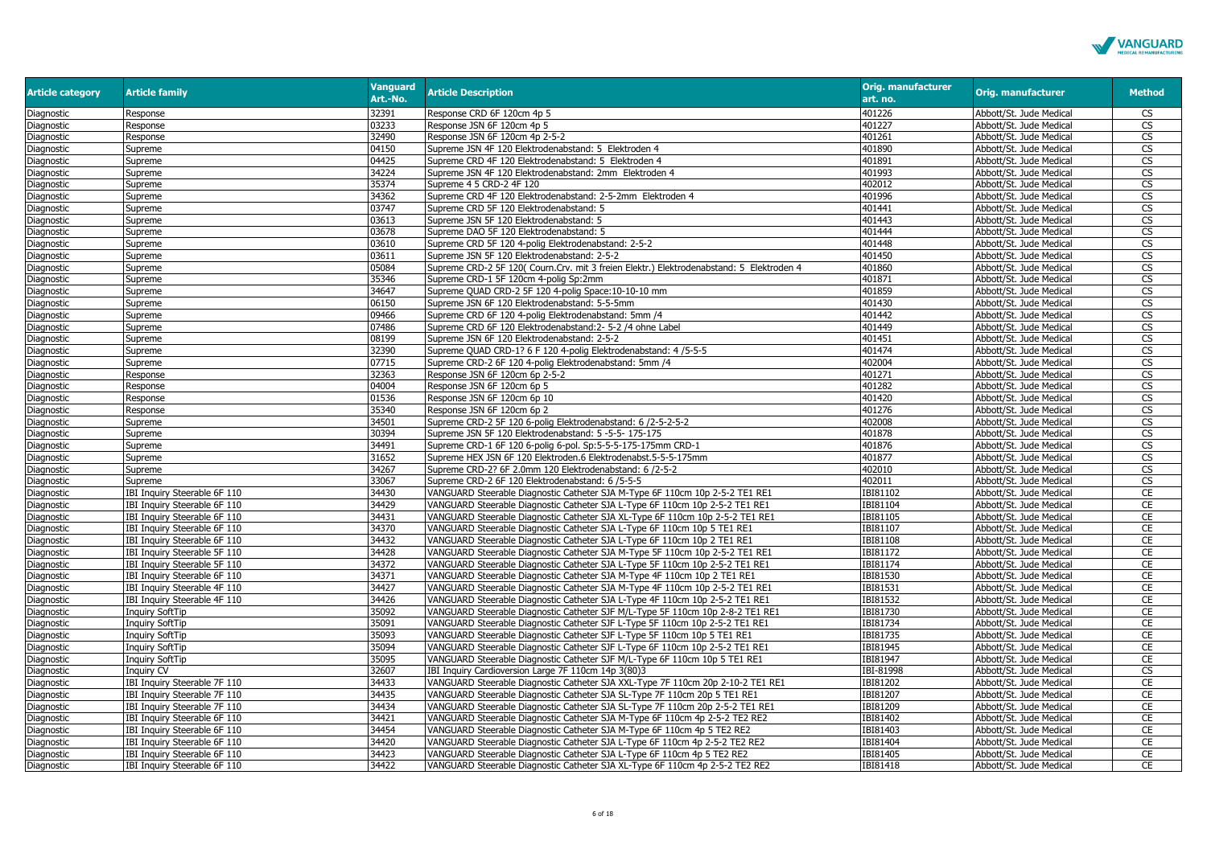

| <b>Article category</b> | <b>Article family</b>        | <b>Vanguard</b><br>Art.-No. | <b>Article Description</b>                                                               | <b>Orig. manufacturer</b><br>art. no. | <b>Orig. manufacturer</b> | <b>Method</b>          |
|-------------------------|------------------------------|-----------------------------|------------------------------------------------------------------------------------------|---------------------------------------|---------------------------|------------------------|
| Diagnostic              | Response                     | 32391                       | Response CRD 6F 120cm 4p 5                                                               | 401226                                | Abbott/St. Jude Medical   | CS                     |
| Diagnostic              | Response                     | 03233                       | Response JSN 6F 120cm 4p 5                                                               | 401227                                | Abbott/St. Jude Medical   | <b>CS</b>              |
| Diagnostic              | Response                     | 32490                       | Response JSN 6F 120cm 4p 2-5-2                                                           | 401261                                | Abbott/St. Jude Medical   | <b>CS</b>              |
| Diagnostic              | Supreme                      | 04150                       | Supreme JSN 4F 120 Elektrodenabstand: 5 Elektroden 4                                     | 401890                                | Abbott/St. Jude Medical   | CS                     |
| Diagnostic              | Supreme                      | 04425                       | Supreme CRD 4F 120 Elektrodenabstand: 5 Elektroden 4                                     | 401891                                | Abbott/St. Jude Medical   | CS                     |
| Diagnostic              | Supreme                      | 34224                       | Supreme JSN 4F 120 Elektrodenabstand: 2mm Elektroden 4                                   | 401993                                | Abbott/St. Jude Medical   | <b>CS</b>              |
| Diagnostic              | Supreme                      | 35374                       | Supreme 4 5 CRD-2 4F 120                                                                 | 402012                                | Abbott/St. Jude Medical   | <b>CS</b>              |
| Diagnostic              | Supreme                      | 34362                       | Supreme CRD 4F 120 Elektrodenabstand: 2-5-2mm Elektroden 4                               | 401996                                | Abbott/St. Jude Medical   | CS                     |
| Diagnostic              | Supreme                      | 03747                       | Supreme CRD 5F 120 Elektrodenabstand: 5                                                  | 401441                                | Abbott/St. Jude Medical   | <b>CS</b>              |
| Diagnostic              | Supreme                      | 03613                       | Supreme JSN 5F 120 Elektrodenabstand: 5                                                  | 401443                                | Abbott/St. Jude Medical   | $\overline{\text{cs}}$ |
| Diagnostic              | Supreme                      | 03678                       | Supreme DAO 5F 120 Elektrodenabstand: 5                                                  | 401444                                | Abbott/St. Jude Medical   | $\overline{\text{cs}}$ |
| Diagnostic              | Supreme                      | 03610                       | Supreme CRD 5F 120 4-polig Elektrodenabstand: 2-5-2                                      | 401448                                | Abbott/St. Jude Medical   | <b>CS</b>              |
| Diagnostic              | Supreme                      | 03611                       | Supreme JSN 5F 120 Elektrodenabstand: 2-5-2                                              | 401450                                | Abbott/St. Jude Medical   | <b>CS</b>              |
| Diagnostic              | Supreme                      | 05084                       | Supreme CRD-2 5F 120( Courn.Crv. mit 3 freien Elektr.) Elektrodenabstand: 5 Elektroden 4 | 401860                                | Abbott/St. Jude Medical   | <b>CS</b>              |
| Diagnostic              | Supreme                      | 35346                       | Supreme CRD-1 5F 120cm 4-polig Sp:2mm                                                    | 401871                                | Abbott/St. Jude Medical   | CS                     |
| Diagnostic              | Supreme                      | 34647                       | Supreme QUAD CRD-2 5F 120 4-polig Space:10-10-10 mm                                      | 401859                                | Abbott/St. Jude Medical   | CS                     |
| Diagnostic              | Supreme                      | 06150                       | Supreme JSN 6F 120 Elektrodenabstand: 5-5-5mm                                            | 401430                                | Abbott/St. Jude Medical   | <b>CS</b>              |
| Diagnostic              | Supreme                      | 09466                       | Supreme CRD 6F 120 4-polig Elektrodenabstand: 5mm /4                                     | 401442                                | Abbott/St. Jude Medical   | <b>CS</b>              |
| Diagnostic              | Supreme                      | 07486                       | Supreme CRD 6F 120 Elektrodenabstand: 2- 5-2 /4 ohne Label                               | 401449                                | Abbott/St. Jude Medical   | CS                     |
| Diagnostic              | Supreme                      | 08199                       | Supreme JSN 6F 120 Elektrodenabstand: 2-5-2                                              | 401451                                | Abbott/St. Jude Medical   | $\overline{\text{CS}}$ |
| Diagnostic              | Supreme                      | 32390                       | Supreme QUAD CRD-1? 6 F 120 4-polig Elektrodenabstand: 4 / 5-5-5                         | 401474                                | Abbott/St. Jude Medical   | CS                     |
| Diagnostic              | Supreme                      | 07715                       | Supreme CRD-2 6F 120 4-polig Elektrodenabstand: 5mm /4                                   | 402004                                | Abbott/St. Jude Medical   | CS                     |
| Diagnostic              | Response                     | 32363                       | Response JSN 6F 120cm 6p 2-5-2                                                           | 401271                                | Abbott/St. Jude Medical   | CS                     |
| Diagnostic              | Response                     | 04004                       | Response JSN 6F 120cm 6p 5                                                               | 401282                                | Abbott/St. Jude Medical   | <b>CS</b>              |
| Diagnostic              | Response                     | 01536                       | Response JSN 6F 120cm 6p 10                                                              | 401420                                | Abbott/St. Jude Medical   | <b>CS</b>              |
| Diagnostic              | Response                     | 35340                       | Response JSN 6F 120cm 6p 2                                                               | 401276                                | Abbott/St. Jude Medical   | <b>CS</b>              |
| Diagnostic              | Supreme                      | 34501                       | Supreme CRD-2 5F 120 6-polig Elektrodenabstand: 6 /2-5-2-5-2                             | 402008                                | Abbott/St. Jude Medical   | <b>CS</b>              |
| Diagnostic              | Supreme                      | 30394                       | Supreme JSN 5F 120 Elektrodenabstand: 5 -5-5- 175-175                                    | 401878                                | Abbott/St. Jude Medical   | <b>CS</b>              |
| Diagnostic              | Supreme                      | 34491                       | Supreme CRD-1 6F 120 6-polig 6-pol. Sp:5-5-5-175-175mm CRD-1                             | 401876                                | Abbott/St. Jude Medical   | $\overline{\text{cs}}$ |
| Diagnostic              | Supreme                      | 31652                       | Supreme HEX JSN 6F 120 Elektroden.6 Elektrodenabst.5-5-5-175mm                           | 401877                                | Abbott/St. Jude Medical   | CS                     |
| Diagnostic              | Supreme                      | 34267                       | Supreme CRD-2? 6F 2.0mm 120 Elektrodenabstand: 6 /2-5-2                                  | 402010                                | Abbott/St. Jude Medical   | CS                     |
| Diagnostic              | Supreme                      | 33067                       | Supreme CRD-2 6F 120 Elektrodenabstand: 6 /5-5-5                                         | 402011                                | Abbott/St. Jude Medical   | <b>CS</b>              |
| Diagnostic              | IBI Inquiry Steerable 6F 110 | 34430                       | VANGUARD Steerable Diagnostic Catheter SJA M-Type 6F 110cm 10p 2-5-2 TE1 RE1             | IBI81102                              | Abbott/St. Jude Medical   | CE                     |
| Diagnostic              | IBI Inquiry Steerable 6F 110 | 34429                       | VANGUARD Steerable Diagnostic Catheter SJA L-Type 6F 110cm 10p 2-5-2 TE1 RE1             | IBI81104                              | Abbott/St. Jude Medical   | CE                     |
| Diagnostic              | IBI Inquiry Steerable 6F 110 | 34431                       | VANGUARD Steerable Diagnostic Catheter SJA XL-Type 6F 110cm 10p 2-5-2 TE1 RE1            | IBI81105                              | Abbott/St. Jude Medical   | CE                     |
| Diagnostic              | IBI Inquiry Steerable 6F 110 | 34370                       | VANGUARD Steerable Diagnostic Catheter SJA L-Type 6F 110cm 10p 5 TE1 RE1                 | IBI81107                              | Abbott/St. Jude Medical   | <b>CE</b>              |
| Diagnostic              | IBI Inquiry Steerable 6F 110 | 34432                       | VANGUARD Steerable Diagnostic Catheter SJA L-Type 6F 110cm 10p 2 TE1 RE1                 | IBI81108                              | Abbott/St. Jude Medical   | CE                     |
| Diagnostic              | IBI Inquiry Steerable 5F 110 | 34428                       | VANGUARD Steerable Diagnostic Catheter SJA M-Type 5F 110cm 10p 2-5-2 TE1 RE1             | IBI81172                              | Abbott/St. Jude Medical   | CE                     |
| Diagnostic              | IBI Inquiry Steerable 5F 110 | 34372                       | VANGUARD Steerable Diagnostic Catheter SJA L-Type 5F 110cm 10p 2-5-2 TE1 RE1             | IBI81174                              | Abbott/St. Jude Medical   | CE                     |
| Diagnostic              | IBI Inquiry Steerable 6F 110 | 34371                       | VANGUARD Steerable Diagnostic Catheter SJA M-Type 4F 110cm 10p 2 TE1 RE1                 | IBI81530                              | Abbott/St. Jude Medical   | CE                     |
| Diagnostic              | IBI Inquiry Steerable 4F 110 | 34427                       | VANGUARD Steerable Diagnostic Catheter SJA M-Type 4F 110cm 10p 2-5-2 TE1 RE1             | IBI81531                              | Abbott/St. Jude Medical   | CE                     |
| Diagnostic              | IBI Inquiry Steerable 4F 110 | 34426                       | VANGUARD Steerable Diagnostic Catheter SJA L-Type 4F 110cm 10p 2-5-2 TE1 RE1             | IBI81532                              | Abbott/St. Jude Medical   | CE                     |
| Diagnostic              | <b>Inquiry SoftTip</b>       | 35092                       | VANGUARD Steerable Diagnostic Catheter SJF M/L-Type 5F 110cm 10p 2-8-2 TE1 RE1           | IBI81730                              | Abbott/St. Jude Medical   | CE                     |
| Diagnostic              | <b>Inquiry SoftTip</b>       | 35091                       | VANGUARD Steerable Diagnostic Catheter SJF L-Type 5F 110cm 10p 2-5-2 TE1 RE1             | IBI81734                              | Abbott/St. Jude Medical   | CE                     |
| Diagnostic              | <b>Inquiry SoftTip</b>       | 35093                       | VANGUARD Steerable Diagnostic Catheter SJF L-Type 5F 110cm 10p 5 TE1 RE1                 | IBI81735                              | Abbott/St. Jude Medical   | CE                     |
| Diagnostic              | <b>Inquiry SoftTip</b>       | 35094                       | VANGUARD Steerable Diagnostic Catheter SJF L-Type 6F 110cm 10p 2-5-2 TE1 RE1             | IBI81945                              | Abbott/St. Jude Medical   | CE                     |
| Diagnostic              | <b>Inquiry SoftTip</b>       | 35095                       | VANGUARD Steerable Diagnostic Catheter SJF M/L-Type 6F 110cm 10p 5 TE1 RE1               | IBI81947                              | Abbott/St. Jude Medical   | CE                     |
| Diagnostic              | Inquiry CV                   | 32607                       | IBI Inquiry Cardioversion Large 7F 110cm 14p 3(80)3                                      | IBI-81998                             | Abbott/St. Jude Medical   | CS                     |
| Diagnostic              | IBI Inquiry Steerable 7F 110 | 34433                       | VANGUARD Steerable Diagnostic Catheter SJA XXL-Type 7F 110cm 20p 2-10-2 TE1 RE1          | IBI81202                              | Abbott/St. Jude Medical   | CE                     |
| Diagnostic              | IBI Inquiry Steerable 7F 110 | 34435                       | VANGUARD Steerable Diagnostic Catheter SJA SL-Type 7F 110cm 20p 5 TE1 RE1                | IBI81207                              | Abbott/St. Jude Medical   | CE                     |
| Diagnostic              | IBI Inquiry Steerable 7F 110 | 34434                       | VANGUARD Steerable Diagnostic Catheter SJA SL-Type 7F 110cm 20p 2-5-2 TE1 RE1            | IBI81209                              | Abbott/St. Jude Medical   | CE                     |
| Diagnostic              | IBI Inquiry Steerable 6F 110 | 34421                       | VANGUARD Steerable Diagnostic Catheter SJA M-Type 6F 110cm 4p 2-5-2 TE2 RE2              | IBI81402                              | Abbott/St. Jude Medical   | CE                     |
| Diagnostic              | IBI Inquiry Steerable 6F 110 | 34454                       | VANGUARD Steerable Diagnostic Catheter SJA M-Type 6F 110cm 4p 5 TE2 RE2                  | IBI81403                              | Abbott/St. Jude Medical   | CE                     |
| Diagnostic              | IBI Inquiry Steerable 6F 110 | 34420                       | VANGUARD Steerable Diagnostic Catheter SJA L-Type 6F 110cm 4p 2-5-2 TE2 RE2              | IBI81404                              | Abbott/St. Jude Medical   | <b>CE</b>              |
| Diagnostic              | IBI Inquiry Steerable 6F 110 | 34423                       | VANGUARD Steerable Diagnostic Catheter SJA L-Type 6F 110cm 4p 5 TE2 RE2                  | IBI81405                              | Abbott/St. Jude Medical   | CE                     |
| Diagnostic              | IBI Inquiry Steerable 6F 110 | 34422                       | VANGUARD Steerable Diagnostic Catheter SJA XL-Type 6F 110cm 4p 2-5-2 TE2 RE2             | IBI81418                              | Abbott/St. Jude Medical   | CE                     |
|                         |                              |                             |                                                                                          |                                       |                           |                        |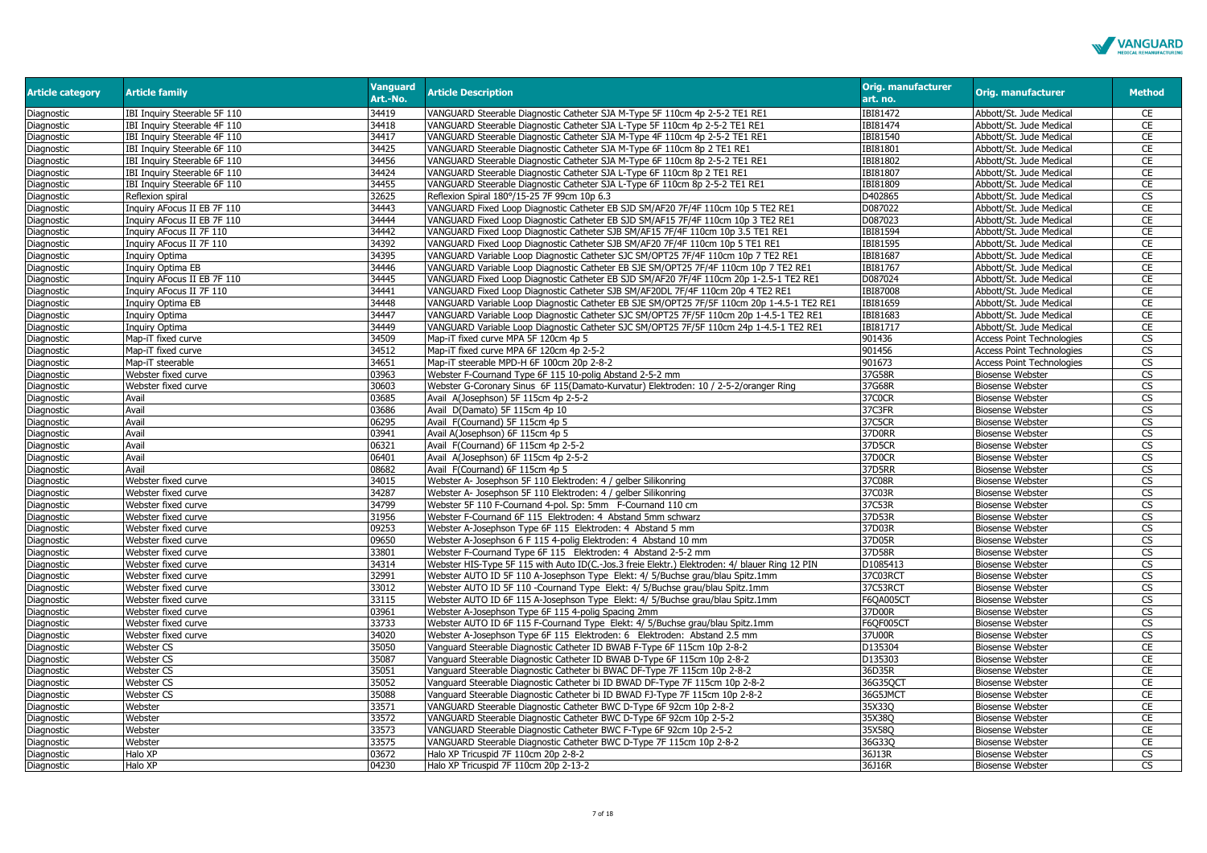

| <b>Article category</b> | <b>Article family</b>        | <b>Vanguard</b><br>Art.-No. | <b>Article Description</b>                                                                     | <b>Orig. manufacturer</b><br>art. no. | <b>Orig. manufacturer</b>                          | <b>Method</b>                       |
|-------------------------|------------------------------|-----------------------------|------------------------------------------------------------------------------------------------|---------------------------------------|----------------------------------------------------|-------------------------------------|
| Diagnostic              | IBI Inquiry Steerable 5F 110 | 34419                       | VANGUARD Steerable Diagnostic Catheter SJA M-Type 5F 110cm 4p 2-5-2 TE1 RE1                    | IBI81472                              | Abbott/St. Jude Medical                            | CE                                  |
| Diagnostic              | IBI Inquiry Steerable 4F 110 | 34418                       | VANGUARD Steerable Diagnostic Catheter SJA L-Type 5F 110cm 4p 2-5-2 TE1 RE1                    | IBI81474                              | Abbott/St. Jude Medical                            | CE                                  |
| Diagnostic              | IBI Inquiry Steerable 4F 110 | 34417                       | VANGUARD Steerable Diagnostic Catheter SJA M-Type 4F 110cm 4p 2-5-2 TE1 RE1                    | IBI81540                              | Abbott/St. Jude Medical                            | CE                                  |
| Diagnostic              | IBI Inquiry Steerable 6F 110 | 34425                       | VANGUARD Steerable Diagnostic Catheter SJA M-Type 6F 110cm 8p 2 TE1 RE1                        | IBI81801                              | Abbott/St. Jude Medical                            | CE                                  |
| Diagnostic              | IBI Inquiry Steerable 6F 110 | 34456                       | VANGUARD Steerable Diagnostic Catheter SJA M-Type 6F 110cm 8p 2-5-2 TE1 RE1                    | IBI81802                              | Abbott/St. Jude Medical                            | CE                                  |
| Diagnostic              | IBI Inquiry Steerable 6F 110 | 34424                       | VANGUARD Steerable Diagnostic Catheter SJA L-Type 6F 110cm 8p 2 TE1 RE1                        | IBI81807                              | Abbott/St. Jude Medical                            | CE                                  |
| Diagnostic              | IBI Inquiry Steerable 6F 110 | 34455                       | VANGUARD Steerable Diagnostic Catheter SJA L-Type 6F 110cm 8p 2-5-2 TE1 RE1                    | IBI81809                              | Abbott/St. Jude Medical                            | CE                                  |
| Diagnostic              | Reflexion spiral             | 32625                       | Reflexion Spiral 180°/15-25 7F 99cm 10p 6.3                                                    | D402865                               | Abbott/St. Jude Medical                            | <b>CS</b>                           |
| Diagnostic              | Inquiry AFocus II EB 7F 110  | 34443                       | VANGUARD Fixed Loop Diagnostic Catheter EB SJD SM/AF20 7F/4F 110cm 10p 5 TE2 RE1               | D087022                               | Abbott/St. Jude Medical                            | CE                                  |
| Diagnostic              | Inquiry AFocus II EB 7F 110  | 34444                       | VANGUARD Fixed Loop Diagnostic Catheter EB SJD SM/AF15 7F/4F 110cm 10p 3 TE2 RE1               | D087023                               | Abbott/St. Jude Medical                            | CE                                  |
| Diagnostic              | Inquiry AFocus II 7F 110     | 34442                       | VANGUARD Fixed Loop Diagnostic Catheter SJB SM/AF15 7F/4F 110cm 10p 3.5 TE1 RE1                | IBI81594                              | Abbott/St. Jude Medical                            | CE                                  |
| Diagnostic              | Inquiry AFocus II 7F 110     | 34392                       | VANGUARD Fixed Loop Diagnostic Catheter SJB SM/AF20 7F/4F 110cm 10p 5 TE1 RE1                  | IBI81595                              | Abbott/St. Jude Medical                            | CE                                  |
| Diagnostic              | <b>Inquiry Optima</b>        | 34395                       | VANGUARD Variable Loop Diagnostic Catheter SJC SM/OPT25 7F/4F 110cm 10p 7 TE2 RE1              | IBI81687                              | Abbott/St. Jude Medical                            | CE                                  |
| Diagnostic              | Inquiry Optima EB            | 34446                       | VANGUARD Variable Loop Diagnostic Catheter EB SJE SM/OPT25 7F/4F 110cm 10p 7 TE2 RE1           | IBI81767                              | Abbott/St. Jude Medical                            | CE                                  |
| Diagnostic              | Inquiry AFocus II EB 7F 110  | 34445                       | VANGUARD Fixed Loop Diagnostic Catheter EB SJD SM/AF20 7F/4F 110cm 20p 1-2.5-1 TE2 RE1         | D087024                               | Abbott/St. Jude Medical                            | CE                                  |
| Diagnostic              | Inquiry AFocus II 7F 110     | 34441                       | VANGUARD Fixed Loop Diagnostic Catheter SJB SM/AF20DL 7F/4F 110cm 20p 4 TE2 RE1                | <b>IBI87008</b>                       | Abbott/St. Jude Medical                            | CE                                  |
| Diagnostic              | <b>Inquiry Optima EB</b>     | 34448                       | VANGUARD Variable Loop Diagnostic Catheter EB SJE SM/OPT25 7F/5F 110cm 20p 1-4.5-1 TE2 RE1     | IBI81659                              | Abbott/St. Jude Medical                            | CE                                  |
| Diagnostic              | <b>Inquiry Optima</b>        | 34447                       | VANGUARD Variable Loop Diagnostic Catheter SJC SM/OPT25 7F/5F 110cm 20p 1-4.5-1 TE2 RE1        | IBI81683                              | Abbott/St. Jude Medical                            | CE                                  |
| Diagnostic              | Inquiry Optima               | 34449                       | VANGUARD Variable Loop Diagnostic Catheter SJC SM/OPT25 7F/5F 110cm 24p 1-4.5-1 TE2 RE1        | IBI81717                              | Abbott/St. Jude Medical                            | CE                                  |
| Diagnostic              | Map-iT fixed curve           | 34509                       | Map-iT fixed curve MPA 5F 120cm 4p 5                                                           | 901436                                | <b>Access Point Technologies</b>                   | $\overline{\text{CS}}$              |
| Diagnostic              | Map-iT fixed curve           | 34512                       | Map-iT fixed curve MPA 6F 120cm 4p 2-5-2                                                       | 901456                                | <b>Access Point Technologies</b>                   | CS                                  |
| Diagnostic              | Map-iT steerable             | 34651                       | Map-iT steerable MPD-H 6F 100cm 20p 2-8-2                                                      | 901673                                | <b>Access Point Technologies</b>                   | CS                                  |
| Diagnostic              | Webster fixed curve          | 03963                       | Webster F-Cournand Type 6F 115 10-polig Abstand 2-5-2 mm                                       | 37G58R                                | <b>Biosense Webster</b>                            | CS                                  |
| Diagnostic              | Webster fixed curve          | 30603                       | Webster G-Coronary Sinus 6F 115(Damato-Kurvatur) Elektroden: 10 / 2-5-2/oranger Ring           | 37G68R                                | <b>Biosense Webster</b>                            | <b>CS</b>                           |
| Diagnostic              | Avail                        | 03685                       | Avail A(Josephson) 5F 115cm 4p 2-5-2                                                           | 37C0CR                                | <b>Biosense Webster</b>                            | <b>CS</b>                           |
| Diagnostic              | Avail                        | 03686                       | Avail D(Damato) 5F 115cm 4p 10                                                                 | 37C3FR                                | <b>Biosense Webster</b>                            | <b>CS</b>                           |
| Diagnostic              | Avail                        | 06295                       | Avail F(Cournand) 5F 115cm 4p 5                                                                | 37C5CR                                | <b>Biosense Webster</b>                            | <b>CS</b>                           |
| Diagnostic              | Avail                        | 03941                       | Avail A(Josephson) 6F 115cm 4p 5                                                               | 37D0RR                                | <b>Biosense Webster</b>                            | <b>CS</b>                           |
| Diagnostic              | Avail                        | 06321                       | Avail F(Cournand) 6F 115cm 4p 2-5-2                                                            | 37D5CR                                | <b>Biosense Webster</b>                            | $\overline{\text{CS}}$              |
| Diagnostic              | Avail                        | 06401                       | Avail A(Josephson) 6F 115cm 4p 2-5-2                                                           | 37D0CR                                | <b>Biosense Webster</b>                            | $\overline{\text{cs}}$              |
| Diagnostic              | Avail                        | 08682                       | Avail F(Cournand) 6F 115cm 4p 5                                                                | 37D5RR                                | <b>Biosense Webster</b>                            | CS                                  |
| Diagnostic              | Webster fixed curve          | 34015                       | Webster A- Josephson 5F 110 Elektroden: 4 / gelber Silikonring                                 | 37C08R                                | <b>Biosense Webster</b>                            | <b>CS</b>                           |
| Diagnostic              | Webster fixed curve          | 34287                       | Webster A- Josephson 5F 110 Elektroden: 4 / gelber Silikonring                                 | 37C03R                                | <b>Biosense Webster</b>                            | <b>CS</b>                           |
| Diagnostic              | Webster fixed curve          | 34799                       | Webster 5F 110 F-Cournand 4-pol. Sp: 5mm F-Cournand 110 cm                                     | 37C53R                                | <b>Biosense Webster</b>                            | <b>CS</b>                           |
| Diagnostic              | Webster fixed curve          | 31956                       | Webster F-Cournand 6F 115 Elektroden: 4 Abstand 5mm schwarz                                    | 37D53R                                | <b>Biosense Webster</b>                            | <b>CS</b>                           |
| Diagnostic              | Webster fixed curve          | 09253                       | Webster A-Josephson Type 6F 115 Elektroden: 4 Abstand 5 mm                                     | 37D03R                                | <b>Biosense Webster</b>                            | <b>CS</b>                           |
| Diagnostic              | Webster fixed curve          | 09650                       | Webster A-Josephson 6 F 115 4-polig Elektroden: 4 Abstand 10 mm                                | 37D05R                                | <b>Biosense Webster</b>                            | <b>CS</b>                           |
| Diagnostic              | Webster fixed curve          | 33801                       | Webster F-Cournand Type 6F 115 Elektroden: 4 Abstand 2-5-2 mm                                  | 37D58R                                | <b>Biosense Webster</b>                            | $\overline{\text{CS}}$              |
| Diagnostic              | Webster fixed curve          | 34314                       | Webster HIS-Type 5F 115 with Auto ID(C.-Jos.3 freie Elektr.) Elektroden: 4/ blauer Ring 12 PIN | D1085413                              | <b>Biosense Webster</b>                            | <b>CS</b>                           |
| Diagnostic              | Webster fixed curve          | 32991                       | Webster AUTO ID 5F 110 A-Josephson Type Elekt: 4/ 5/Buchse grau/blau Spitz.1mm                 | 37C03RCT                              | <b>Biosense Webster</b>                            | $\overline{\text{CS}}$              |
| Diagnostic              | Webster fixed curve          | 33012                       | Webster AUTO ID 5F 110 - Cournand Type Elekt: 4/ 5/Buchse grau/blau Spitz.1mm                  | 37C53RCT                              | <b>Biosense Webster</b>                            | CS                                  |
| Diagnostic              | Webster fixed curve          | 33115<br>03961              | Webster AUTO ID 6F 115 A-Josephson Type Elekt: 4/ 5/Buchse grau/blau Spitz.1mm                 | F6QA005CT<br>37D00R                   | <b>Biosense Webster</b><br><b>Biosense Webster</b> | <b>CS</b><br>$\overline{\text{CS}}$ |
| Diagnostic              | Webster fixed curve          |                             | Webster A-Josephson Type 6F 115 4-polig Spacing 2mm                                            |                                       |                                                    | $\overline{\text{cs}}$              |
| Diagnostic              | Webster fixed curve          | 33733<br>34020              | Webster AUTO ID 6F 115 F-Cournand Type Elekt: 4/ 5/Buchse grau/blau Spitz.1mm                  | F6QF005CT<br>37U00R                   | <b>Biosense Webster</b>                            | <b>CS</b>                           |
| Diagnostic              | Webster fixed curve          | 35050                       | Webster A-Josephson Type 6F 115 Elektroden: 6 Elektroden: Abstand 2.5 mm                       |                                       | <b>Biosense Webster</b><br><b>Biosense Webster</b> | CE                                  |
| Diagnostic              | Webster CS                   |                             | Vanguard Steerable Diagnostic Catheter ID BWAB F-Type 6F 115cm 10p 2-8-2                       | D135304                               |                                                    |                                     |
| Diagnostic              | Webster CS                   | 35087                       | Vanguard Steerable Diagnostic Catheter ID BWAB D-Type 6F 115cm 10p 2-8-2                       | D135303                               | <b>Biosense Webster</b>                            | CE<br>CE                            |
| Diagnostic              | Webster CS                   | 35051<br>35052              | Vanguard Steerable Diagnostic Catheter bi BWAC DF-Type 7F 115cm 10p 2-8-2                      | 36D35R                                | <b>Biosense Webster</b>                            | CE                                  |
| Diagnostic              | Webster CS                   |                             | Vanguard Steerable Diagnostic Catheter bi ID BWAD DF-Type 7F 115cm 10p 2-8-2                   | 36G35QCT                              | <b>Biosense Webster</b>                            |                                     |
| Diagnostic              | Webster CS                   | 35088                       | Vanguard Steerable Diagnostic Catheter bi ID BWAD FJ-Type 7F 115cm 10p 2-8-2                   | 36G5JMCT                              | <b>Biosense Webster</b>                            | CE                                  |
| Diagnostic              | Webster                      | 33571                       | VANGUARD Steerable Diagnostic Catheter BWC D-Type 6F 92cm 10p 2-8-2                            | 35X33Q                                | <b>Biosense Webster</b>                            | CE                                  |
| Diagnostic              | Webster                      | 33572                       | VANGUARD Steerable Diagnostic Catheter BWC D-Type 6F 92cm 10p 2-5-2                            | 35X38Q                                | <b>Biosense Webster</b>                            | CE                                  |
| Diagnostic              | Webster                      | 33573                       | VANGUARD Steerable Diagnostic Catheter BWC F-Type 6F 92cm 10p 2-5-2                            | 35X58Q                                | <b>Biosense Webster</b>                            | CE                                  |
| Diagnostic              | Webster                      | 33575                       | VANGUARD Steerable Diagnostic Catheter BWC D-Type 7F 115cm 10p 2-8-2                           | 36G33C                                | <b>Biosense Webster</b>                            | CE                                  |
| Diagnostic              | Halo XP                      | 03672                       | Halo XP Tricuspid 7F 110cm 20p 2-8-2                                                           | 36J13R                                | <b>Biosense Webster</b>                            | <b>CS</b>                           |
| Diagnostic              | Halo XP                      | 04230                       | Halo XP Tricuspid 7F 110cm 20p 2-13-2                                                          | 36J16R                                | <b>Biosense Webster</b>                            | <b>CS</b>                           |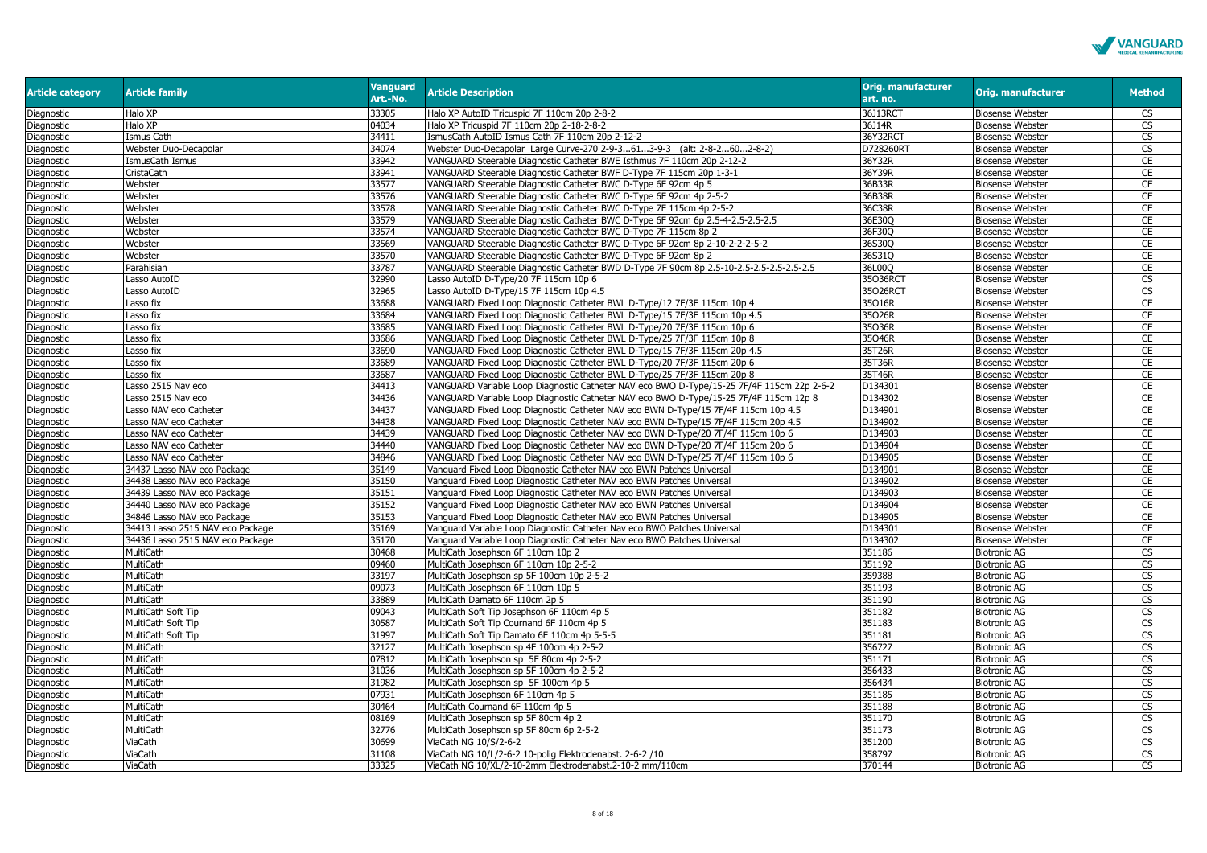

| <b>Article category</b> | <b>Article family</b>            | <b>Vanguard</b><br>Art.-No. | <b>Article Description</b>                                                                | <b>Orig. manufacturer</b><br>art. no. | <b>Orig. manufacturer</b> | <b>Method</b>           |
|-------------------------|----------------------------------|-----------------------------|-------------------------------------------------------------------------------------------|---------------------------------------|---------------------------|-------------------------|
| Diagnostic              | Halo XP                          | 33305                       | Halo XP AutoID Tricuspid 7F 110cm 20p 2-8-2                                               | 36J13RCT                              | <b>Biosense Webster</b>   | <b>CS</b>               |
| Diagnostic              | Halo XP                          | 04034                       | Halo XP Tricuspid 7F 110cm 20p 2-18-2-8-2                                                 | 36J14R                                | <b>Biosense Webster</b>   | CS                      |
| Diagnostic              | Ismus Cath                       | 34411                       | IsmusCath AutoID Ismus Cath 7F 110cm 20p 2-12-2                                           | 36Y32RCT                              | <b>Biosense Webster</b>   | CS                      |
| Diagnostic              | Webster Duo-Decapolar            | 34074                       | Webster Duo-Decapolar Large Curve-270 2-9-3613-9-3 (alt: 2-8-2602-8-2)                    | D728260R1                             | <b>Biosense Webster</b>   | CS                      |
| Diagnostic              | smusCath Ismus                   | 33942                       | VANGUARD Steerable Diagnostic Catheter BWE Isthmus 7F 110cm 20p 2-12-2                    | 36Y32R                                | <b>Biosense Webster</b>   | CE                      |
| Diagnostic              | CristaCath                       | 33941                       | VANGUARD Steerable Diagnostic Catheter BWF D-Type 7F 115cm 20p 1-3-1                      | 36Y39R                                | <b>Biosense Webster</b>   | CE                      |
| Diagnostic              | Webster                          | 33577                       | VANGUARD Steerable Diagnostic Catheter BWC D-Type 6F 92cm 4p 5                            | 36B33R                                | <b>Biosense Webster</b>   | CE                      |
| Diagnostic              | Webster                          | 33576                       | VANGUARD Steerable Diagnostic Catheter BWC D-Type 6F 92cm 4p 2-5-2                        | 36B38R                                | <b>Biosense Webster</b>   | CE                      |
| Diagnostic              | Webster                          | 33578                       | VANGUARD Steerable Diagnostic Catheter BWC D-Type 7F 115cm 4p 2-5-2                       | 36C38R                                | <b>Biosense Webster</b>   | CE                      |
| Diagnostic              | Webster                          | 33579                       | VANGUARD Steerable Diagnostic Catheter BWC D-Type 6F 92cm 6p 2.5-4-2.5-2.5-2.5            | 36E30Q                                | <b>Biosense Webster</b>   | CE                      |
| Diagnostic              | Webster                          | 33574                       | VANGUARD Steerable Diagnostic Catheter BWC D-Type 7F 115cm 8p 2                           | 36F30Q                                | <b>Biosense Webster</b>   | <b>CE</b>               |
| Diagnostic              | Webster                          | 33569                       | VANGUARD Steerable Diagnostic Catheter BWC D-Type 6F 92cm 8p 2-10-2-2-2-5-2               | 36S30Q                                | <b>Biosense Webster</b>   | CE                      |
| Diagnostic              | Webster                          | 33570                       | VANGUARD Steerable Diagnostic Catheter BWC D-Type 6F 92cm 8p 2                            | 36S31Q                                | <b>Biosense Webster</b>   | CE                      |
| Diagnostic              | Parahisian                       | 33787                       | VANGUARD Steerable Diagnostic Catheter BWD D-Type 7F 90cm 8p 2.5-10-2.5-2.5-2.5-2.5-2.5   | 36L00O                                | <b>Biosense Webster</b>   | CE                      |
| Diagnostic              | Lasso AutoID                     | 32990                       | Lasso AutoID D-Type/20 7F 115cm 10p 6                                                     | 35036RCT                              | <b>Biosense Webster</b>   | <b>CS</b>               |
| Diagnostic              | asso AutoID                      | 32965                       | Lasso AutoID D-Type/15 7F 115cm 10p 4.5                                                   | 35026RCT                              | <b>Biosense Webster</b>   | $\overline{\mathbb{C}}$ |
| Diagnostic              | Lasso fix                        | 33688                       | VANGUARD Fixed Loop Diagnostic Catheter BWL D-Type/12 7F/3F 115cm 10p 4                   | 35016R                                | <b>Biosense Webster</b>   | CE                      |
| Diagnostic              | asso fix                         | 33684                       | VANGUARD Fixed Loop Diagnostic Catheter BWL D-Type/15 7F/3F 115cm 10p 4.5                 | 35026R                                | <b>Biosense Webster</b>   | CE                      |
| Diagnostic              | Lasso fix                        | 33685                       | VANGUARD Fixed Loop Diagnostic Catheter BWL D-Type/20 7F/3F 115cm 10p 6                   | 35036R                                | <b>Biosense Webster</b>   | CE                      |
| Diagnostic              | asso fix                         | 33686                       | VANGUARD Fixed Loop Diagnostic Catheter BWL D-Type/25 7F/3F 115cm 10p 8                   | 35046R                                | <b>Biosense Webster</b>   | CE                      |
| Diagnostic              | Lasso fix                        | 33690                       | VANGUARD Fixed Loop Diagnostic Catheter BWL D-Type/15 7F/3F 115cm 20p 4.5                 | 35T26R                                | <b>Biosense Webster</b>   | CE                      |
| Diagnostic              | asso fix                         | 33689                       | VANGUARD Fixed Loop Diagnostic Catheter BWL D-Type/20 7F/3F 115cm 20p 6                   | 35T36R                                | <b>Biosense Webster</b>   | CE                      |
| Diagnostic              | asso fix                         | 33687                       | VANGUARD Fixed Loop Diagnostic Catheter BWL D-Type/25 7F/3F 115cm 20p 8                   | 35T46R                                | <b>Biosense Webster</b>   | CE                      |
| Diagnostic              | asso 2515 Nav eco                | 34413                       | VANGUARD Variable Loop Diagnostic Catheter NAV eco BWO D-Type/15-25 7F/4F 115cm 22p 2-6-2 | D134301                               | <b>Biosense Webster</b>   | CE                      |
| Diagnostic              | asso 2515 Nav eco                | 34436                       | VANGUARD Variable Loop Diagnostic Catheter NAV eco BWO D-Type/15-25 7F/4F 115cm 12p 8     | D134302                               | <b>Biosense Webster</b>   | CE                      |
| Diagnostic              | Lasso NAV eco Catheter           | 34437                       | VANGUARD Fixed Loop Diagnostic Catheter NAV eco BWN D-Type/15 7F/4F 115cm 10p 4.5         | D134901                               | <b>Biosense Webster</b>   | CE                      |
| Diagnostic              | asso NAV eco Catheter            | 34438                       | VANGUARD Fixed Loop Diagnostic Catheter NAV eco BWN D-Type/15 7F/4F 115cm 20p 4.5         | D134902                               | <b>Biosense Webster</b>   | CE                      |
| Diagnostic              | Lasso NAV eco Catheter           | 34439                       | VANGUARD Fixed Loop Diagnostic Catheter NAV eco BWN D-Type/20 7F/4F 115cm 10p 6           | D134903                               | <b>Biosense Webster</b>   | CE                      |
| Diagnostic              | Lasso NAV eco Catheter           | 34440                       | VANGUARD Fixed Loop Diagnostic Catheter NAV eco BWN D-Type/20 7F/4F 115cm 20p 6           | D134904                               | <b>Biosense Webster</b>   | CE                      |
| Diagnostic              | Lasso NAV eco Catheter           | 34846                       | VANGUARD Fixed Loop Diagnostic Catheter NAV eco BWN D-Type/25 7F/4F 115cm 10p 6           | D134905                               | <b>Biosense Webster</b>   | CE                      |
| Diagnostic              | 34437 Lasso NAV eco Package      | 35149                       | Vanguard Fixed Loop Diagnostic Catheter NAV eco BWN Patches Universal                     | D134901                               | <b>Biosense Webster</b>   | CE                      |
| Diagnostic              | 34438 Lasso NAV eco Package      | 35150                       | Vanguard Fixed Loop Diagnostic Catheter NAV eco BWN Patches Universal                     | D134902                               | <b>Biosense Webster</b>   | CE                      |
| Diagnostic              | 34439 Lasso NAV eco Package      | 35151                       | Vanguard Fixed Loop Diagnostic Catheter NAV eco BWN Patches Universal                     | D134903                               | <b>Biosense Webster</b>   | CE                      |
| Diagnostic              | 34440 Lasso NAV eco Package      | 35152                       | Vanguard Fixed Loop Diagnostic Catheter NAV eco BWN Patches Universal                     | D134904                               | <b>Biosense Webster</b>   | CE                      |
| Diagnostic              | 34846 Lasso NAV eco Package      | 35153                       | Vanguard Fixed Loop Diagnostic Catheter NAV eco BWN Patches Universal                     | D134905                               | <b>Biosense Webster</b>   | CE                      |
| Diagnostic              | 34413 Lasso 2515 NAV eco Package | 35169                       | Vanguard Variable Loop Diagnostic Catheter Nav eco BWO Patches Universal                  | D134301                               | <b>Biosense Webster</b>   | CE                      |
| Diagnostic              | 34436 Lasso 2515 NAV eco Package | 35170                       | Vanguard Variable Loop Diagnostic Catheter Nav eco BWO Patches Universal                  | D134302                               | <b>Biosense Webster</b>   | CE                      |
| Diagnostic              | MultiCath                        | 30468                       | MultiCath Josephson 6F 110cm 10p 2                                                        | 351186                                | <b>Biotronic AG</b>       | CS                      |
| Diagnostic              | MultiCath                        | 09460                       | MultiCath Josephson 6F 110cm 10p 2-5-2                                                    | 351192                                | <b>Biotronic AG</b>       | CS                      |
| Diagnostic              | MultiCath                        | 33197                       | MultiCath Josephson sp 5F 100cm 10p 2-5-2                                                 | 359388                                | <b>Biotronic AG</b>       | <b>CS</b>               |
| Diagnostic              | MultiCath                        | 09073                       | MultiCath Josephson 6F 110cm 10p 5                                                        | 351193                                | <b>Biotronic AG</b>       | CS                      |
| Diagnostic              | MultiCath                        | 33889                       | MultiCath Damato 6F 110cm 2p 5                                                            | 351190                                | <b>Biotronic AG</b>       | <b>CS</b>               |
| Diagnostic              | MultiCath Soft Tip               | 09043                       | MultiCath Soft Tip Josephson 6F 110cm 4p 5                                                | 351182                                | <b>Biotronic AG</b>       | CS                      |
| Diagnostic              | MultiCath Soft Tip               | 30587                       | MultiCath Soft Tip Cournand 6F 110cm 4p 5                                                 | 351183                                | <b>Biotronic AG</b>       | CS                      |
| Diagnostic              | MultiCath Soft Tip               | 31997                       | MultiCath Soft Tip Damato 6F 110cm 4p 5-5-5                                               | 351181                                | <b>Biotronic AG</b>       | <b>CS</b>               |
| Diagnostic              | MultiCath                        | 32127                       | MultiCath Josephson sp 4F 100cm 4p 2-5-2                                                  | 356727                                | <b>Biotronic AG</b>       | CS                      |
| Diagnostic              | MultiCath                        | 07812                       | MultiCath Josephson sp 5F 80cm 4p 2-5-2                                                   | 351171                                | <b>Biotronic AG</b>       | CS                      |
| Diagnostic              | MultiCath                        | 31036                       | MultiCath Josephson sp 5F 100cm 4p 2-5-2                                                  | 356433                                | <b>Biotronic AG</b>       | <b>CS</b>               |
| Diagnostic              | MultiCath                        | 31982                       | MultiCath Josephson sp 5F 100cm 4p 5                                                      | 356434                                | <b>Biotronic AG</b>       | CS                      |
| Diagnostic              | MultiCath                        | 07931                       | MultiCath Josephson 6F 110cm 4p 5                                                         | 351185                                | <b>Biotronic AG</b>       | CS                      |
| Diagnostic              | MultiCath                        | 30464                       | MultiCath Cournand 6F 110cm 4p 5                                                          | 351188                                | <b>Biotronic AG</b>       | <b>CS</b>               |
| Diagnostic              | MultiCath                        | 08169                       | MultiCath Josephson sp 5F 80cm 4p 2                                                       | 351170                                | <b>Biotronic AG</b>       | <b>CS</b>               |
| Diagnostic              | MultiCath                        | 32776                       | MultiCath Josephson sp 5F 80cm 6p 2-5-2                                                   | 351173                                | <b>Biotronic AG</b>       | $\overline{\text{cs}}$  |
| Diagnostic              | ViaCath                          | 30699                       | ViaCath NG 10/S/2-6-2                                                                     | 351200                                | <b>Biotronic AG</b>       | $\overline{\text{CS}}$  |
| Diagnostic              | ViaCath                          | 31108                       | ViaCath NG 10/L/2-6-2 10-polig Elektrodenabst. 2-6-2 /10                                  | 358797                                | <b>Biotronic AG</b>       | CS                      |
| Diagnostic              | ViaCath                          | 33325                       | ViaCath NG 10/XL/2-10-2mm Elektrodenabst.2-10-2 mm/110cm                                  | 370144                                | <b>Biotronic AG</b>       | CS                      |
|                         |                                  |                             |                                                                                           |                                       |                           |                         |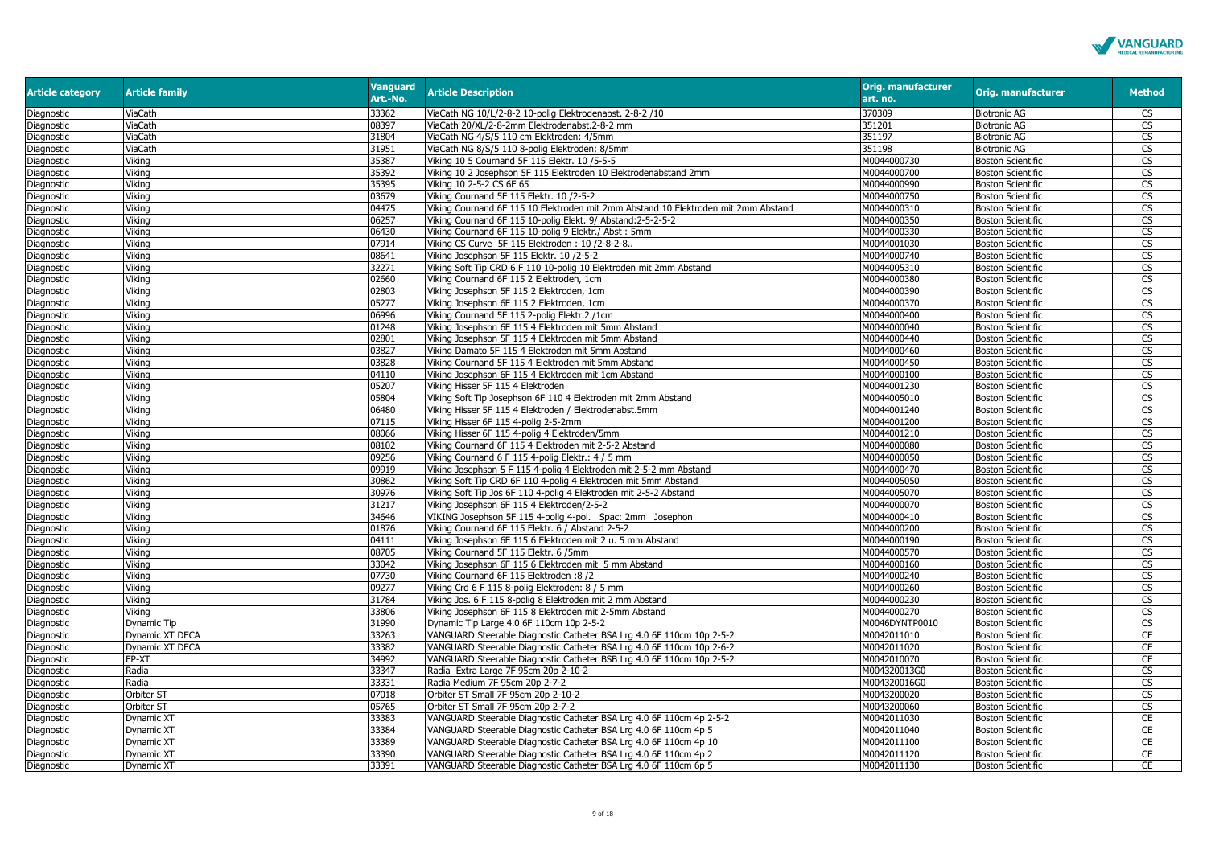

| <b>Article category</b> | <b>Article family</b> | <b>Vanguard</b><br>Art.-No. | <b>Article Description</b>                                                         | <b>Orig. manufacturer</b><br>art. no. | Orig. manufacturer       | <b>Method</b>           |
|-------------------------|-----------------------|-----------------------------|------------------------------------------------------------------------------------|---------------------------------------|--------------------------|-------------------------|
| Diagnostic              | ViaCath               | 33362                       | ViaCath NG 10/L/2-8-2 10-polig Elektrodenabst. 2-8-2 /10                           | 370309                                | <b>Biotronic AG</b>      | CS                      |
| Diagnostic              | ViaCath               | 08397                       | ViaCath 20/XL/2-8-2mm Elektrodenabst.2-8-2 mm                                      | 351201                                | <b>Biotronic AG</b>      | <b>CS</b>               |
| Diagnostic              | ViaCath               | 31804                       | ViaCath NG 4/S/5 110 cm Elektroden: 4/5mm                                          | 351197                                | <b>Biotronic AG</b>      | CS                      |
| Diagnostic              | ViaCath               | 31951                       | ViaCath NG 8/S/5 110 8-polig Elektroden: 8/5mm                                     | 351198                                | <b>Biotronic AG</b>      | CS                      |
| Diagnostic              | Viking                | 35387                       | Viking 10 5 Cournand 5F 115 Elektr. 10 / 5-5-5                                     | M0044000730                           | <b>Boston Scientific</b> | CS                      |
| Diagnostic              | Viking                | 35392                       | Viking 10 2 Josephson 5F 115 Elektroden 10 Elektrodenabstand 2mm                   | M0044000700                           | <b>Boston Scientific</b> | CS                      |
| Diagnostic              | Vikina                | 35395                       | Viking 10 2-5-2 CS 6F 65                                                           | M0044000990                           | <b>Boston Scientific</b> | <b>CS</b>               |
| Diagnostic              | Viking                | 03679                       | Viking Cournand 5F 115 Elektr. 10 /2-5-2                                           | M0044000750                           | <b>Boston Scientific</b> | CS                      |
| Diagnostic              | Vikina                | 04475                       | Viking Cournand 6F 115 10 Elektroden mit 2mm Abstand 10 Elektroden mit 2mm Abstand | M0044000310                           | <b>Boston Scientific</b> | <b>CS</b>               |
| Diagnostic              | Viking                | 06257                       | Viking Cournand 6F 115 10-polig Elekt. 9/ Abstand:2-5-2-5-2                        | M0044000350                           | <b>Boston Scientific</b> | $\overline{\text{cs}}$  |
| Diagnostic              | Viking                | 06430                       | Viking Cournand 6F 115 10-polig 9 Elektr./ Abst: 5mm                               | M0044000330                           | <b>Boston Scientific</b> | $\overline{\text{cs}}$  |
| Diagnostic              | Viking                | 07914                       | Viking CS Curve 5F 115 Elektroden: 10 /2-8-2-8                                     | M0044001030                           | <b>Boston Scientific</b> | <b>CS</b>               |
| Diagnostic              | Viking                | 08641                       | Viking Josephson 5F 115 Elektr. 10 /2-5-2                                          | M0044000740                           | <b>Boston Scientific</b> | CS                      |
| Diagnostic              | Vikina                | 32271                       | Viking Soft Tip CRD 6 F 110 10-polig 10 Elektroden mit 2mm Abstand                 | M0044005310                           | <b>Boston Scientific</b> | <b>CS</b>               |
| Diagnostic              | Viking                | 02660                       | Viking Cournand 6F 115 2 Elektroden, 1cm                                           | M0044000380                           | <b>Boston Scientific</b> | CS                      |
| Diagnostic              | Vikina                | 02803                       | Viking Josephson 5F 115 2 Elektroden, 1cm                                          | M0044000390                           | <b>Boston Scientific</b> | <b>CS</b>               |
| Diagnostic              | Vikina                | 05277                       | Viking Josephson 6F 115 2 Elektroden, 1cm                                          | M0044000370                           | <b>Boston Scientific</b> | <b>CS</b>               |
| Diagnostic              | Vikina                | 06996                       | Viking Cournand 5F 115 2-polig Elektr.2 /1cm                                       | M0044000400                           | <b>Boston Scientific</b> | $\overline{\text{cs}}$  |
| Diagnostic              | Viking                | 01248                       | Viking Josephson 6F 115 4 Elektroden mit 5mm Abstand                               | M0044000040                           | <b>Boston Scientific</b> | $\overline{\mathbb{C}}$ |
| Diagnostic              | Viking                | 02801                       | Viking Josephson 5F 115 4 Elektroden mit 5mm Abstand                               | M0044000440                           | <b>Boston Scientific</b> | CS                      |
| Diagnostic              | Vikina                | 03827                       | Viking Damato 5F 115 4 Elektroden mit 5mm Abstand                                  | M0044000460                           | <b>Boston Scientific</b> | $\overline{\text{cs}}$  |
| Diagnostic              | Viking                | 03828                       | Viking Cournand 5F 115 4 Elektroden mit 5mm Abstand                                | M0044000450                           | <b>Boston Scientific</b> | <b>CS</b>               |
| Diagnostic              | Viking                | 04110                       | Viking Josephson 6F 115 4 Elektroden mit 1cm Abstand                               | M0044000100                           | <b>Boston Scientific</b> | <b>CS</b>               |
| Diagnostic              | Vikina                | 05207                       | Viking Hisser 5F 115 4 Elektroden                                                  | M0044001230                           | <b>Boston Scientific</b> | <b>CS</b>               |
| Diagnostic              | Vikina                | 05804                       | Viking Soft Tip Josephson 6F 110 4 Elektroden mit 2mm Abstand                      | M0044005010                           | <b>Boston Scientific</b> | CS                      |
| Diagnostic              | Vikina                | 06480                       | Viking Hisser 5F 115 4 Elektroden / Elektrodenabst.5mm                             | M0044001240                           | <b>Boston Scientific</b> | $\overline{\mathbb{C}}$ |
| Diagnostic              | Viking                | 07115                       | Viking Hisser 6F 115 4-polig 2-5-2mm                                               | M0044001200                           | <b>Boston Scientific</b> | <b>CS</b>               |
| Diagnostic              | Viking                | 08066                       | Viking Hisser 6F 115 4-polig 4 Elektroden/5mm                                      | M0044001210                           | <b>Boston Scientific</b> | CS                      |
| Diagnostic              | Viking                | 08102                       | Viking Cournand 6F 115 4 Elektroden mit 2-5-2 Abstand                              | M0044000080                           | <b>Boston Scientific</b> | CS                      |
| Diagnostic              | Viking                | 09256                       | Viking Cournand 6 F 115 4-polig Elektr.: 4 / 5 mm                                  | M0044000050                           | <b>Boston Scientific</b> | CS                      |
| Diagnostic              | Viking                | 09919                       | Viking Josephson 5 F 115 4-polig 4 Elektroden mit 2-5-2 mm Abstand                 | M0044000470                           | <b>Boston Scientific</b> | <b>CS</b>               |
| Diagnostic              | Vikina                | 30862                       | Viking Soft Tip CRD 6F 110 4-polig 4 Elektroden mit 5mm Abstand                    | M0044005050                           | <b>Boston Scientific</b> | <b>CS</b>               |
| Diagnostic              | Viking                | 30976                       | Viking Soft Tip Jos 6F 110 4-polig 4 Elektroden mit 2-5-2 Abstand                  | M0044005070                           | <b>Boston Scientific</b> | $\overline{\mathbb{C}}$ |
| Diagnostic              | Vikina                | 31217                       | Viking Josephson 6F 115 4 Elektroden/2-5-2                                         | M0044000070                           | <b>Boston Scientific</b> | <b>CS</b>               |
| Diagnostic              | Viking                | 34646                       | VIKING Josephson 5F 115 4-polig 4-pol. Spac: 2mm Josephon                          | M0044000410                           | <b>Boston Scientific</b> | <b>CS</b>               |
| Diagnostic              | Viking                | 01876                       | Viking Cournand 6F 115 Elektr. 6 / Abstand 2-5-2                                   | M0044000200                           | <b>Boston Scientific</b> | $\overline{\text{cs}}$  |
| Diagnostic              | Viking                | 04111                       | Viking Josephson 6F 115 6 Elektroden mit 2 u. 5 mm Abstand                         | M0044000190                           | <b>Boston Scientific</b> | CS                      |
| Diagnostic              | Vikina                | 08705                       | Viking Cournand 5F 115 Elektr. 6 /5mm                                              | M0044000570                           | <b>Boston Scientific</b> | CS                      |
| Diagnostic              | Vikina                | 33042                       | Viking Josephson 6F 115 6 Elektroden mit 5 mm Abstand                              | M0044000160                           | <b>Boston Scientific</b> | <b>CS</b>               |
| Diagnostic              | Viking                | 07730                       | Viking Cournand 6F 115 Elektroden :8 /2                                            | M0044000240                           | <b>Boston Scientific</b> | <b>CS</b>               |
| Diagnostic              | Vikina                | 09277                       | Viking Crd 6 F 115 8-polig Elektroden: 8 / 5 mm                                    | M0044000260                           | <b>Boston Scientific</b> | <b>CS</b>               |
| Diagnostic              | Viking                | 31784                       | Viking Jos. 6 F 115 8-polig 8 Elektroden mit 2 mm Abstand                          | M0044000230                           | <b>Boston Scientific</b> | <b>CS</b>               |
| Diagnostic              | Viking                | 33806                       | Viking Josephson 6F 115 8 Elektroden mit 2-5mm Abstand                             | M0044000270                           | <b>Boston Scientific</b> | CS                      |
| Diagnostic              | Dynamic Tip           | 31990                       | Dynamic Tip Large 4.0 6F 110cm 10p 2-5-2                                           | M0046DYNTP0010                        | <b>Boston Scientific</b> | CS                      |
| Diagnostic              | Dynamic XT DECA       | 33263                       | VANGUARD Steerable Diagnostic Catheter BSA Lrg 4.0 6F 110cm 10p 2-5-2              | M0042011010                           | <b>Boston Scientific</b> | CE                      |
| Diagnostic              | Dynamic XT DECA       | 33382                       | VANGUARD Steerable Diagnostic Catheter BSA Lrg 4.0 6F 110cm 10p 2-6-2              | M0042011020                           | <b>Boston Scientific</b> | CE                      |
| Diagnostic              | EP-XT                 | 34992                       | VANGUARD Steerable Diagnostic Catheter BSB Lrg 4.0 6F 110cm 10p 2-5-2              | M0042010070                           | <b>Boston Scientific</b> | CE                      |
| Diagnostic              | Radia                 | 33347                       | Radia Extra Large 7F 95cm 20p 2-10-2                                               | M004320013G0                          | <b>Boston Scientific</b> | <b>CS</b>               |
| Diagnostic              | Radia                 | 33331                       | Radia Medium 7F 95cm 20p 2-7-2                                                     | M004320016G0                          | <b>Boston Scientific</b> | <b>CS</b>               |
| Diagnostic              | Orbiter ST            | 07018                       | Orbiter ST Small 7F 95cm 20p 2-10-2                                                | M0043200020                           | <b>Boston Scientific</b> | $\overline{\text{cs}}$  |
| Diagnostic              | Orbiter ST            | 05765                       | Orbiter ST Small 7F 95cm 20p 2-7-2                                                 | M0043200060                           | <b>Boston Scientific</b> | CS                      |
| Diagnostic              | Dynamic XT            | 33383                       | VANGUARD Steerable Diagnostic Catheter BSA Lrg 4.0 6F 110cm 4p 2-5-2               | M0042011030                           | <b>Boston Scientific</b> | CE                      |
| Diagnostic              | Dynamic XT            | 33384                       | VANGUARD Steerable Diagnostic Catheter BSA Lrg 4.0 6F 110cm 4p 5                   | M0042011040                           | <b>Boston Scientific</b> | CE                      |
| Diagnostic              | Dynamic XT            | 33389                       | VANGUARD Steerable Diagnostic Catheter BSA Lrg 4.0 6F 110cm 4p 10                  | M0042011100                           | <b>Boston Scientific</b> | CE                      |
| Diagnostic              | Dynamic XT            | 33390                       | VANGUARD Steerable Diagnostic Catheter BSA Lrg 4.0 6F 110cm 4p 2                   | M0042011120                           | <b>Boston Scientific</b> | CE                      |
| Diagnostic              | Dynamic XT            | 33391                       | VANGUARD Steerable Diagnostic Catheter BSA Lrg 4.0 6F 110cm 6p 5                   | M0042011130                           | <b>Boston Scientific</b> | <b>CE</b>               |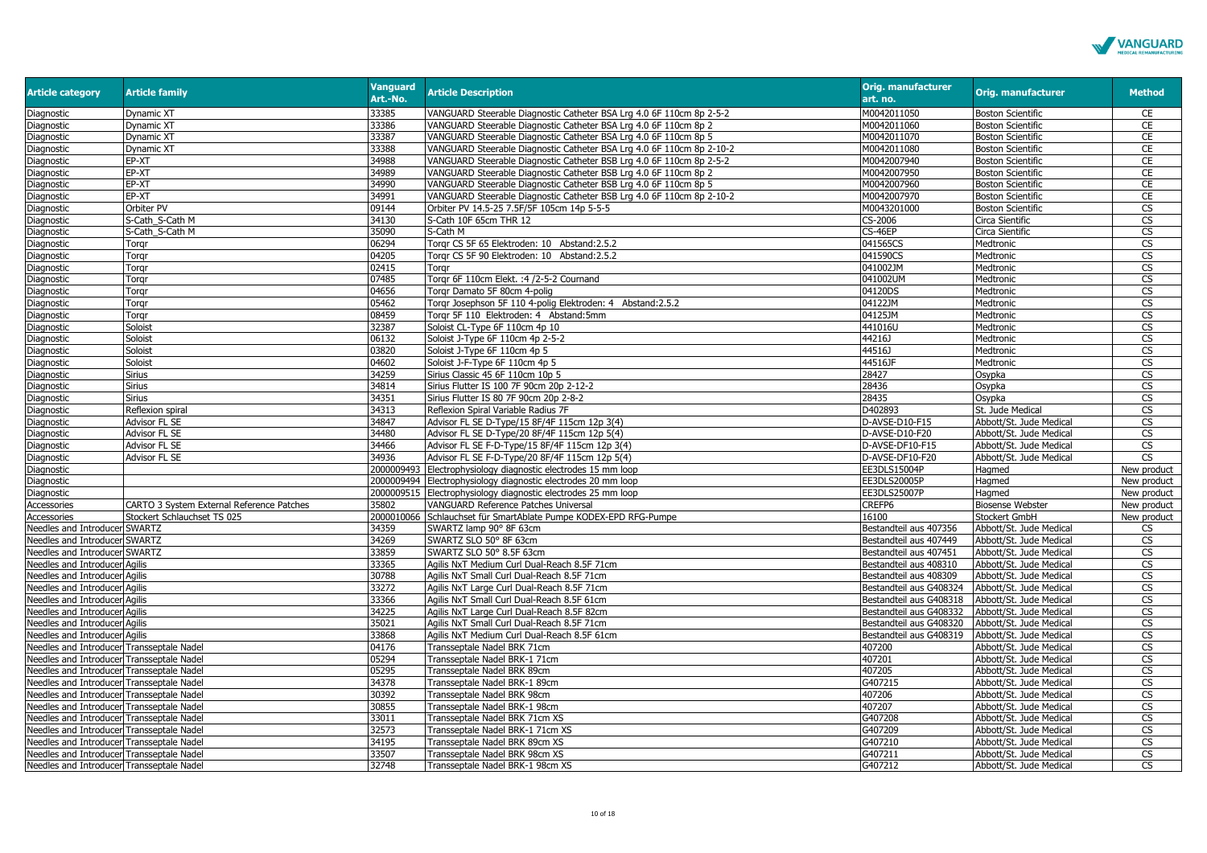

| <b>Article category</b>                   | <b>Article family</b>                     | <b>Vanguard</b><br>Art.-No. | <b>Article Description</b>                                            | <b>Orig. manufacturer</b><br>art. no.           | Orig. manufacturer       | <b>Method</b>           |
|-------------------------------------------|-------------------------------------------|-----------------------------|-----------------------------------------------------------------------|-------------------------------------------------|--------------------------|-------------------------|
| Diagnostic                                | Dynamic XT                                | 33385                       | VANGUARD Steerable Diagnostic Catheter BSA Lrg 4.0 6F 110cm 8p 2-5-2  | M0042011050                                     | <b>Boston Scientific</b> | CE                      |
| Diagnostic                                | Dynamic XT                                | 33386                       | VANGUARD Steerable Diagnostic Catheter BSA Lrg 4.0 6F 110cm 8p 2      | M0042011060                                     | <b>Boston Scientific</b> | CE                      |
| Diagnostic                                | Dynamic XT                                | 33387                       | VANGUARD Steerable Diagnostic Catheter BSA Lrg 4.0 6F 110cm 8p 5      | M0042011070                                     | <b>Boston Scientific</b> | CE                      |
| Diagnostic                                | Dynamic XT                                | 33388                       | VANGUARD Steerable Diagnostic Catheter BSA Lrg 4.0 6F 110cm 8p 2-10-2 | M0042011080                                     | <b>Boston Scientific</b> | CE                      |
| Diagnostic                                | EP-XT                                     | 34988                       | VANGUARD Steerable Diagnostic Catheter BSB Lrg 4.0 6F 110cm 8p 2-5-2  | M0042007940                                     | <b>Boston Scientific</b> | CE                      |
| Diagnostic                                | EP-XT                                     | 34989                       | VANGUARD Steerable Diagnostic Catheter BSB Lrg 4.0 6F 110cm 8p 2      | M0042007950                                     | <b>Boston Scientific</b> | CE                      |
| Diagnostic                                | EP-XT                                     | 34990                       | VANGUARD Steerable Diagnostic Catheter BSB Lrg 4.0 6F 110cm 8p 5      | M0042007960                                     | <b>Boston Scientific</b> | CE                      |
| Diagnostic                                | EP-XT                                     | 34991                       | VANGUARD Steerable Diagnostic Catheter BSB Lrg 4.0 6F 110cm 8p 2-10-2 | M0042007970                                     | <b>Boston Scientific</b> | CE                      |
| Diagnostic                                | Orbiter PV                                | 09144                       | Orbiter PV 14.5-25 7.5F/5F 105cm 14p 5-5-5                            | M0043201000                                     | <b>Boston Scientific</b> | <b>CS</b>               |
| Diagnostic                                | S-Cath S-Cath M                           | 34130                       | S-Cath 10F 65cm THR 12                                                | CS-2006                                         | Circa Sientific          | CS                      |
| Diagnostic                                | S-Cath S-Cath M                           | 35090                       | S-Cath M                                                              | CS-46EP                                         | Circa Sientific          | $\overline{\mathbb{C}}$ |
| Diagnostic                                | Torgr                                     | 06294                       | Torgr CS 5F 65 Elektroden: 10 Abstand:2.5.2                           | 041565CS                                        | Medtronic                | CS                      |
| Diagnostic                                | Torgr                                     | 04205                       | Torgr CS 5F 90 Elektroden: 10 Abstand:2.5.2                           | 041590CS                                        | Medtronic                | CS                      |
| Diagnostic                                | Torgr                                     | 02415                       | Torar                                                                 | 041002JM                                        | Medtronic                | <b>CS</b>               |
| Diagnostic                                | Torgr                                     | 07485                       | Torgr 6F 110cm Elekt. : 4/2-5-2 Cournand                              | 041002UM                                        | Medtronic                | <b>CS</b>               |
| Diagnostic                                | Torgr                                     | 04656                       | Torgr Damato 5F 80cm 4-polig                                          | 04120DS                                         | Medtronic                | <b>CS</b>               |
| Diagnostic                                | Torgr                                     | 05462                       | Torgr Josephson 5F 110 4-polig Elektroden: 4 Abstand: 2.5.2           | 04122JM                                         | Medtronic                | <b>CS</b>               |
| Diagnostic                                | Torgr                                     | 08459                       | Torgr 5F 110 Elektroden: 4 Abstand: 5mm                               | 04125JM                                         | Medtronic                | $\overline{\text{cs}}$  |
| Diagnostic                                | Soloist                                   | 32387                       | Soloist CL-Type 6F 110cm 4p 10                                        | 441016U                                         | Medtronic                | <b>CS</b>               |
| Diagnostic                                | Soloist                                   | 06132                       | Soloist J-Type 6F 110cm 4p 2-5-2                                      | 44216J                                          | Medtronic                | $\overline{\text{CS}}$  |
| Diagnostic                                | Soloist                                   | 03820                       | Soloist J-Type 6F 110cm 4p 5                                          | 44516J                                          | Medtronic                | <b>CS</b>               |
| Diagnostic                                | Soloist                                   | 04602                       | Soloist J-F-Type 6F 110cm 4p 5                                        | 44516JF                                         | Medtronic                | <b>CS</b>               |
| Diagnostic                                | <b>Sirius</b>                             | 34259                       | Sirius Classic 45 6F 110cm 10p 5                                      | 28427                                           | Osypka                   | CS                      |
| Diagnostic                                | <b>Sirius</b>                             | 34814                       | Sirius Flutter IS 100 7F 90cm 20p 2-12-2                              | 28436                                           | Osypka                   | <b>CS</b>               |
| Diagnostic                                | <b>Sirius</b>                             | 34351                       | Sirius Flutter IS 80 7F 90cm 20p 2-8-2                                | 28435                                           | Osypka                   | $\overline{\text{cs}}$  |
| Diagnostic                                | Reflexion spiral                          | 34313                       | Reflexion Spiral Variable Radius 7F                                   | D402893                                         | St. Jude Medical         | $\overline{\mathbb{C}}$ |
| Diagnostic                                | Advisor FL SE                             | 34847                       | Advisor FL SE D-Type/15 8F/4F 115cm 12p 3(4)                          | D-AVSE-D10-F15                                  | Abbott/St. Jude Medical  | CS                      |
| Diagnostic                                | Advisor FL SE                             | 34480                       | Advisor FL SE D-Type/20 8F/4F 115cm 12p 5(4)                          | D-AVSE-D10-F20                                  | Abbott/St. Jude Medical  | <b>CS</b>               |
| Diagnostic                                | Advisor FL SE                             | 34466                       | Advisor FL SE F-D-Type/15 8F/4F 115cm 12p 3(4)                        | D-AVSE-DF10-F15                                 | Abbott/St. Jude Medical  | $\overline{\text{cs}}$  |
| Diagnostic                                | Advisor FL SE                             | 34936                       | Advisor FL SE F-D-Type/20 8F/4F 115cm 12p 5(4)                        | D-AVSE-DF10-F20                                 | Abbott/St. Jude Medical  | CS                      |
| Diagnostic                                |                                           | 2000009493                  | Electrophysiology diagnostic electrodes 15 mm loop                    | EE3DLS15004P                                    | Hagmed                   | New product             |
| Diagnostic                                |                                           |                             | 2000009494 Electrophysiology diagnostic electrodes 20 mm loop         | <b>EE3DLS20005P</b>                             | Hagmed                   | New product             |
| Diagnostic                                |                                           | 2000009515                  | Electrophysiology diagnostic electrodes 25 mm loop                    | <b>EE3DLS25007P</b>                             | Hagmed                   | New product             |
| Accessories                               | CARTO 3 System External Reference Patches | 35802                       | VANGUARD Reference Patches Universal                                  | CREFP6                                          | <b>Biosense Webster</b>  | New product             |
| Accessories                               | Stockert Schlauchset TS 025               | 2000010066                  | Schlauchset für SmartAblate Pumpe KODEX-EPD RFG-Pumpe                 | 16100                                           | Stockert GmbH            | New product             |
| Needles and Introducer SWARTZ             |                                           | 34359                       | SWARTZ lamp 90° 8F 63cm                                               | Bestandteil aus 407356                          | Abbott/St. Jude Medical  | CS                      |
| Needles and Introducer SWARTZ             |                                           | 34269                       | SWARTZ SLO 50° 8F 63cm                                                | Bestandteil aus 407449                          | Abbott/St. Jude Medical  | CS                      |
| Needles and Introducer SWARTZ             |                                           | 33859                       | SWARTZ SLO 50° 8.5F 63cm                                              | Bestandteil aus 407451                          | Abbott/St. Jude Medical  | CS                      |
| Needles and Introducer Agilis             |                                           | 33365                       | Agilis NxT Medium Curl Dual-Reach 8.5F 71cm                           | Bestandteil aus 408310                          | Abbott/St. Jude Medical  | <b>CS</b>               |
| Needles and Introducer Agilis             |                                           | 30788                       | Agilis NxT Small Curl Dual-Reach 8.5F 71cm                            | Bestandteil aus 408309                          | Abbott/St. Jude Medical  | CS                      |
| Needles and Introducer Agilis             |                                           | 33272                       | Agilis NxT Large Curl Dual-Reach 8.5F 71cm                            | Bestandteil aus G408324                         | Abbott/St. Jude Medical  | <b>CS</b>               |
| Needles and Introducer Agilis             |                                           | 33366                       | Agilis NxT Small Curl Dual-Reach 8.5F 61cm                            | Bestandteil aus G408318                         | Abbott/St. Jude Medical  | <b>CS</b>               |
| Needles and Introducer Agilis             |                                           | 34225                       | Agilis NxT Large Curl Dual-Reach 8.5F 82cm                            | Bestandteil aus G408332                         | Abbott/St. Jude Medical  | $\overline{\text{cs}}$  |
| Needles and Introducer Agilis             |                                           | 35021                       | Agilis NxT Small Curl Dual-Reach 8.5F 71cm                            | Bestandteil aus G408320                         | Abbott/St. Jude Medical  | <b>CS</b>               |
| Needles and Introducer Agilis             |                                           | 33868                       | Agilis NxT Medium Curl Dual-Reach 8.5F 61cm                           | Bestandteil aus G408319 Abbott/St. Jude Medical |                          | <b>CS</b>               |
|                                           |                                           | 04176                       | Transseptale Nadel BRK 71cm                                           |                                                 |                          | <b>CS</b>               |
| Needles and Introducer Transseptale Nadel |                                           | 05294                       |                                                                       | 407200<br>407201                                | Abbott/St. Jude Medical  | CS                      |
| Needles and Introducer Transseptale Nadel |                                           |                             | Transseptale Nadel BRK-1 71cm                                         |                                                 | Abbott/St. Jude Medical  |                         |
| Needles and Introducer Transseptale Nadel |                                           | 05295                       | Transseptale Nadel BRK 89cm                                           | 407205                                          | Abbott/St. Jude Medical  | <b>CS</b>               |
| Needles and Introducer Transseptale Nadel |                                           | 34378                       | Transseptale Nadel BRK-1 89cm                                         | G407215                                         | Abbott/St. Jude Medica   | <b>CS</b>               |
| Needles and Introducer Transseptale Nadel |                                           | 30392                       | Transseptale Nadel BRK 98cm                                           | 407206                                          | Abbott/St. Jude Medical  | <b>CS</b>               |
| Needles and Introducer Transseptale Nadel |                                           | 30855                       | Transseptale Nadel BRK-1 98cm                                         | 407207                                          | Abbott/St. Jude Medical  | CS                      |
| Needles and Introducer Transseptale Nadel |                                           | 33011                       | Transseptale Nadel BRK 71cm XS                                        | G407208                                         | Abbott/St. Jude Medical  | <b>CS</b>               |
| Needles and Introducer Transseptale Nadel |                                           | 32573                       | Transseptale Nadel BRK-1 71cm XS                                      | G407209                                         | Abbott/St. Jude Medical  | $\overline{\text{cs}}$  |
| Needles and Introducer Transseptale Nadel |                                           | 34195                       | Transseptale Nadel BRK 89cm XS                                        | G407210                                         | Abbott/St. Jude Medical  | CS                      |
| Needles and Introducer Transseptale Nadel |                                           | 33507                       | Transseptale Nadel BRK 98cm XS                                        | G407211                                         | Abbott/St. Jude Medical  | <b>CS</b>               |
| Needles and Introducer Transseptale Nadel |                                           | 32748                       | Transseptale Nadel BRK-1 98cm XS                                      | G407212                                         | Abbott/St. Jude Medical  | CS                      |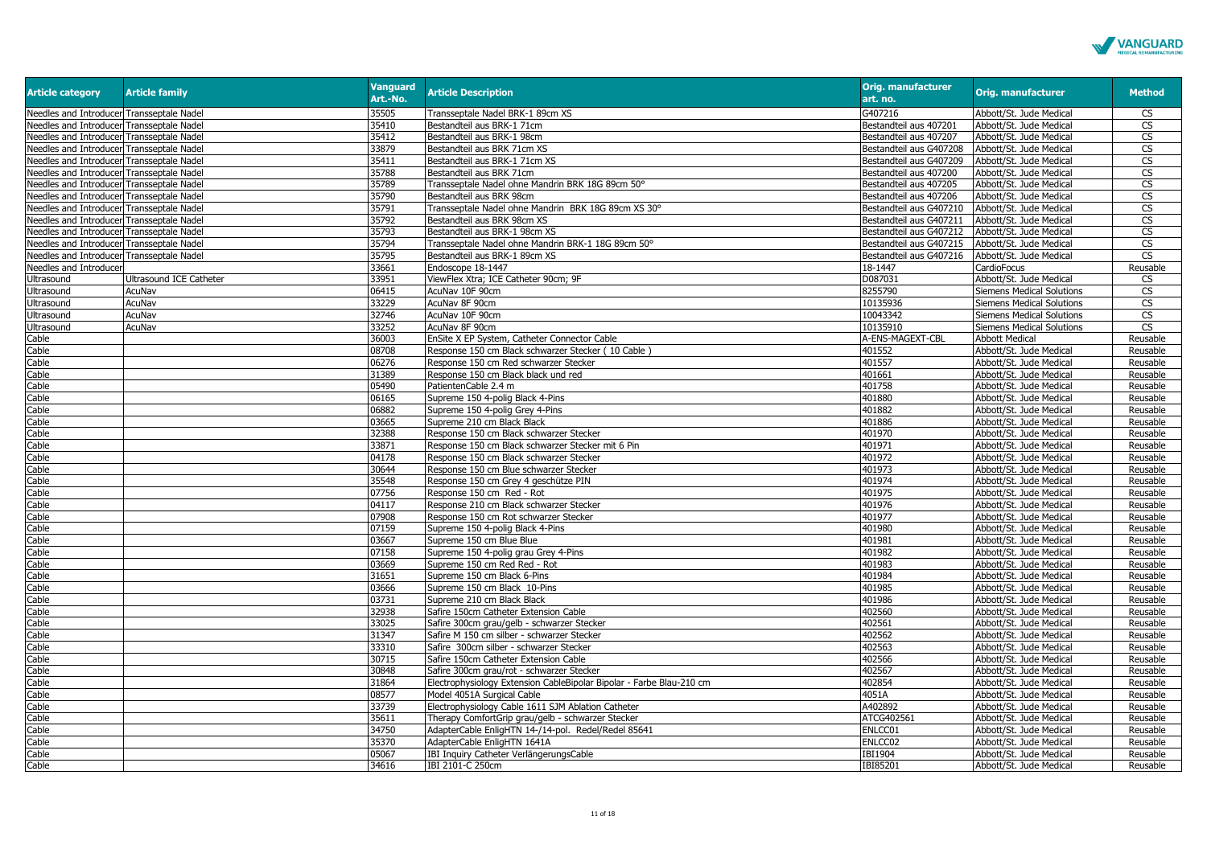

| <b>Article category</b>                   | <b>Article family</b>   | <b>Vanguard</b><br>Art.-No. | <b>Article Description</b>                                           | <b>Orig. manufacturer</b><br>art. no. | Orig. manufacturer               | <b>Method</b>            |
|-------------------------------------------|-------------------------|-----------------------------|----------------------------------------------------------------------|---------------------------------------|----------------------------------|--------------------------|
| Needles and Introducer Transseptale Nadel |                         | 35505                       | Transseptale Nadel BRK-1 89cm XS                                     | G407216                               | Abbott/St. Jude Medical          | CS                       |
| Needles and Introducer Transseptale Nadel |                         | 35410                       | Bestandteil aus BRK-1 71cm                                           | Bestandteil aus 407201                | Abbott/St. Jude Medical          | $\overline{\text{cs}}$   |
| Needles and Introducer Transseptale Nadel |                         | 35412                       | Bestandteil aus BRK-1 98cm                                           | Bestandteil aus 407207                | Abbott/St. Jude Medical          | CS                       |
| Needles and Introducer Transseptale Nadel |                         | 33879                       | Bestandteil aus BRK 71cm XS                                          | Bestandteil aus G407208               | Abbott/St. Jude Medical          | $\overline{\text{cs}}$   |
| Needles and Introducer Transseptale Nadel |                         | 35411                       | Bestandteil aus BRK-1 71cm XS                                        | Bestandteil aus G407209               | Abbott/St. Jude Medical          | $\overline{\text{cs}}$   |
| Needles and Introducer Transseptale Nadel |                         | 35788                       | Bestandteil aus BRK 71cm                                             | Bestandteil aus 407200                | Abbott/St. Jude Medical          | $\overline{\text{CS}}$   |
| Needles and Introducer Transseptale Nadel |                         | 35789                       | Transseptale Nadel ohne Mandrin BRK 18G 89cm 50°                     | Bestandteil aus 407205                | Abbott/St. Jude Medical          | <b>CS</b>                |
| Needles and Introducer Transseptale Nadel |                         | 35790                       | Bestandteil aus BRK 98cm                                             | Bestandteil aus 407206                | Abbott/St. Jude Medical          | CS                       |
| Needles and Introducer Transseptale Nadel |                         | 35791                       | Transseptale Nadel ohne Mandrin BRK 18G 89cm XS 30°                  | Bestandteil aus G407210               | Abbott/St. Jude Medical          | $\mathsf{CS}\,$          |
| Needles and Introducer Transseptale Nadel |                         | 35792                       | Bestandteil aus BRK 98cm XS                                          | Bestandteil aus G407211               | Abbott/St. Jude Medical          | $\overline{\mathsf{CS}}$ |
| Needles and Introducer Transseptale Nadel |                         | 35793                       | Bestandteil aus BRK-1 98cm XS                                        | Bestandteil aus G407212               | Abbott/St. Jude Medical          | $\overline{\text{CS}}$   |
| Needles and Introducer Transseptale Nadel |                         | 35794                       | Transseptale Nadel ohne Mandrin BRK-1 18G 89cm 50°                   | Bestandteil aus G407215               | Abbott/St. Jude Medical          | CS                       |
| Needles and Introducer Transseptale Nadel |                         | 35795                       | Bestandteil aus BRK-1 89cm XS                                        | Bestandteil aus G407216               | Abbott/St. Jude Medical          | CS                       |
| Needles and Introducer                    |                         | 33661                       | Endoscope 18-1447                                                    | 18-1447                               | CardioFocus                      | Reusable                 |
| Ultrasound                                | Ultrasound ICE Catheter | 33951                       | ViewFlex Xtra; ICE Catheter 90cm; 9F                                 | D087031                               | Abbott/St. Jude Medical          | CS                       |
| Ultrasound                                | AcuNav                  | 06415                       | AcuNav 10F 90cm                                                      | 8255790                               | <b>Siemens Medical Solutions</b> | CS                       |
| Ultrasound                                | AcuNav                  | 33229                       | AcuNav 8F 90cm                                                       | 10135936                              | Siemens Medical Solutions        | CS                       |
| Ultrasound                                | AcuNav                  | 32746                       | AcuNav 10F 90cm                                                      | 10043342                              | Siemens Medical Solutions        | $\overline{\text{CS}}$   |
| Ultrasound                                | AcuNav                  | 33252                       | AcuNav 8F 90cm                                                       | 10135910                              | Siemens Medical Solutions        | $\overline{\text{cs}}$   |
| Cable                                     |                         | 36003                       | EnSite X EP System, Catheter Connector Cable                         | A-ENS-MAGEXT-CBL                      | <b>Abbott Medical</b>            | Reusable                 |
| Cable                                     |                         | 08708                       | Response 150 cm Black schwarzer Stecker (10 Cable)                   | 401552                                | Abbott/St. Jude Medical          | Reusable                 |
| Cable                                     |                         | 06276                       | Response 150 cm Red schwarzer Stecker                                | 401557                                | Abbott/St. Jude Medical          | Reusable                 |
| Cable                                     |                         | 31389                       | Response 150 cm Black black und red                                  | 401661                                | Abbott/St. Jude Medical          | Reusable                 |
| Cable                                     |                         | 05490                       | PatientenCable 2.4 m                                                 | 401758                                | Abbott/St. Jude Medical          | Reusable                 |
| Cable                                     |                         | 06165                       | Supreme 150 4-polig Black 4-Pins                                     | 401880                                | Abbott/St. Jude Medical          | Reusable                 |
| Cable                                     |                         | 06882                       | Supreme 150 4-polig Grey 4-Pins                                      | 401882                                | Abbott/St. Jude Medical          | Reusable                 |
| Cable                                     |                         | 03665                       | Supreme 210 cm Black Black                                           | 401886                                | Abbott/St. Jude Medical          | Reusable                 |
| Cable                                     |                         | 32388                       | Response 150 cm Black schwarzer Stecker                              | 401970                                | Abbott/St. Jude Medical          | Reusable                 |
| Cable                                     |                         | 33871                       | Response 150 cm Black schwarzer Stecker mit 6 Pin                    | 401971                                | Abbott/St. Jude Medical          | Reusable                 |
| Cable                                     |                         | 04178                       | Response 150 cm Black schwarzer Stecker                              | 401972                                | Abbott/St. Jude Medical          | Reusable                 |
| Cable                                     |                         | 30644                       | Response 150 cm Blue schwarzer Stecker                               | 401973                                | Abbott/St. Jude Medical          | Reusable                 |
| Cable                                     |                         | 35548                       | Response 150 cm Grey 4 geschütze PIN                                 | 401974                                | Abbott/St. Jude Medical          | Reusable                 |
| Cable                                     |                         | 07756                       | Response 150 cm Red - Rot                                            | 401975                                | Abbott/St. Jude Medical          | Reusable                 |
| Cable                                     |                         | 04117                       | Response 210 cm Black schwarzer Stecker                              | 401976                                | Abbott/St. Jude Medical          | Reusable                 |
| Cable                                     |                         | 07908                       | Response 150 cm Rot schwarzer Stecker                                | 401977                                | Abbott/St. Jude Medical          | Reusable                 |
| Cable                                     |                         | 07159                       | Supreme 150 4-polig Black 4-Pins                                     | 401980                                | Abbott/St. Jude Medical          | Reusable                 |
| Cable                                     |                         | 03667                       | Supreme 150 cm Blue Blue                                             | 401981                                | Abbott/St. Jude Medical          | Reusable                 |
| Cable                                     |                         | 07158                       | Supreme 150 4-polig grau Grey 4-Pins                                 | 401982                                | Abbott/St. Jude Medical          | Reusable                 |
| Cable                                     |                         | 03669                       | Supreme 150 cm Red Red - Rot                                         | 401983                                | Abbott/St. Jude Medical          | Reusable                 |
| Cable                                     |                         | 31651                       | Supreme 150 cm Black 6-Pins                                          | 401984                                | Abbott/St. Jude Medical          | Reusable                 |
| Cable                                     |                         | 03666                       | Supreme 150 cm Black 10-Pins                                         | 401985                                | Abbott/St. Jude Medical          | Reusable                 |
| Cable                                     |                         | 03731                       | Supreme 210 cm Black Black                                           | 401986                                | Abbott/St. Jude Medical          | Reusable                 |
| Cable                                     |                         | 32938                       | Safire 150cm Catheter Extension Cable                                | 402560                                | Abbott/St. Jude Medical          | Reusable                 |
| Cable                                     |                         | 33025                       | Safire 300cm grau/gelb - schwarzer Stecker                           | 402561                                | Abbott/St. Jude Medical          | Reusable                 |
| Cable                                     |                         | 31347                       | Safire M 150 cm silber - schwarzer Stecker                           | 402562                                | Abbott/St. Jude Medical          | Reusable                 |
| Cable                                     |                         | 33310                       | Safire 300cm silber - schwarzer Stecker                              | 402563                                | Abbott/St. Jude Medical          | Reusable                 |
| Cable                                     |                         | 30715                       | Safire 150cm Catheter Extension Cable                                | 402566                                | Abbott/St. Jude Medical          | Reusable                 |
| Cable                                     |                         | 30848                       | Safire 300cm grau/rot - schwarzer Stecker                            | 402567                                | Abbott/St. Jude Medical          | Reusable                 |
| Cable                                     |                         | 31864                       | Electrophysiology Extension CableBipolar Bipolar - Farbe Blau-210 cm | 402854                                | Abbott/St. Jude Medical          | Reusable                 |
| Cable                                     |                         | 08577                       | Model 4051A Surgical Cable                                           | 4051A                                 | Abbott/St. Jude Medical          | Reusable                 |
| Cable                                     |                         | 33739                       | Electrophysiology Cable 1611 SJM Ablation Catheter                   | A402892                               | Abbott/St. Jude Medical          | Reusable                 |
| Cable                                     |                         | 35611                       | Therapy ComfortGrip grau/gelb - schwarzer Stecker                    | ATCG402561                            | Abbott/St. Jude Medical          | Reusable                 |
| Cable                                     |                         | 34750                       | AdapterCable EnligHTN 14-/14-pol. Redel/Redel 85641                  | ENLCC01                               | Abbott/St. Jude Medical          | Reusable                 |
| Cable                                     |                         | 35370                       | AdapterCable EnligHTN 1641A                                          | ENLCC02                               | Abbott/St. Jude Medical          | Reusable                 |
| Cable                                     |                         | 05067                       | IBI Inquiry Catheter VerlängerungsCable                              | IBI1904                               | Abbott/St. Jude Medical          | Reusable                 |
| Cable                                     |                         | 34616                       | IBI 2101-C 250cm                                                     | IBI85201                              | Abbott/St. Jude Medical          | Reusable                 |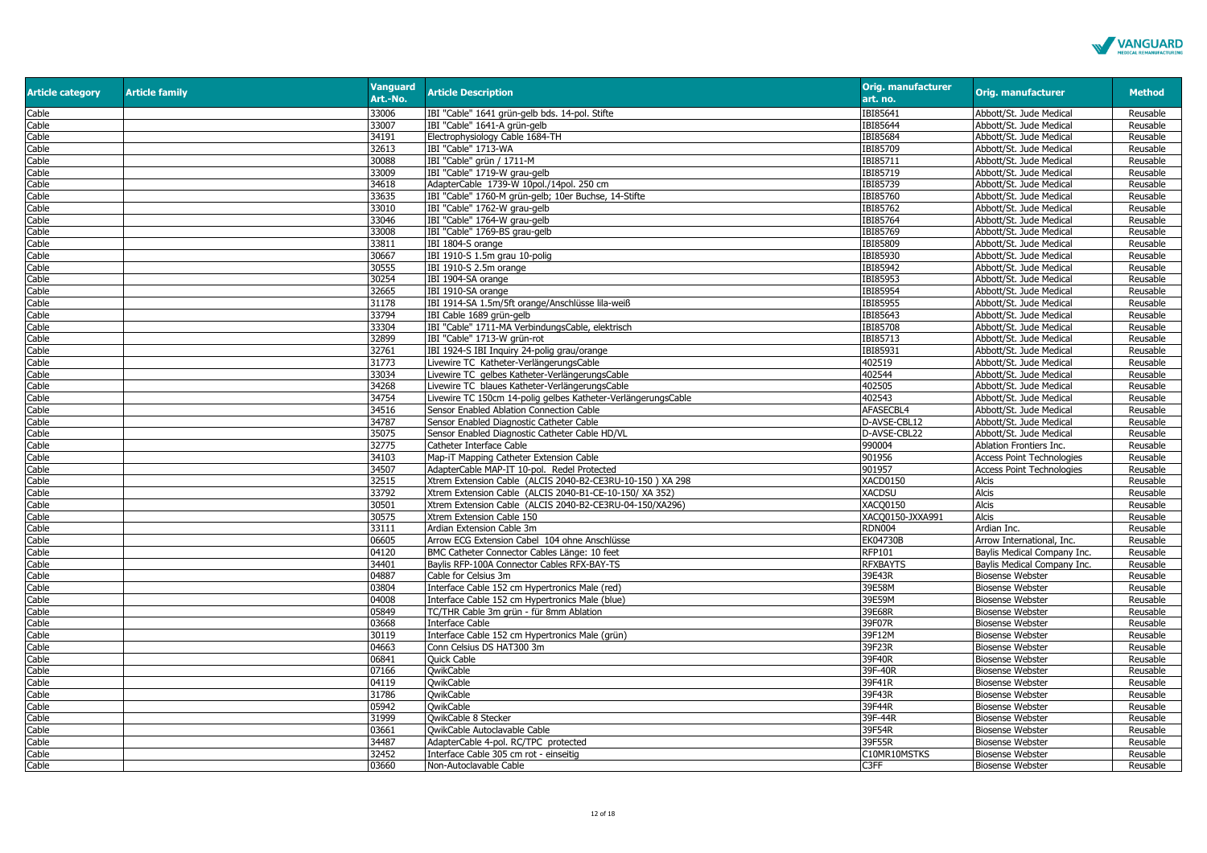

| <b>Article category</b> | <b>Article family</b> | <b>Vanguard</b><br>Art.-No. | <b>Article Description</b>                                    | <b>Orig. manufacturer</b><br>art. no. | <b>Orig. manufacturer</b>        | <b>Method</b> |
|-------------------------|-----------------------|-----------------------------|---------------------------------------------------------------|---------------------------------------|----------------------------------|---------------|
| Cable                   |                       | 33006                       | IBI "Cable" 1641 grün-gelb bds. 14-pol. Stifte                | IBI85641                              | Abbott/St. Jude Medical          | Reusable      |
| Cable                   |                       | 33007                       | IBI "Cable" 1641-A grün-gelb                                  | IBI85644                              | Abbott/St. Jude Medical          | Reusable      |
| Cable                   |                       | 34191                       | Electrophysiology Cable 1684-TH                               | IBI85684                              | Abbott/St. Jude Medical          | Reusable      |
| Cable                   |                       | 32613                       | IBI "Cable" 1713-WA                                           | IBI85709                              | Abbott/St. Jude Medical          | Reusable      |
| Cable                   |                       | 30088                       | IBI "Cable" grün / 1711-M                                     | IBI85711                              | Abbott/St. Jude Medical          | Reusable      |
| Cable                   |                       | 33009                       | IBI "Cable" 1719-W grau-gelb                                  | IBI85719                              | Abbott/St. Jude Medical          | Reusable      |
| Cable                   |                       | 34618                       | AdapterCable 1739-W 10pol./14pol. 250 cm                      | IBI85739                              | Abbott/St. Jude Medical          | Reusable      |
| Cable                   |                       | 33635                       | IBI "Cable" 1760-M grün-gelb; 10er Buchse, 14-Stifte          | IBI85760                              | Abbott/St. Jude Medical          | Reusable      |
| Cable                   |                       | 33010                       | IBI "Cable" 1762-W grau-gelb                                  | IBI85762                              | Abbott/St. Jude Medical          | Reusable      |
| Cable                   |                       | 33046                       | IBI "Cable" 1764-W grau-gelb                                  | IBI85764                              | Abbott/St. Jude Medical          | Reusable      |
| Cable                   |                       | 33008                       | IBI "Cable" 1769-BS grau-gelb                                 | IBI85769                              | Abbott/St. Jude Medical          | Reusable      |
| Cable                   |                       | 33811                       | IBI 1804-S orange                                             | IBI85809                              | Abbott/St. Jude Medical          | Reusable      |
| Cable                   |                       | 30667                       | IBI 1910-S 1.5m grau 10-polig                                 | IBI85930                              | Abbott/St. Jude Medical          | Reusable      |
| Cable                   |                       | 30555                       | IBI 1910-S 2.5m orange                                        | IBI85942                              | Abbott/St. Jude Medical          | Reusable      |
| Cable                   |                       | 30254                       | IBI 1904-SA orange                                            | IBI85953                              | Abbott/St. Jude Medical          | Reusable      |
| Cable                   |                       | 32665                       | IBI 1910-SA orange                                            | IBI85954                              | Abbott/St. Jude Medical          | Reusable      |
| Cable                   |                       | 31178                       | IBI 1914-SA 1.5m/5ft orange/Anschlüsse lila-weiß              | IBI85955                              | Abbott/St. Jude Medical          | Reusable      |
| Cable                   |                       | 33794                       | IBI Cable 1689 grün-gelb                                      | IBI85643                              | Abbott/St. Jude Medical          | Reusable      |
| Cable                   |                       | 33304                       | IBI "Cable" 1711-MA VerbindungsCable, elektrisch              | IBI85708                              | Abbott/St. Jude Medical          | Reusable      |
| Cable                   |                       | 32899                       | IBI "Cable" 1713-W grün-rot                                   | IBI85713                              | Abbott/St. Jude Medical          | Reusable      |
| Cable                   |                       | 32761                       | IBI 1924-S IBI Inquiry 24-polig grau/orange                   | IBI85931                              | Abbott/St. Jude Medical          | Reusable      |
| Cable                   |                       | 31773                       | Livewire TC Katheter-VerlängerungsCable                       | 402519                                | Abbott/St. Jude Medical          |               |
| Cable                   |                       | 33034                       | Livewire TC gelbes Katheter-VerlängerungsCable                | 402544                                |                                  | Reusable      |
| Cable                   |                       | 34268                       | Livewire TC blaues Katheter-VerlängerungsCable                | 402505                                | Abbott/St. Jude Medical          | Reusable      |
|                         |                       | 34754                       |                                                               | 402543                                | Abbott/St. Jude Medical          | Reusable      |
| Cable                   |                       |                             | Livewire TC 150cm 14-polig gelbes Katheter-VerlängerungsCable |                                       | Abbott/St. Jude Medical          | Reusable      |
| Cable                   |                       | 34516                       | Sensor Enabled Ablation Connection Cable                      | AFASECBL4                             | Abbott/St. Jude Medical          | Reusable      |
| Cable                   |                       | 34787                       | Sensor Enabled Diagnostic Catheter Cable                      | D-AVSE-CBL12                          | Abbott/St. Jude Medical          | Reusable      |
| Cable                   |                       | 35075                       | Sensor Enabled Diagnostic Catheter Cable HD/VL                | D-AVSE-CBL22                          | Abbott/St. Jude Medical          | Reusable      |
| Cable                   |                       | 32775                       | Catheter Interface Cable                                      | 990004                                | Ablation Frontiers Inc.          | Reusable      |
| Cable                   |                       | 34103                       | Map-iT Mapping Catheter Extension Cable                       | 901956                                | <b>Access Point Technologies</b> | Reusable      |
| Cable                   |                       | 34507                       | AdapterCable MAP-IT 10-pol. Redel Protected                   | 901957                                | <b>Access Point Technologies</b> | Reusable      |
| Cable                   |                       | 32515                       | Xtrem Extension Cable (ALCIS 2040-B2-CE3RU-10-150) XA 298     | XACD0150                              | Alcis                            | Reusable      |
| Cable                   |                       | 33792                       | Xtrem Extension Cable (ALCIS 2040-B1-CE-10-150/ XA 352)       | <b>XACDSU</b>                         | <b>Alcis</b>                     | Reusable      |
| Cable                   |                       | 30501                       | Xtrem Extension Cable (ALCIS 2040-B2-CE3RU-04-150/XA296)      | <b>XACO0150</b>                       | <b>Alcis</b>                     | Reusable      |
| Cable                   |                       | 30575                       | Xtrem Extension Cable 150                                     | XACQ0150-JXXA991                      | <b>Alcis</b>                     | Reusable      |
| Cable                   |                       | 33111                       | Ardian Extension Cable 3m                                     | <b>RDN004</b>                         | Ardian Inc.                      | Reusable      |
| Cable                   |                       | 06605                       | Arrow ECG Extension Cabel 104 ohne Anschlüsse                 | EK04730B                              | Arrow International, Inc.        | Reusable      |
| Cable                   |                       | 04120                       | BMC Catheter Connector Cables Länge: 10 feet                  | <b>RFP101</b>                         | Baylis Medical Company Inc.      | Reusable      |
| Cable                   |                       | 34401                       | Baylis RFP-100A Connector Cables RFX-BAY-TS                   | <b>RFXBAYTS</b>                       | Baylis Medical Company Inc.      | Reusable      |
| Cable                   |                       | 04887                       | Cable for Celsius 3m                                          | 39E43R                                | <b>Biosense Webster</b>          | Reusable      |
| Cable                   |                       | 03804                       | Interface Cable 152 cm Hypertronics Male (red)                | 39E58M                                | <b>Biosense Webster</b>          | Reusable      |
| Cable                   |                       | 04008                       | Interface Cable 152 cm Hypertronics Male (blue)               | 39E59M                                | <b>Biosense Webster</b>          | Reusable      |
| Cable                   |                       | 05849                       | TC/THR Cable 3m grün - für 8mm Ablation                       | 39E68R                                | <b>Biosense Webster</b>          | Reusable      |
| Cable                   |                       | 03668                       | <b>Interface Cable</b>                                        | 39F07R                                | <b>Biosense Webster</b>          | Reusable      |
| Cable                   |                       | 30119                       | Interface Cable 152 cm Hypertronics Male (grün)               | 39F12M                                | <b>Biosense Webster</b>          | Reusable      |
| Cable                   |                       | 04663                       | Conn Celsius DS HAT300 3m                                     | 39F23R                                | <b>Biosense Webster</b>          | Reusable      |
| Cable                   |                       | 06841                       | Quick Cable                                                   | 39F40R                                | <b>Biosense Webster</b>          | Reusable      |
| Cable                   |                       | 07166                       | QwikCable                                                     | 39F-40R                               | <b>Biosense Webster</b>          | Reusable      |
| Cable                   |                       | 04119                       | <b>OwikCable</b>                                              | 39F41R                                | <b>Biosense Webster</b>          | Reusable      |
| Cable                   |                       | 31786                       | <b>OwikCable</b>                                              | 39F43R                                | <b>Biosense Webster</b>          | Reusable      |
| Cable                   |                       | 05942                       | <b>OwikCable</b>                                              | 39F44R                                | <b>Biosense Webster</b>          | Reusable      |
| Cable                   |                       | 31999                       | OwikCable 8 Stecker                                           | 39F-44R                               | <b>Biosense Webster</b>          | Reusable      |
| Cable                   |                       | 03661                       | OwikCable Autoclavable Cable                                  | 39F54R                                | <b>Biosense Webster</b>          | Reusable      |
| Cable                   |                       | 34487                       | AdapterCable 4-pol. RC/TPC protected                          | 39F55R                                | <b>Biosense Webster</b>          | Reusable      |
| Cable                   |                       | 32452                       | Interface Cable 305 cm rot - einseitig                        | C10MR10MSTKS                          | <b>Biosense Webster</b>          | Reusable      |
| Cable                   |                       | 03660                       | Non-Autoclavable Cable                                        | C3FF                                  | <b>Biosense Webster</b>          | Reusable      |
|                         |                       |                             |                                                               |                                       |                                  |               |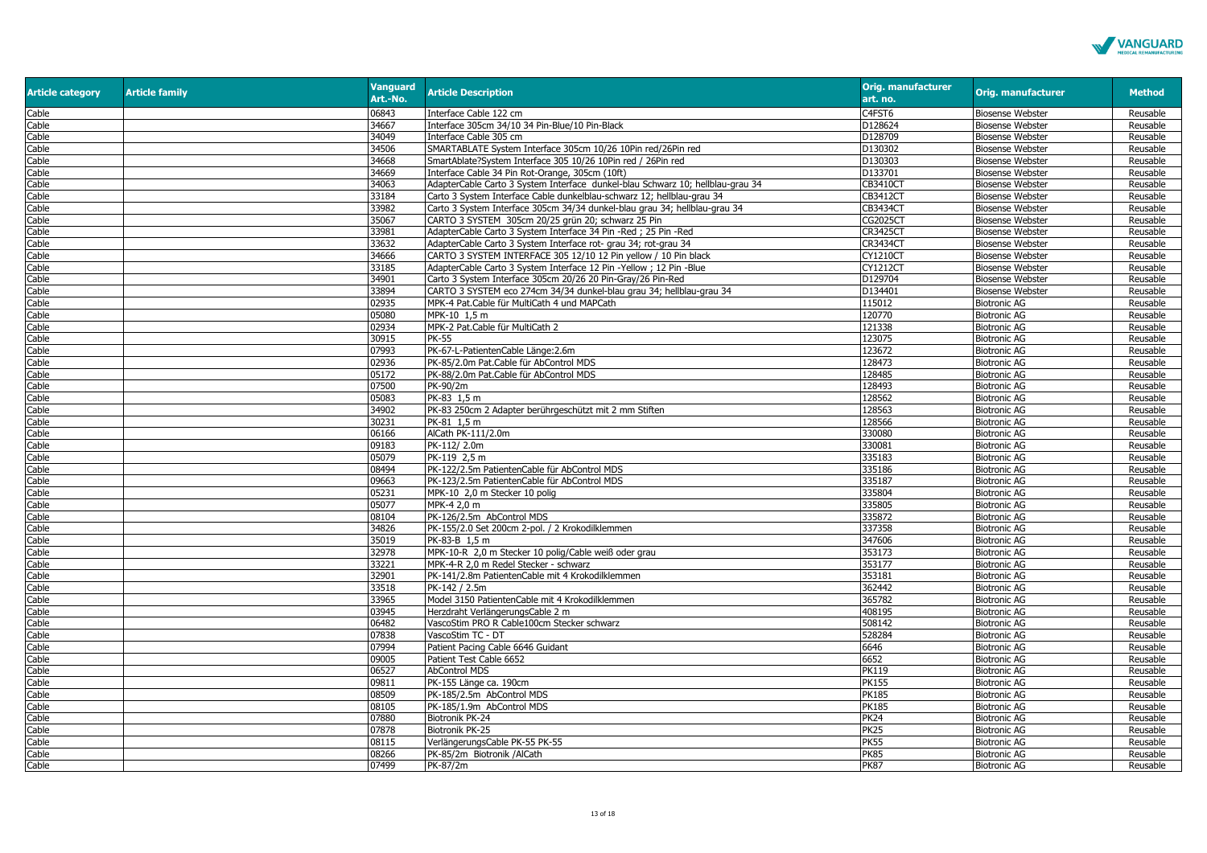

| <b>Article category</b> | <b>Article family</b> | <b>Vanguard</b><br>Art.-No. | <b>Article Description</b>                                                     | <b>Orig. manufacturer</b><br>art. no. | Orig. manufacturer      | <b>Method</b> |
|-------------------------|-----------------------|-----------------------------|--------------------------------------------------------------------------------|---------------------------------------|-------------------------|---------------|
| Cable                   |                       | 06843                       | Interface Cable 122 cm                                                         | C4FST6                                | <b>Biosense Webster</b> | Reusable      |
| Cable                   |                       | 34667                       | Interface 305cm 34/10 34 Pin-Blue/10 Pin-Black                                 | D128624                               | <b>Biosense Webster</b> | Reusable      |
| Cable                   |                       | 34049                       | Interface Cable 305 cm                                                         | D128709                               | <b>Biosense Webster</b> | Reusable      |
| Cable                   |                       | 34506                       | SMARTABLATE System Interface 305cm 10/26 10Pin red/26Pin red                   | D130302                               | <b>Biosense Webster</b> | Reusable      |
| Cable                   |                       | 34668                       | SmartAblate?System Interface 305 10/26 10Pin red / 26Pin red                   | D130303                               | <b>Biosense Webster</b> | Reusable      |
| Cable                   |                       | 34669                       | Interface Cable 34 Pin Rot-Orange, 305cm (10ft)                                | D133701                               | <b>Biosense Webster</b> | Reusable      |
| Cable                   |                       | 34063                       | AdapterCable Carto 3 System Interface dunkel-blau Schwarz 10; hellblau-grau 34 | <b>CB3410CT</b>                       | <b>Biosense Webster</b> | Reusable      |
| Cable                   |                       | 33184                       | Carto 3 System Interface Cable dunkelblau-schwarz 12; hellblau-grau 34         | CB3412CT                              | <b>Biosense Webster</b> | Reusable      |
| Cable                   |                       | 33982                       | Carto 3 System Interface 305cm 34/34 dunkel-blau grau 34; hellblau-grau 34     | CB3434CT                              | <b>Biosense Webster</b> | Reusable      |
| Cable                   |                       | 35067                       | CARTO 3 SYSTEM 305cm 20/25 grün 20; schwarz 25 Pin                             | CG2025CT                              | <b>Biosense Webster</b> | Reusable      |
| Cable                   |                       | 33981                       | AdapterCable Carto 3 System Interface 34 Pin -Red; 25 Pin -Red                 | CR3425CT                              | <b>Biosense Webster</b> | Reusable      |
| Cable                   |                       | 33632                       | AdapterCable Carto 3 System Interface rot- grau 34; rot-grau 34                | <b>CR3434CT</b>                       | <b>Biosense Webster</b> | Reusable      |
| Cable                   |                       | 34666                       | CARTO 3 SYSTEM INTERFACE 305 12/10 12 Pin yellow / 10 Pin black                | <b>CY1210CT</b>                       | <b>Biosense Webster</b> | Reusable      |
| Cable                   |                       | 33185                       | AdapterCable Carto 3 System Interface 12 Pin -Yellow ; 12 Pin -Blue            | CY1212CT                              | <b>Biosense Webster</b> | Reusable      |
| Cable                   |                       | 34901                       | Carto 3 System Interface 305cm 20/26 20 Pin-Gray/26 Pin-Red                    | D129704                               | <b>Biosense Webster</b> | Reusable      |
| Cable                   |                       | 33894                       | CARTO 3 SYSTEM eco 274cm 34/34 dunkel-blau grau 34; hellblau-grau 34           | D134401                               | <b>Biosense Webster</b> | Reusable      |
| Cable                   |                       | 02935                       | MPK-4 Pat.Cable für MultiCath 4 und MAPCath                                    | 115012                                | <b>Biotronic AG</b>     | Reusable      |
| Cable                   |                       | 05080                       | MPK-10 1,5 m                                                                   | 120770                                | <b>Biotronic AG</b>     | Reusable      |
| Cable                   |                       | 02934                       | MPK-2 Pat.Cable für MultiCath 2                                                | 121338                                | <b>Biotronic AG</b>     | Reusable      |
| Cable                   |                       | 30915                       | PK-55                                                                          | 123075                                | <b>Biotronic AG</b>     | Reusable      |
| Cable                   |                       | 07993                       | PK-67-L-PatientenCable Länge:2.6m                                              | 123672                                | <b>Biotronic AG</b>     | Reusable      |
| Cable                   |                       | 02936                       | PK-85/2.0m Pat.Cable für AbControl MDS                                         | 128473                                | <b>Biotronic AG</b>     | Reusable      |
| Cable                   |                       | 05172                       | PK-88/2.0m Pat.Cable für AbControl MDS                                         | 128485                                | <b>Biotronic AG</b>     | Reusable      |
| Cable                   |                       | 07500                       | PK-90/2m                                                                       | 128493                                | <b>Biotronic AG</b>     | Reusable      |
| Cable                   |                       | 05083                       | PK-83 1.5 m                                                                    | 128562                                | <b>Biotronic AG</b>     | Reusable      |
| Cable                   |                       | 34902                       | PK-83 250cm 2 Adapter berührgeschützt mit 2 mm Stiften                         | 128563                                | <b>Biotronic AG</b>     | Reusable      |
| Cable                   |                       | 30231                       | PK-81 1.5 m                                                                    | 128566                                | <b>Biotronic AG</b>     | Reusable      |
| Cable                   |                       | 06166                       | AlCath PK-111/2.0m                                                             | 330080                                | <b>Biotronic AG</b>     | Reusable      |
| Cable                   |                       | 09183                       | PK-112/ 2.0m                                                                   | 330081                                | <b>Biotronic AG</b>     | Reusable      |
| Cable                   |                       | 05079                       | PK-119 2,5 m                                                                   | 335183                                | <b>Biotronic AG</b>     | Reusable      |
| Cable                   |                       | 08494                       | PK-122/2.5m PatientenCable für AbControl MDS                                   | 335186                                | <b>Biotronic AG</b>     | Reusable      |
| Cable                   |                       | 09663                       | PK-123/2.5m PatientenCable für AbControl MDS                                   | 335187                                | <b>Biotronic AG</b>     | Reusable      |
| Cable                   |                       | 05231                       | MPK-10 2,0 m Stecker 10 polig                                                  | 335804                                | <b>Biotronic AG</b>     | Reusable      |
| Cable                   |                       | 05077                       | MPK-4 2,0 m                                                                    | 335805                                | <b>Biotronic AG</b>     | Reusable      |
| Cable                   |                       | 08104                       | PK-126/2.5m AbControl MDS                                                      | 335872                                | <b>Biotronic AG</b>     | Reusable      |
| Cable                   |                       | 34826                       | PK-155/2.0 Set 200cm 2-pol. / 2 Krokodilklemmen                                | 337358                                | <b>Biotronic AG</b>     | Reusable      |
| Cable                   |                       | 35019                       | PK-83-B 1.5 m                                                                  | 347606                                | <b>Biotronic AG</b>     | Reusable      |
| Cable                   |                       | 32978                       | MPK-10-R 2,0 m Stecker 10 polig/Cable weiß oder grau                           | 353173                                | <b>Biotronic AG</b>     | Reusable      |
| Cable                   |                       | 33221                       | MPK-4-R 2,0 m Redel Stecker - schwarz                                          | 353177                                | <b>Biotronic AG</b>     | Reusable      |
| Cable                   |                       | 32901                       | PK-141/2.8m PatientenCable mit 4 Krokodilklemmen                               | 353181                                | <b>Biotronic AG</b>     | Reusable      |
| Cable                   |                       | 33518                       | PK-142 / 2.5m                                                                  | 362442                                | <b>Biotronic AG</b>     | Reusable      |
| Cable                   |                       | 33965                       | Model 3150 PatientenCable mit 4 Krokodilklemmen                                | 365782                                | <b>Biotronic AG</b>     | Reusable      |
| Cable                   |                       | 03945                       | Herzdraht VerlängerungsCable 2 m                                               | 408195                                | <b>Biotronic AG</b>     | Reusable      |
| Cable                   |                       | 06482                       | VascoStim PRO R Cable100cm Stecker schwarz                                     | 508142                                | <b>Biotronic AG</b>     | Reusable      |
| Cable                   |                       | 07838                       | VascoStim TC - DT                                                              | 528284                                | <b>Biotronic AG</b>     | Reusable      |
| Cable                   |                       | 07994                       | Patient Pacing Cable 6646 Guidant                                              | 6646                                  | <b>Biotronic AG</b>     | Reusable      |
| Cable                   |                       | 09005                       | Patient Test Cable 6652                                                        | 6652                                  | <b>Biotronic AG</b>     | Reusable      |
| Cable                   |                       | 06527                       | <b>AbControl MDS</b>                                                           | <b>PK119</b>                          | <b>Biotronic AG</b>     | Reusable      |
| Cable                   |                       | 09811                       | PK-155 Länge ca. 190cm                                                         | <b>PK155</b>                          | <b>Biotronic AG</b>     | Reusable      |
| Cable                   |                       | 08509                       | PK-185/2.5m AbControl MDS                                                      | <b>PK185</b>                          | <b>Biotronic AG</b>     | Reusable      |
| Cable                   |                       | 08105                       | PK-185/1.9m AbControl MDS                                                      | <b>PK185</b>                          | <b>Biotronic AG</b>     | Reusable      |
| Cable                   |                       | 07880                       | Biotronik PK-24                                                                | <b>PK24</b>                           | <b>Biotronic AG</b>     | Reusable      |
| Cable                   |                       | 07878                       | Biotronik PK-25                                                                | <b>PK25</b>                           | <b>Biotronic AG</b>     | Reusable      |
| Cable                   |                       | 08115                       | VerlängerungsCable PK-55 PK-55                                                 | <b>PK55</b>                           | <b>Biotronic AG</b>     | Reusable      |
| Cable                   |                       | 08266                       | PK-85/2m Biotronik /AlCath                                                     | <b>PK85</b>                           | <b>Biotronic AG</b>     | Reusable      |
| Cable                   |                       | 07499                       | PK-87/2m                                                                       | <b>PK87</b>                           | <b>Biotronic AG</b>     | Reusable      |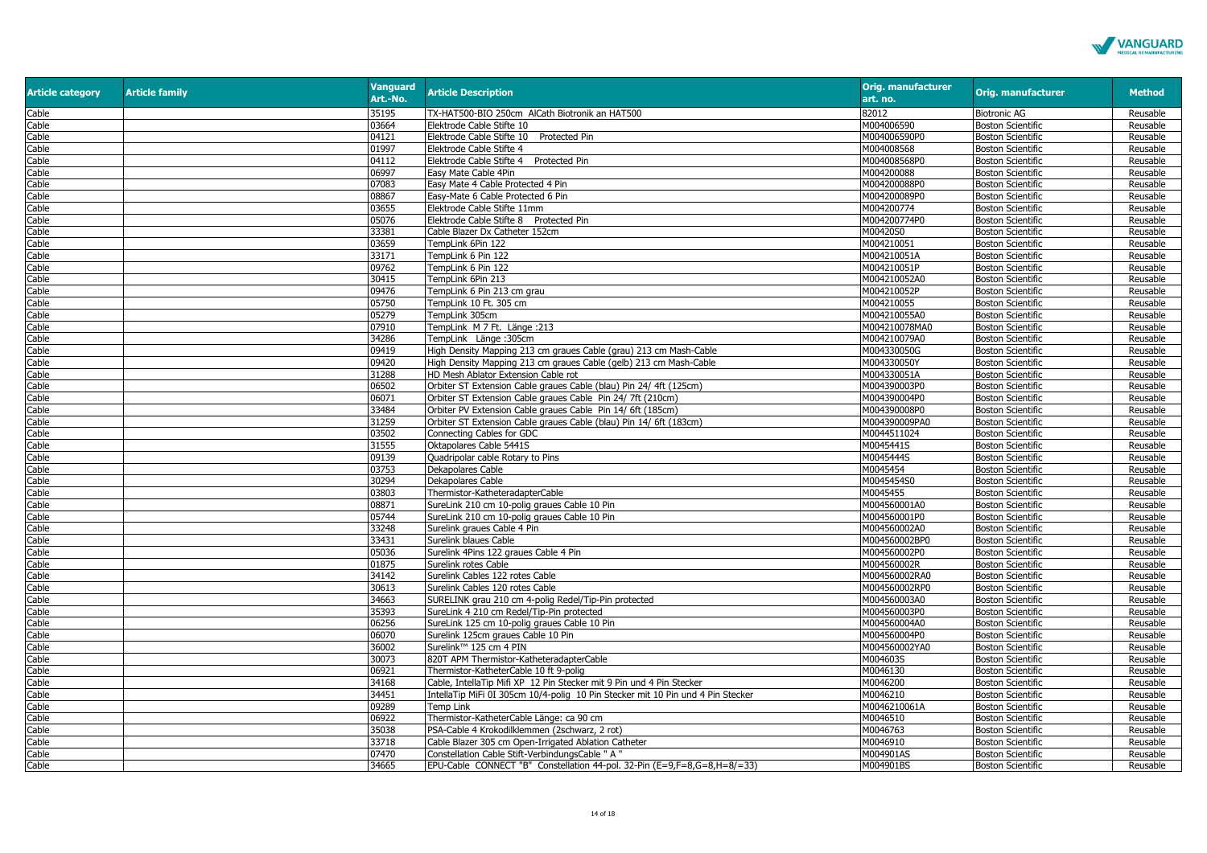

| <b>Article category</b> | <b>Article family</b> | <b>Vanguard</b><br>Art.-No. | <b>Article Description</b>                                                                                                        | <b>Orig. manufacturer</b><br>art. no. | <b>Orig. manufacturer</b> | <b>Method</b> |
|-------------------------|-----------------------|-----------------------------|-----------------------------------------------------------------------------------------------------------------------------------|---------------------------------------|---------------------------|---------------|
| Cable                   |                       | 35195                       | TX-HAT500-BIO 250cm AlCath Biotronik an HAT500                                                                                    | 82012                                 | <b>Biotronic AG</b>       | Reusable      |
| Cable                   |                       | 03664                       | Elektrode Cable Stifte 10                                                                                                         | M004006590                            | <b>Boston Scientific</b>  | Reusable      |
| Cable                   |                       | 04121                       | Elektrode Cable Stifte 10 Protected Pin                                                                                           | M004006590P0                          | <b>Boston Scientific</b>  | Reusable      |
| Cable                   |                       | 01997                       | Elektrode Cable Stifte 4                                                                                                          | M004008568                            | <b>Boston Scientific</b>  | Reusable      |
| Cable                   |                       | 04112                       | Elektrode Cable Stifte 4 Protected Pin                                                                                            | M004008568P0                          | <b>Boston Scientific</b>  | Reusable      |
| Cable                   |                       | )6997                       | Easy Mate Cable 4Pin                                                                                                              | M004200088                            | <b>Boston Scientific</b>  | Reusable      |
| Cable                   |                       | )7083                       | Easy Mate 4 Cable Protected 4 Pin                                                                                                 | M004200088P0                          | <b>Boston Scientific</b>  | Reusable      |
| Cable                   |                       | 08867                       | Easy-Mate 6 Cable Protected 6 Pin                                                                                                 | M004200089P0                          | <b>Boston Scientific</b>  | Reusable      |
| Cable                   |                       | )3655                       | Elektrode Cable Stifte 11mm                                                                                                       | M004200774                            | <b>Boston Scientific</b>  | Reusable      |
| Cable                   |                       | 05076                       | Elektrode Cable Stifte 8 Protected Pin                                                                                            | M004200774P0                          | <b>Boston Scientific</b>  | Reusable      |
| Cable                   |                       | 33381                       | Cable Blazer Dx Catheter 152cm                                                                                                    | M00420S0                              | <b>Boston Scientific</b>  | Reusable      |
| Cable                   |                       | 03659                       | TempLink 6Pin 122                                                                                                                 | M004210051                            | <b>Boston Scientific</b>  | Reusable      |
| Cable                   |                       | 33171                       | TempLink 6 Pin 122                                                                                                                | M004210051A                           | <b>Boston Scientific</b>  | Reusable      |
| Cable                   |                       | 09762                       | TempLink 6 Pin 122                                                                                                                | M004210051P                           | <b>Boston Scientific</b>  | Reusable      |
| Cable                   |                       | 30415                       | TempLink 6Pin 213                                                                                                                 | M004210052A0                          | <b>Boston Scientific</b>  | Reusable      |
| Cable                   |                       | )9476                       | TempLink 6 Pin 213 cm grau                                                                                                        | M004210052P                           | <b>Boston Scientific</b>  | Reusable      |
| Cable                   |                       | 05750                       | TempLink 10 Ft. 305 cm                                                                                                            | M004210055                            | <b>Boston Scientific</b>  | Reusable      |
| Cable                   |                       | 05279                       | TempLink 305cm                                                                                                                    | M004210055A0                          | <b>Boston Scientific</b>  | Reusable      |
| Cable                   |                       | 07910                       | TempLink M 7 Ft. Länge : 213                                                                                                      | M004210078MA0                         | <b>Boston Scientific</b>  | Reusable      |
| Cable                   |                       | 34286                       | TempLink Länge: 305cm                                                                                                             | M004210079A0                          | <b>Boston Scientific</b>  | Reusable      |
| Cable                   |                       | 09419                       | High Density Mapping 213 cm graues Cable (grau) 213 cm Mash-Cable                                                                 | M004330050G                           | <b>Boston Scientific</b>  | Reusable      |
| Cable                   |                       | 09420                       | High Density Mapping 213 cm graues Cable (gelb) 213 cm Mash-Cable                                                                 | M004330050Y                           | <b>Boston Scientific</b>  | Reusable      |
| Cable                   |                       | 31288                       | HD Mesh Ablator Extension Cable rot                                                                                               | M004330051A                           | <b>Boston Scientific</b>  | Reusable      |
| Cable                   |                       | 06502                       | Orbiter ST Extension Cable graues Cable (blau) Pin 24/ 4ft (125cm)                                                                | M004390003P0                          | <b>Boston Scientific</b>  | Reusable      |
| Cable                   |                       | 06071                       | Orbiter ST Extension Cable graues Cable Pin 24/7ft (210cm)                                                                        | M004390004P0                          | <b>Boston Scientific</b>  | Reusable      |
|                         |                       | 33484                       |                                                                                                                                   | M004390008P0                          |                           |               |
| Cable                   |                       | 31259                       | Orbiter PV Extension Cable graues Cable Pin 14/ 6ft (185cm)<br>Orbiter ST Extension Cable graues Cable (blau) Pin 14/ 6ft (183cm) | M004390009PA0                         | <b>Boston Scientific</b>  | Reusable      |
| Cable                   |                       |                             |                                                                                                                                   | M0044511024                           | <b>Boston Scientific</b>  | Reusable      |
| Cable                   |                       | 03502                       | Connecting Cables for GDC                                                                                                         |                                       | <b>Boston Scientific</b>  | Reusable      |
| Cable                   |                       | 31555                       | Oktapolares Cable 5441S                                                                                                           | M0045441S                             | <b>Boston Scientific</b>  | Reusable      |
| Cable                   |                       | 09139                       | Quadripolar cable Rotary to Pins                                                                                                  | M0045444S                             | <b>Boston Scientific</b>  | Reusable      |
| Cable                   |                       | 03753                       | Dekapolares Cable                                                                                                                 | M0045454                              | <b>Boston Scientific</b>  | Reusable      |
| Cable                   |                       | 30294                       | Dekapolares Cable                                                                                                                 | M0045454S0                            | <b>Boston Scientific</b>  | Reusable      |
| Cable                   |                       | 03803                       | Thermistor-KatheteradapterCable                                                                                                   | M0045455                              | <b>Boston Scientific</b>  | Reusable      |
| Cable                   |                       | 08871                       | SureLink 210 cm 10-polig graues Cable 10 Pin                                                                                      | M004560001A0                          | <b>Boston Scientific</b>  | Reusable      |
| Cable                   |                       | 05744                       | SureLink 210 cm 10-polig graues Cable 10 Pin                                                                                      | M004560001P0                          | <b>Boston Scientific</b>  | Reusable      |
| Cable                   |                       | 33248                       | Surelink graues Cable 4 Pin                                                                                                       | M004560002A0                          | <b>Boston Scientific</b>  | Reusable      |
| Cable                   |                       | 33431                       | Surelink blaues Cable                                                                                                             | M004560002BP0                         | <b>Boston Scientific</b>  | Reusable      |
| Cable                   |                       | 05036                       | Surelink 4Pins 122 graues Cable 4 Pin                                                                                             | M004560002P0                          | <b>Boston Scientific</b>  | Reusable      |
| Cable                   |                       | 01875                       | Surelink rotes Cable                                                                                                              | M004560002R                           | <b>Boston Scientific</b>  | Reusable      |
| Cable                   |                       | 34142                       | Surelink Cables 122 rotes Cable                                                                                                   | M004560002RA0                         | <b>Boston Scientific</b>  | Reusable      |
| Cable                   |                       | 30613                       | Surelink Cables 120 rotes Cable                                                                                                   | M004560002RP0                         | <b>Boston Scientific</b>  | Reusable      |
| Cable                   |                       | 34663                       | SURELINK grau 210 cm 4-polig Redel/Tip-Pin protected                                                                              | M004560003A0                          | <b>Boston Scientific</b>  | Reusable      |
| Cable                   |                       | 35393                       | SureLink 4 210 cm Redel/Tip-Pin protected                                                                                         | M004560003P0                          | <b>Boston Scientific</b>  | Reusable      |
| Cable                   |                       | 06256                       | SureLink 125 cm 10-polig graues Cable 10 Pin                                                                                      | M004560004A0                          | <b>Boston Scientific</b>  | Reusable      |
| Cable                   |                       | 06070                       | Surelink 125cm graues Cable 10 Pin                                                                                                | M004560004P0                          | <b>Boston Scientific</b>  | Reusable      |
| Cable                   |                       | 36002                       | Surelink™ 125 cm 4 PIN                                                                                                            | M004560002YA0                         | <b>Boston Scientific</b>  | Reusable      |
| Cable                   |                       | 30073                       | 820T APM Thermistor-KatheteradapterCable                                                                                          | M004603S                              | <b>Boston Scientific</b>  | Reusable      |
| Cable                   |                       | 06921                       | Thermistor-KatheterCable 10 ft 9-polig                                                                                            | M0046130                              | <b>Boston Scientific</b>  | Reusable      |
| Cable                   |                       | 34168                       | Cable, IntellaTip Mifi XP 12 Pin Stecker mit 9 Pin und 4 Pin Stecker                                                              | M0046200                              | <b>Boston Scientific</b>  | Reusable      |
| Cable                   |                       | 34451                       | IntellaTip MiFi 0I 305cm 10/4-polig 10 Pin Stecker mit 10 Pin und 4 Pin Stecker                                                   | M0046210                              | <b>Boston Scientific</b>  | Reusable      |
| Cable                   |                       | 09289                       | <b>Temp Link</b>                                                                                                                  | M0046210061A                          | <b>Boston Scientific</b>  | Reusable      |
| Cable                   |                       | 06922                       | Thermistor-KatheterCable Länge: ca 90 cm                                                                                          | M0046510                              | <b>Boston Scientific</b>  | Reusable      |
| Cable                   |                       | 35038                       | PSA-Cable 4 Krokodilklemmen (2schwarz, 2 rot)                                                                                     | M0046763                              | <b>Boston Scientific</b>  | Reusable      |
| Cable                   |                       | 33718                       | Cable Blazer 305 cm Open-Irrigated Ablation Catheter                                                                              | M0046910                              | <b>Boston Scientific</b>  | Reusable      |
| Cable                   |                       | 07470                       | Constellation Cable Stift-VerbindungsCable " A "                                                                                  | M004901AS                             | <b>Boston Scientific</b>  | Reusable      |
| Cable                   |                       | 34665                       | EPU-Cable CONNECT "B" Constellation 44-pol. 32-Pin (E=9,F=8,G=8,H=8/=33)                                                          | M004901BS                             | <b>Boston Scientific</b>  | Reusable      |
|                         |                       |                             |                                                                                                                                   |                                       |                           |               |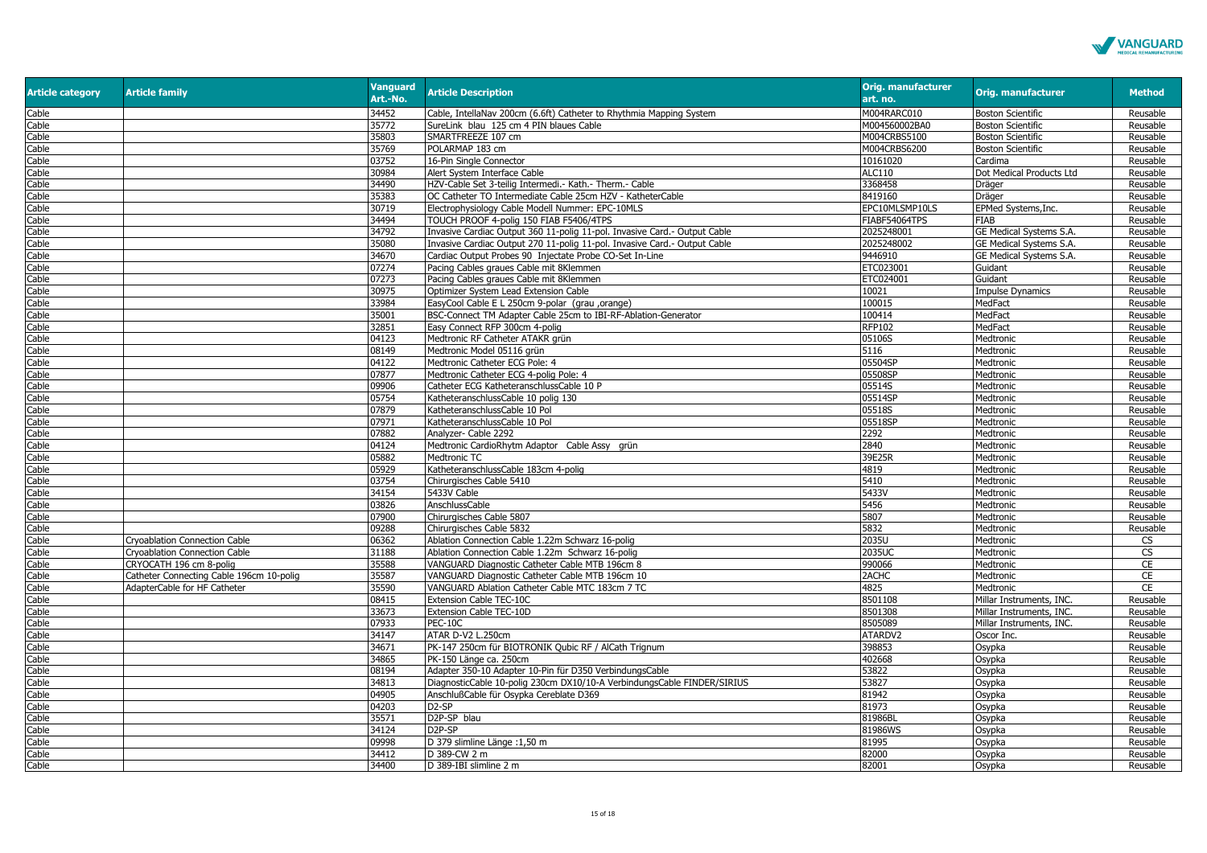

| <b>Article category</b> | <b>Article family</b>                    | <b>Vanguard</b><br>Art.-No. | <b>Article Description</b>                                                         | <b>Orig. manufacturer</b><br>art. no. | Orig. manufacturer                 | <b>Method</b>        |
|-------------------------|------------------------------------------|-----------------------------|------------------------------------------------------------------------------------|---------------------------------------|------------------------------------|----------------------|
| Cable                   |                                          | 34452                       | Cable, IntellaNav 200cm (6.6ft) Catheter to Rhythmia Mapping System                | M004RARC010                           | <b>Boston Scientific</b>           | Reusable             |
| Cable                   |                                          | 35772                       | SureLink blau 125 cm 4 PIN blaues Cable                                            | M004560002BA0                         | <b>Boston Scientific</b>           | Reusable             |
| Cable                   |                                          | 35803                       | SMARTFREEZE 107 cm                                                                 | M004CRBS5100                          | <b>Boston Scientific</b>           | Reusable             |
| Cable                   |                                          | 35769                       | POLARMAP 183 cm                                                                    | M004CRBS6200                          | <b>Boston Scientific</b>           | Reusable             |
| Cable                   |                                          | 03752                       | 16-Pin Single Connector                                                            | 10161020                              | Cardima                            | Reusable             |
| Cable                   |                                          | 30984                       | Alert System Interface Cable                                                       | <b>ALC110</b>                         | Dot Medical Products Ltd           | Reusable             |
| Cable                   |                                          | 34490                       | HZV-Cable Set 3-teilig Intermedi.- Kath.- Therm.- Cable                            | 3368458                               | Dräger                             | Reusable             |
| Cable                   |                                          | 35383                       | OC Catheter TO Intermediate Cable 25cm HZV - KatheterCable                         | 8419160                               | Dräger                             | Reusable             |
| Cable                   |                                          | 30719                       | Electrophysiology Cable Modell Nummer: EPC-10MLS                                   | EPC10MLSMP10LS                        | EPMed Systems, Inc.                | Reusable             |
| Cable                   |                                          | 34494                       | TOUCH PROOF 4-polig 150 FIAB F5406/4TPS                                            | FIABF54064TPS                         | FIAB                               | Reusable             |
| Cable                   |                                          | 34792                       | Invasive Cardiac Output 360 11-polig 11-pol. Invasive Card.- Output Cable          | 2025248001                            | <b>GE Medical Systems S.A.</b>     | Reusable             |
| Cable                   |                                          | 35080                       | Invasive Cardiac Output 270 11-polig 11-pol. Invasive Card.- Output Cable          | 2025248002                            | GE Medical Systems S.A.            | Reusable             |
| Cable                   |                                          | 34670<br>07274              | Cardiac Output Probes 90 Injectate Probe CO-Set In-Line                            | 9446910                               | GE Medical Systems S.A.            | Reusable             |
| Cable                   |                                          | 07273                       | Pacing Cables graues Cable mit 8Klemmen<br>Pacing Cables graues Cable mit 8Klemmen | ETC023001<br>ETC024001                | Guidant<br>Guidant                 | Reusable<br>Reusable |
| Cable<br>Cable          |                                          | 30975                       | Optimizer System Lead Extension Cable                                              | 10021                                 |                                    | Reusable             |
| Cable                   |                                          | 33984                       | EasyCool Cable E L 250cm 9-polar (grau ,orange)                                    | 100015                                | <b>Impulse Dynamics</b><br>MedFact | Reusable             |
| Cable                   |                                          | 35001                       | BSC-Connect TM Adapter Cable 25cm to IBI-RF-Ablation-Generator                     | 100414                                | MedFact                            | Reusable             |
| Cable                   |                                          | 32851                       | Easy Connect RFP 300cm 4-polig                                                     | <b>RFP102</b>                         | MedFact                            | Reusable             |
| Cable                   |                                          | 04123                       | Medtronic RF Catheter ATAKR grün                                                   | 05106S                                | Medtronic                          | Reusable             |
| Cable                   |                                          | 08149                       | Medtronic Model 05116 grün                                                         | 5116                                  | Medtronic                          | Reusable             |
| Cable                   |                                          | 04122                       | Medtronic Catheter ECG Pole: 4                                                     | 05504SP                               | Medtronic                          | Reusable             |
| Cable                   |                                          | 07877                       | Medtronic Catheter ECG 4-polig Pole: 4                                             | 05508SP                               | Medtronic                          | Reusable             |
| Cable                   |                                          | )9906                       | Catheter ECG KatheteranschlussCable 10 P                                           | 05514S                                | Medtronic                          | Reusable             |
| Cable                   |                                          | 05754                       | KatheteranschlussCable 10 polig 130                                                | 05514SP                               | Medtronic                          | Reusable             |
| Cable                   |                                          | )7879                       | KatheteranschlussCable 10 Pol                                                      | 05518S                                | Medtronic                          | Reusable             |
| Cable                   |                                          | )7971                       | KatheteranschlussCable 10 Pol                                                      | 05518SP                               | Medtronic                          | Reusable             |
| Cable                   |                                          | )7882                       | Analyzer- Cable 2292                                                               | 2292                                  | Medtronic                          | Reusable             |
| Cable                   |                                          | 04124                       | Medtronic CardioRhytm Adaptor Cable Assy qrün                                      | 2840                                  | Medtronic                          | Reusable             |
| Cable                   |                                          | 05882                       | Medtronic TC                                                                       | 39E25R                                | Medtronic                          | Reusable             |
| Cable                   |                                          | 05929                       | KatheteranschlussCable 183cm 4-polig                                               | 4819                                  | Medtronic                          | Reusable             |
| Cable                   |                                          | 03754                       | Chirurgisches Cable 5410                                                           | 5410                                  | Medtronic                          | Reusable             |
| Cable                   |                                          | 34154                       | 5433V Cable                                                                        | 5433V                                 | Medtronic                          | Reusable             |
| Cable                   |                                          | 03826                       | AnschlussCable                                                                     | 5456                                  | Medtronic                          | Reusable             |
| Cable                   |                                          | )7900                       | Chirurgisches Cable 5807                                                           | 5807                                  | Medtronic                          | Reusable             |
| Cable                   |                                          | 09288                       | Chirurgisches Cable 5832                                                           | 5832                                  | Medtronic                          | Reusable             |
| Cable                   | Cryoablation Connection Cable            | 06362                       | Ablation Connection Cable 1.22m Schwarz 16-polig                                   | 2035U                                 | Medtronic                          | CS                   |
| Cable                   | Cryoablation Connection Cable            | 31188                       | Ablation Connection Cable 1.22m Schwarz 16-polig                                   | 2035UC                                | Medtronic                          | <b>CS</b>            |
| Cable                   | CRYOCATH 196 cm 8-polig                  | 35588                       | VANGUARD Diagnostic Catheter Cable MTB 196cm 8                                     | 990066                                | Medtronic                          | CE                   |
| Cable                   | Catheter Connecting Cable 196cm 10-polig | 35587                       | VANGUARD Diagnostic Catheter Cable MTB 196cm 10                                    | 2ACHC                                 | Medtronic                          | $\overline{CE}$      |
| Cable                   | AdapterCable for HF Catheter             | 35590                       | VANGUARD Ablation Catheter Cable MTC 183cm 7 TC                                    | 4825                                  | Medtronic                          | <b>CE</b>            |
| Cable                   |                                          | 08415                       | Extension Cable TEC-10C                                                            | 8501108                               | Millar Instruments, INC.           | Reusable             |
| Cable                   |                                          | 33673                       | Extension Cable TEC-10D                                                            | 8501308                               | Millar Instruments, INC.           | Reusable             |
| Cable                   |                                          | )7933                       | PEC-10C                                                                            | 8505089                               | Millar Instruments, INC.           | Reusable             |
| Cable                   |                                          | 34147                       | ATAR D-V2 L.250cm                                                                  | ATARDV2                               | Oscor Inc.                         | Reusable             |
| Cable                   |                                          | 34671<br>34865              | PK-147 250cm für BIOTRONIK Qubic RF / AlCath Trignum<br>PK-150 Länge ca. 250cm     | 398853<br>402668                      | Osypka                             | Reusable             |
| Cable<br>Cable          |                                          | 08194                       | Adapter 350-10 Adapter 10-Pin für D350 VerbindungsCable                            | 53822                                 | Osypka                             | Reusable<br>Reusable |
| Cable                   |                                          | 34813                       | DiagnosticCable 10-polig 230cm DX10/10-A VerbindungsCable FINDER/SIRIUS            | 53827                                 | Osypka                             | Reusable             |
| Cable                   |                                          | 04905                       | AnschlußCable für Osypka Cereblate D369                                            | 81942                                 | Osypka<br>Osypka                   | Reusable             |
| Cable                   |                                          | 04203                       | D <sub>2</sub> -SP                                                                 | 81973                                 | Osypka                             | Reusable             |
| Cable                   |                                          | 35571                       | D2P-SP blau                                                                        | 81986BL                               | Osypka                             | Reusable             |
| Cable                   |                                          | 34124                       | D <sub>2</sub> P-SP                                                                | 81986WS                               | Osypka                             | Reusable             |
| Cable                   |                                          | 09998                       | D 379 slimline Länge : 1,50 m                                                      | 81995                                 | Osypka                             | Reusable             |
| Cable                   |                                          | 34412                       | D 389-CW 2 m                                                                       | 82000                                 | Osypka                             | Reusable             |
| Cable                   |                                          | 34400                       | D 389-IBI slimline 2 m                                                             | 82001                                 | Osypka                             | Reusable             |
|                         |                                          |                             |                                                                                    |                                       |                                    |                      |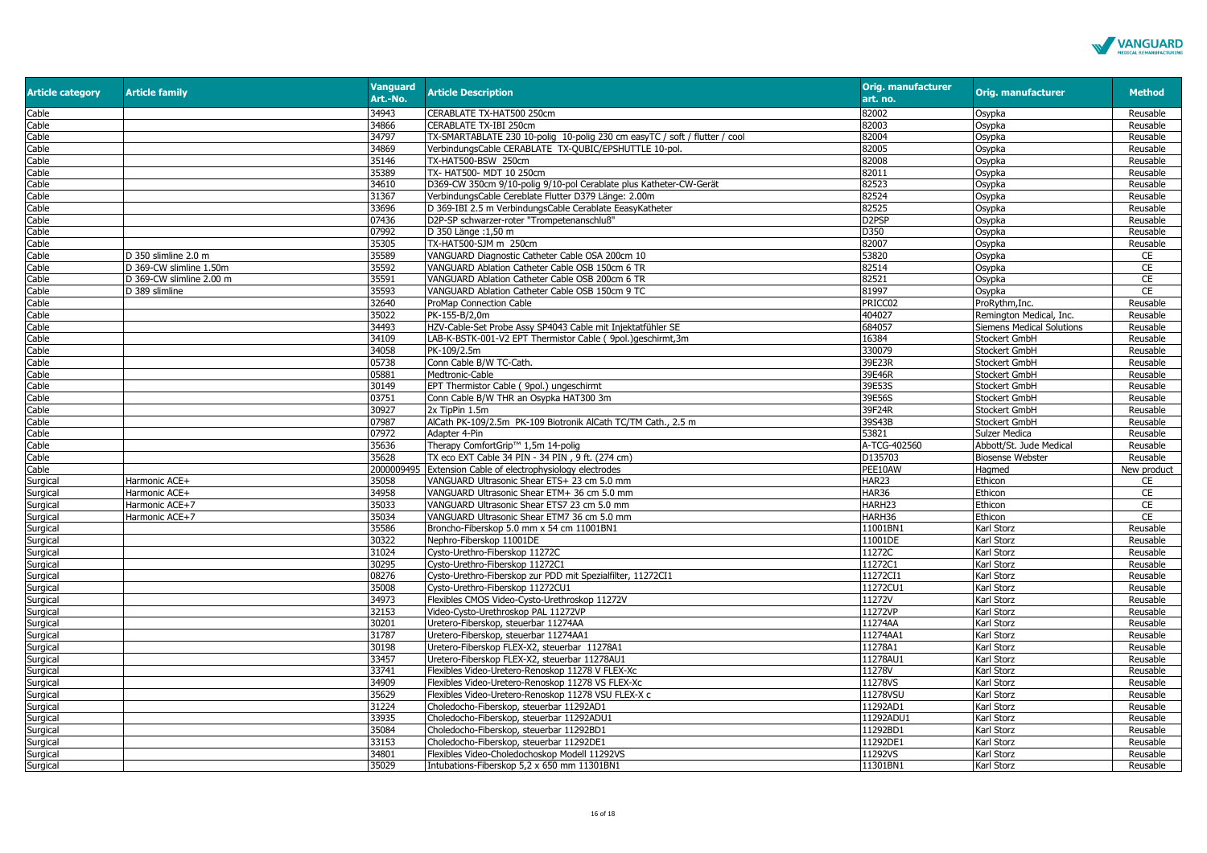

| <b>Article category</b> | <b>Article family</b>    | <b>Vanguard</b><br>Art.-No. | <b>Article Description</b>                                                 | <b>Orig. manufacturer</b><br>art. no. | <b>Orig. manufacturer</b>        | <b>Method</b> |
|-------------------------|--------------------------|-----------------------------|----------------------------------------------------------------------------|---------------------------------------|----------------------------------|---------------|
| Cable                   |                          | 34943                       | CERABLATE TX-HAT500 250cm                                                  | 82002                                 | Osypka                           | Reusable      |
| Cable                   |                          | 34866                       | CERABLATE TX-IBI 250cm                                                     | 82003                                 | Osypka                           | Reusable      |
| Cable                   |                          | 34797                       | TX-SMARTABLATE 230 10-polig 10-polig 230 cm easyTC / soft / flutter / cool | 82004                                 | Osypka                           | Reusable      |
| Cable                   |                          | 34869                       | VerbindungsCable CERABLATE TX-QUBIC/EPSHUTTLE 10-pol.                      | 82005                                 | Osypka                           | Reusable      |
| Cable                   |                          | 35146                       | TX-HAT500-BSW 250cm                                                        | 82008                                 | Osypka                           | Reusable      |
| Cable                   |                          | 35389                       | TX- HAT500- MDT 10 250cm                                                   | 82011                                 | Osypka                           | Reusable      |
| Cable                   |                          | 34610                       | D369-CW 350cm 9/10-polig 9/10-pol Cerablate plus Katheter-CW-Gerät         | 82523                                 | Osypka                           | Reusable      |
| Cable                   |                          | 31367                       | VerbindungsCable Cereblate Flutter D379 Länge: 2.00m                       | 82524                                 | Osypka                           | Reusable      |
| Cable                   |                          | 33696                       | D 369-IBI 2.5 m VerbindungsCable Cerablate EeasyKatheter                   | 82525                                 | Osypka                           | Reusable      |
| Cable                   |                          | 07436                       | D2P-SP schwarzer-roter "Trompetenanschluß'                                 | D <sub>2</sub> PSP                    | Osypka                           | Reusable      |
| Cable                   |                          | 07992                       | D 350 Länge: 1,50 m                                                        | D350                                  | Osypka                           | Reusable      |
| Cable                   |                          | 35305                       | TX-HAT500-SJM m 250cm                                                      | 82007                                 | Osypka                           | Reusable      |
| Cable                   | D 350 slimline 2.0 m     | 35589                       | VANGUARD Diagnostic Catheter Cable OSA 200cm 10                            | 53820                                 | Osypka                           | CE            |
| Cable                   | D 369-CW slimline 1.50m  | 35592                       | VANGUARD Ablation Catheter Cable OSB 150cm 6 TR                            | 82514                                 | Osypka                           | <b>CE</b>     |
| Cable                   | D 369-CW slimline 2.00 m | 35591                       | VANGUARD Ablation Catheter Cable OSB 200cm 6 TR                            | 82521                                 | Osypka                           | CE            |
| Cable                   | D 389 slimline           | 35593                       | VANGUARD Ablation Catheter Cable OSB 150cm 9 TC                            | 81997                                 | Osypka                           | <b>CE</b>     |
| Cable                   |                          | 32640                       | ProMap Connection Cable                                                    | PRICC02                               | ProRythm, Inc.                   | Reusable      |
| Cable                   |                          | 35022                       | PK-155-B/2,0m                                                              | 404027                                | Remington Medical, Inc.          | Reusable      |
| Cable                   |                          | 34493                       | HZV-Cable-Set Probe Assy SP4043 Cable mit Injektatfühler SE                | 684057                                | <b>Siemens Medical Solutions</b> | Reusable      |
| Cable                   |                          | 34109                       | LAB-K-BSTK-001-V2 EPT Thermistor Cable ( 9pol.)geschirmt,3m                | 16384                                 | Stockert GmbH                    | Reusable      |
| Cable                   |                          | 34058                       | PK-109/2.5m                                                                | 330079                                | Stockert GmbH                    | Reusable      |
| Cable                   |                          | 05738                       | Conn Cable B/W TC-Cath.                                                    | 39E23R                                | Stockert GmbH                    | Reusable      |
| Cable                   |                          | 05881                       | Medtronic-Cable                                                            | 39E46R                                | Stockert GmbH                    | Reusable      |
| Cable                   |                          | 30149                       | EPT Thermistor Cable ( 9pol.) ungeschirmt                                  | 39E53S                                | Stockert GmbH                    | Reusable      |
| Cable                   |                          | 03751                       | Conn Cable B/W THR an Osypka HAT300 3m                                     | 39E56S                                | Stockert GmbH                    | Reusable      |
| Cable                   |                          | 30927                       | 2x TipPin 1.5m                                                             | 39F24R                                | Stockert GmbH                    | Reusable      |
| Cable                   |                          | 07987                       | AlCath PK-109/2.5m PK-109 Biotronik AlCath TC/TM Cath., 2.5 m              | 39S43B                                | Stockert GmbH                    | Reusable      |
| Cable                   |                          | 07972                       | Adapter 4-Pin                                                              | 53821                                 | Sulzer Medica                    | Reusable      |
| Cable                   |                          | 35636                       | Therapy ComfortGrip™ 1,5m 14-polig                                         | A-TCG-402560                          | Abbott/St. Jude Medical          | Reusable      |
| Cable                   |                          | 35628                       | TX eco EXT Cable 34 PIN - 34 PIN, 9 ft. (274 cm)                           | D135703                               | <b>Biosense Webster</b>          | Reusable      |
| Cable                   |                          | 2000009495                  | Extension Cable of electrophysiology electrodes                            | PEE10AW                               | Hagmed                           | New product   |
| Surgical                | Harmonic ACE+            | 35058                       | VANGUARD Ultrasonic Shear ETS+ 23 cm 5.0 mm                                | HAR23                                 | Ethicon                          | CE            |
| Surgical                | Harmonic ACE+            | 34958                       | VANGUARD Ultrasonic Shear ETM+ 36 cm 5.0 mm                                | <b>HAR36</b>                          | Ethicon                          | CE            |
| Surgical                | Harmonic ACE+7           | 35033                       | VANGUARD Ultrasonic Shear ETS7 23 cm 5.0 mm                                | HARH23                                | Ethicon                          | CE            |
| Surgical                | Harmonic ACE+7           | 35034                       | VANGUARD Ultrasonic Shear ETM7 36 cm 5.0 mm                                | HARH36                                | Ethicon                          | CE            |
| Surgical                |                          | 35586                       | Broncho-Fiberskop 5.0 mm x 54 cm 11001BN1                                  | 11001BN1                              | Karl Storz                       | Reusable      |
| Surgical                |                          | 30322                       | Nephro-Fiberskop 11001DE                                                   | 11001DE                               | Karl Storz                       | Reusable      |
| Surgical                |                          | 31024                       | Cysto-Urethro-Fiberskop 11272C                                             | 11272C                                | Karl Storz                       | Reusable      |
| Surgical                |                          | 30295                       | Cysto-Urethro-Fiberskop 11272C1                                            | 11272C1                               | Karl Storz                       | Reusable      |
| Surgical                |                          | 08276                       | Cysto-Urethro-Fiberskop zur PDD mit Spezialfilter, 11272CI1                | 11272CI1                              | Karl Storz                       | Reusable      |
| Surgical                |                          | 35008                       | Cysto-Urethro-Fiberskop 11272CU1                                           | 11272CU1                              | Karl Storz                       | Reusable      |
| Surgical                |                          | 34973                       | Flexibles CMOS Video-Cysto-Urethroskop 11272V                              | 11272V                                | Karl Storz                       | Reusable      |
| Surgical                |                          | 32153                       | Video-Cysto-Urethroskop PAL 11272VP                                        | 11272VP                               | Karl Storz                       | Reusable      |
| Surgical                |                          | 30201                       | Uretero-Fiberskop, steuerbar 11274AA                                       | 11274AA                               | Karl Storz                       | Reusable      |
| Surgical                |                          | 31787                       | Uretero-Fiberskop, steuerbar 11274AA1                                      | 11274AA1                              | Karl Storz                       | Reusable      |
| Surgical                |                          | 30198                       | Uretero-Fiberskop FLEX-X2, steuerbar 11278A1                               | 11278A1                               | Karl Storz                       | Reusable      |
| Surgical                |                          | 33457                       | Uretero-Fiberskop FLEX-X2, steuerbar 11278AU1                              | 11278AU1                              | Karl Storz                       | Reusable      |
| Surgical                |                          | 33741                       | Flexibles Video-Uretero-Renoskop 11278 V FLEX-Xc                           | 11278V                                | Karl Storz                       | Reusable      |
| Surgical                |                          | 34909                       | Flexibles Video-Uretero-Renoskop 11278 VS FLEX-Xc                          | 11278VS                               | Karl Storz                       | Reusable      |
| Surgical                |                          | 35629                       | Flexibles Video-Uretero-Renoskop 11278 VSU FLEX-X c                        | 11278VSU                              | Karl Storz                       | Reusable      |
| Surgical                |                          | 31224                       | Choledocho-Fiberskop, steuerbar 11292AD1                                   | 11292AD1                              | Karl Storz                       | Reusable      |
| Surgical                |                          | 33935                       | Choledocho-Fiberskop, steuerbar 11292ADU1                                  | 11292ADU:                             | Karl Storz                       | Reusable      |
| Surgical                |                          | 35084                       | Choledocho-Fiberskop, steuerbar 11292BD1                                   | 11292BD1                              | Karl Storz                       | Reusable      |
| Surgical                |                          | 33153                       | Choledocho-Fiberskop, steuerbar 11292DE1                                   | 11292DE1                              | Karl Storz                       | Reusable      |
| Surgical                |                          | 34801                       | Flexibles Video-Choledochoskop Modell 11292VS                              | 11292VS                               | Karl Storz                       | Reusable      |
| Surgical                |                          | 35029                       | Intubations-Fiberskop 5,2 x 650 mm 11301BN1                                | 11301BN1                              | Karl Storz                       | Reusable      |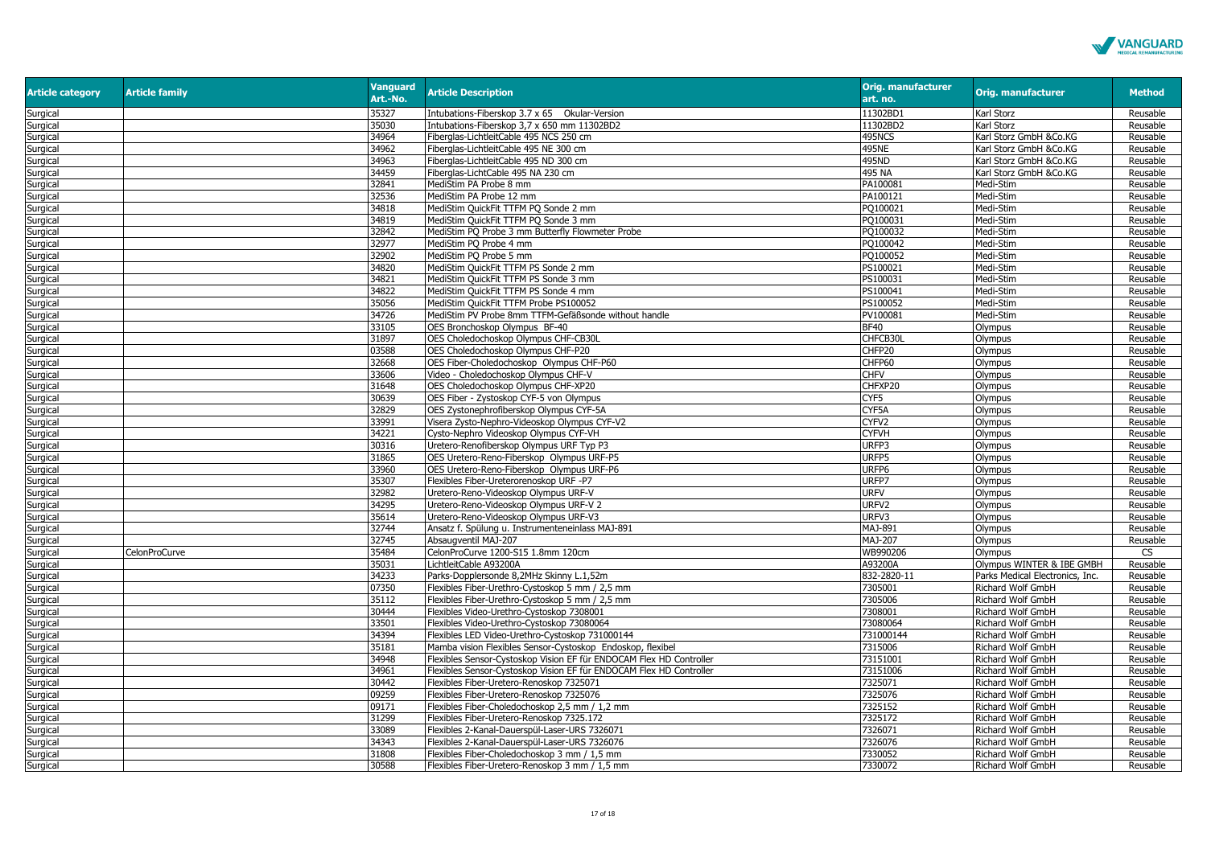

| <b>Article category</b> | <b>Article family</b> | <b>Vanguard</b><br>Art.-No. | <b>Article Description</b>                                          | <b>Orig. manufacturer</b><br>art. no. | <b>Orig. manufacturer</b>       | <b>Method</b> |
|-------------------------|-----------------------|-----------------------------|---------------------------------------------------------------------|---------------------------------------|---------------------------------|---------------|
| Surgical                |                       | 35327                       | Intubations-Fiberskop 3.7 x 65 Okular-Version                       | 11302BD1                              | Karl Storz                      | Reusable      |
| Surgical                |                       | 35030                       | Intubations-Fiberskop 3,7 x 650 mm 11302BD2                         | 11302BD2                              | Karl Storz                      | Reusable      |
| Surgical                |                       | 34964                       | Fiberglas-LichtleitCable 495 NCS 250 cm                             | 495NCS                                | Karl Storz GmbH &Co.KG          | Reusable      |
| Surgical                |                       | 34962                       | Fiberglas-LichtleitCable 495 NE 300 cm                              | 495NE                                 | Karl Storz GmbH &Co.KG          | Reusable      |
| Surgical                |                       | 34963                       | Fiberglas-LichtleitCable 495 ND 300 cm                              | 495ND                                 | Karl Storz GmbH &Co.KG          | Reusable      |
| Surgical                |                       | 34459                       | Fiberglas-LichtCable 495 NA 230 cm                                  | 495 NA                                | Karl Storz GmbH &Co.KG          | Reusable      |
| Surgical                |                       | 32841                       | MediStim PA Probe 8 mm                                              | PA100081                              | Medi-Stim                       | Reusable      |
| Surgical                |                       | 32536                       | MediStim PA Probe 12 mm                                             | PA100121                              | Medi-Stim                       | Reusable      |
| Surgical                |                       | 34818                       | MediStim QuickFit TTFM PQ Sonde 2 mm                                | PQ100021                              | Medi-Stim                       | Reusable      |
| Surgical                |                       | 34819                       | MediStim QuickFit TTFM PQ Sonde 3 mm                                | PQ100031                              | Medi-Stim                       | Reusable      |
| Surgical                |                       | 32842                       | MediStim PO Probe 3 mm Butterfly Flowmeter Probe                    | PO100032                              | Medi-Stim                       | Reusable      |
| Surgical                |                       | 32977                       | MediStim PQ Probe 4 mm                                              | PO100042                              | Medi-Stim                       | Reusable      |
| Surgical                |                       | 32902                       | MediStim PQ Probe 5 mm                                              | PO100052                              | Medi-Stim                       | Reusable      |
| Surgical                |                       | 34820                       | MediStim QuickFit TTFM PS Sonde 2 mm                                | PS100021                              | Medi-Stim                       | Reusable      |
| Surgical                |                       | 34821                       | MediStim QuickFit TTFM PS Sonde 3 mm                                | PS100031                              | Medi-Stim                       | Reusable      |
| Surgical                |                       | 34822                       | MediStim QuickFit TTFM PS Sonde 4 mm                                | PS100041                              | Medi-Stim                       | Reusable      |
| Surgical                |                       | 35056                       | MediStim QuickFit TTFM Probe PS100052                               | PS100052                              | Medi-Stim                       | Reusable      |
| Surgical                |                       | 34726                       | MediStim PV Probe 8mm TTFM-Gefäßsonde without handle                | PV100081                              | Medi-Stim                       | Reusable      |
| Surgical                |                       | 33105                       | OES Bronchoskop Olympus BF-40                                       | <b>BF40</b>                           | Olympus                         | Reusable      |
| Surgical                |                       | 31897                       | OES Choledochoskop Olympus CHF-CB30L                                | CHFCB30L                              | Olympus                         | Reusable      |
| Surgical                |                       | 03588                       | OES Choledochoskop Olympus CHF-P20                                  | CHFP20                                | Olympus                         | Reusable      |
| Surgical                |                       | 32668                       | OES Fiber-Choledochoskop Olympus CHF-P60                            | CHFP60                                | Olympus                         | Reusable      |
| Surgical                |                       | 33606                       | Video - Choledochoskop Olympus CHF-V                                | <b>CHFV</b>                           | Olympus                         | Reusable      |
| Surgical                |                       | 31648                       | OES Choledochoskop Olympus CHF-XP20                                 | CHFXP20                               | Olympus                         | Reusable      |
| Surgical                |                       | 30639                       | OES Fiber - Zystoskop CYF-5 von Olympus                             | CYF5                                  | Olympus                         | Reusable      |
| Surgical                |                       | 32829                       | OES Zystonephrofiberskop Olympus CYF-5A                             | CYF5A                                 | Olympus                         | Reusable      |
| Surgical                |                       | 33991                       | Visera Zysto-Nephro-Videoskop Olympus CYF-V2                        | CYFV <sub>2</sub>                     | Olympus                         | Reusable      |
| Surgical                |                       | 34221                       | Cysto-Nephro Videoskop Olympus CYF-VH                               | <b>CYFVH</b>                          | Olympus                         | Reusable      |
| Surgical                |                       | 30316                       | Uretero-Renofiberskop Olympus URF Typ P3                            | URFP3                                 | Olympus                         | Reusable      |
| Surgical                |                       | 31865                       | OES Uretero-Reno-Fiberskop Olympus URF-P5                           | URFP5                                 | Olympus                         | Reusable      |
| Surgical                |                       | 33960                       | OES Uretero-Reno-Fiberskop Olympus URF-P6                           | URFP6                                 | Olympus                         | Reusable      |
| Surgical                |                       | 35307                       | Flexibles Fiber-Ureterorenoskop URF -P7                             | URFP7                                 | Olympus                         | Reusable      |
| Surgical                |                       | 32982                       | Uretero-Reno-Videoskop Olympus URF-V                                | <b>URFV</b>                           | Olympus                         | Reusable      |
| Surgical                |                       | 34295                       | Uretero-Reno-Videoskop Olympus URF-V 2                              | URFV <sub>2</sub>                     | Olympus                         | Reusable      |
| Surgical                |                       | 35614                       | Uretero-Reno-Videoskop Olympus URF-V3                               | URFV3                                 | Olympus                         | Reusable      |
| Surgical                |                       | 32744                       | Ansatz f. Spülung u. Instrumenteneinlass MAJ-891                    | MAJ-891                               | Olympus                         | Reusable      |
| Surgical                |                       | 32745                       | Absaugventil MAJ-207                                                | <b>MAJ-207</b>                        | Olympus                         | Reusable      |
| Surgical                | CelonProCurve         | 35484                       | CelonProCurve 1200-S15 1.8mm 120cm                                  | WB990206                              | Olympus                         | <b>CS</b>     |
| Surgical                |                       | 35031                       | LichtleitCable A93200A                                              | A93200A                               | Olympus WINTER & IBE GMBH       | Reusable      |
| Surgical                |                       | 34233                       | Parks-Dopplersonde 8,2MHz Skinny L.1,52m                            | 832-2820-11                           | Parks Medical Electronics, Inc. | Reusable      |
| Surgical                |                       | 07350                       | Flexibles Fiber-Urethro-Cystoskop 5 mm / 2,5 mm                     | 7305001                               | Richard Wolf GmbH               | Reusable      |
| Surgical                |                       | 35112                       | Flexibles Fiber-Urethro-Cystoskop 5 mm / 2,5 mm                     | 7305006                               | Richard Wolf GmbH               | Reusable      |
| Surgical                |                       | 30444                       | Flexibles Video-Urethro-Cystoskop 7308001                           | 7308001                               | Richard Wolf GmbH               | Reusable      |
| Surgical                |                       | 33501                       | Flexibles Video-Urethro-Cystoskop 73080064                          | 73080064                              | Richard Wolf GmbH               | Reusable      |
| Surgical                |                       | 34394                       | Flexibles LED Video-Urethro-Cystoskop 731000144                     | 731000144                             | Richard Wolf GmbH               | Reusable      |
| Surgical                |                       | 35181                       | Mamba vision Flexibles Sensor-Cystoskop Endoskop, flexibel          | 7315006                               | Richard Wolf GmbH               | Reusable      |
| Surgical                |                       | 34948                       | Flexibles Sensor-Cystoskop Vision EF für ENDOCAM Flex HD Controller | 73151001                              | Richard Wolf GmbH               | Reusable      |
| Surgical                |                       | 34961                       | Flexibles Sensor-Cystoskop Vision EF für ENDOCAM Flex HD Controller | 73151006                              | Richard Wolf GmbH               | Reusable      |
| Surgical                |                       | 30442                       | Flexibles Fiber-Uretero-Renoskop 7325071                            | 7325071                               | Richard Wolf GmbH               | Reusable      |
| Surgical                |                       | 09259                       | Flexibles Fiber-Uretero-Renoskop 7325076                            | 7325076                               | Richard Wolf GmbH               | Reusable      |
| Surgical                |                       | 09171                       | Flexibles Fiber-Choledochoskop 2,5 mm / 1,2 mm                      | 7325152                               | Richard Wolf GmbH               | Reusable      |
| Surgical                |                       | 31299                       | Flexibles Fiber-Uretero-Renoskop 7325.172                           | 7325172                               | Richard Wolf GmbH               | Reusable      |
| Surgical                |                       | 33089                       | Flexibles 2-Kanal-Dauerspül-Laser-URS 7326071                       | 7326071                               | Richard Wolf GmbH               | Reusable      |
| Surgical                |                       | 34343                       | Flexibles 2-Kanal-Dauerspül-Laser-URS 7326076                       | 7326076                               | Richard Wolf GmbH               | Reusable      |
| Surgical                |                       | 31808                       | Flexibles Fiber-Choledochoskop 3 mm / 1,5 mm                        | 7330052                               | Richard Wolf GmbH               | Reusable      |
| Surgical                |                       | 30588                       | Flexibles Fiber-Uretero-Renoskop 3 mm / 1,5 mm                      | 7330072                               | Richard Wolf GmbH               | Reusable      |